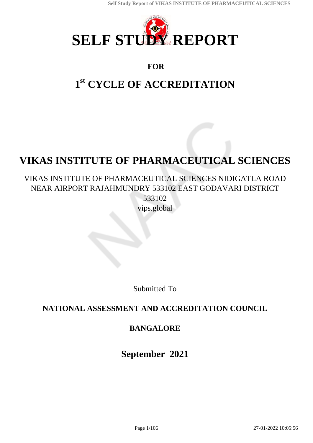<span id="page-0-0"></span>

## **FOR**

# **1 st CYCLE OF ACCREDITATION**

# **VIKAS INSTITUTE OF PHARMACEUTICAL SCIENCES**

## VIKAS INSTITUTE OF PHARMACEUTICAL SCIENCES NIDIGATLA ROAD NEAR AIRPORT RAJAHMUNDRY 533102 EAST GODAVARI DISTRICT 533102

vips.global

Submitted To

## **NATIONAL ASSESSMENT AND ACCREDITATION COUNCIL**

## **BANGALORE**

**September 2021**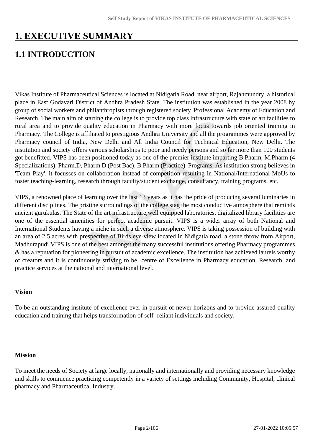## **1. EXECUTIVE SUMMARY**

## **1.1 INTRODUCTION**

Vikas Institute of Pharmaceutical Sciences is located at Nidigatla Road, near airport, Rajahmundry, a historical place in East Godavari District of Andhra Pradesh State. The institution was established in the year 2008 by group of social workers and philanthropists through registered society 'Professional Academy of Education and Research. The main aim of starting the college is to provide top class infrastructure with state of art facilities to rural area and to provide quality education in Pharmacy with more focus towards job oriented training in Pharmacy. The College is affiliated to prestigious Andhra University and all the programmes were approved by Pharmacy council of India, New Delhi and All India Council for Technical Education, New Delhi. The institution and society offers various scholarships to poor and needy persons and so far more than 100 students got benefitted. VIPS has been positioned today as one of the premier institute imparting B.Pharm, M.Pharm (4 Specializations), Pharm.D, Pharm D (Post Bac), B.Pharm (Practice) Programs. As institution strong believes in 'Team Play', it focusses on collaboration instead of competition resulting in National/International MoUs to foster teaching-learning, research through faculty/student exchange, consultancy, training programs, etc.

VIPS, a renowned place of learning over the last 13 years as it has the pride of producing several luminaries in different disciplines. The pristine surroundings of the college stag the most conductive atmosphere that reminds ancient gurukulas. The State of the art infrastructure,well equipped laboratories, digitalized library facilities are one of the essential amenities for perfect academic pursuit. VIPS is a wider array of both National and International Students having a niche in such a diverse atmosphere. VIPS is taking possession of building with an area of 2.5 acres with prespective of Birds eye-view located in Nidigatla road, a stone throw from Airport, Madhurapudi.VIPS is one of the best amongst the many successful institutions offering Pharmacy programmes & has a reputation for pioneering in pursuit of academic excellence. The institution has achieved laurels worthy of creators and it is continuously striving to be centre of Excellence in Pharmacy education, Research, and practice services at the national and international level.

#### **Vision**

To be an outstanding institute of excellence ever in pursuit of newer horizons and to provide assured quality education and training that helps transformation of self- reliant individuals and society.

#### **Mission**

To meet the needs of Society at large locally, nationally and internationally and providing necessary knowledge and skills to commence practicing competently in a variety of settings including Community, Hospital, clinical pharmacy and Pharmaceutical Industry.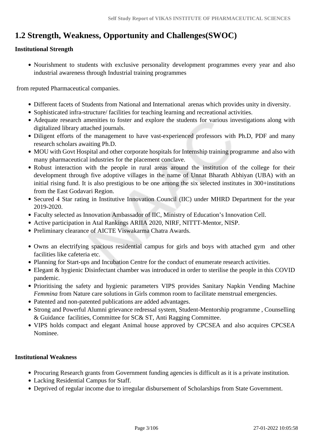## **1.2 Strength, Weakness, Opportunity and Challenges(SWOC)**

#### **Institutional Strength**

Nourishment to students with exclusive personality development programmes every year and also industrial awareness through Industrial training programmes

from reputed Pharmaceutical companies.

- Different facets of Students from National and International arenas which provides unity in diversity.
- Sophisticated infra-structure/ facilities for teaching learning and recreational activities.
- Adequate research amenities to foster and explore the students for various investigations along with digitalized library attached journals.
- Diligent efforts of the management to have vast-experienced professors with Ph.D, PDF and many research scholars awaiting Ph.D.
- MOU with Govt Hospital and other corporate hospitals for Internship training programme and also with many pharmaceutical industries for the placement conclave.
- Robust interaction with the people in rural areas around the institution of the college for their development through five adoptive villages in the name of Unnat Bharath Abhiyan (UBA) with an initial rising fund. It is also prestigious to be one among the six selected institutes in 300+institutions from the East Godavari Region.
- Secured 4 Star rating in Institutive Innovation Council (IIC) under MHRD Department for the year 2019-2020.
- Faculty selected as Innovation Ambassador of IIC, Ministry of Education's Innovation Cell.
- Active participation in Atal Rankings ARIIA 2020, NIRF, NITTT-Mentor, NISP.
- Preliminary clearance of AICTE Viswakarma Chatra Awards.
- Owns an electrifying spacious residential campus for girls and boys with attached gym and other facilities like cafeteria etc.
- Planning for Start-ups and Incubation Centre for the conduct of enumerate research activities.
- Elegant & hygienic Disinfectant chamber was introduced in order to sterilise the people in this COVID pandemic.
- Prioritising the safety and hygienic parameters VIPS provides Sanitary Napkin Vending Machine *Femmina* from Nature care solutions in Girls common room to facilitate menstrual emergencies.
- Patented and non-patented publications are added advantages.
- Strong and Powerful Alumni grievance redressal system, Student-Mentorship programme , Counselling & Guidance facilities, Committee for SC& ST, Anti Ragging Committee.
- VIPS holds compact and elegant Animal house approved by CPCSEA and also acquires CPCSEA Nominee.

#### **Institutional Weakness**

- Procuring Research grants from Government funding agencies is difficult as it is a private institution.
- Lacking Residential Campus for Staff.
- Deprived of regular income due to irregular disbursement of Scholarships from State Government.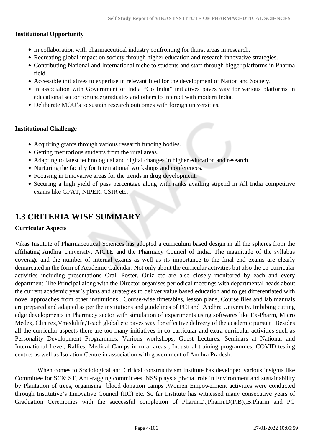#### **Institutional Opportunity**

- In collaboration with pharmaceutical industry confronting for thurst areas in research.
- Recreating global impact on society through higher education and research innovative strategies.
- Contributing National and International niche to students and staff through bigger platforms in Pharma field.
- Accessible initiatives to expertise in relevant filed for the development of Nation and Society.
- In association with Government of India "Go India" initiatives paves way for various platforms in educational sector for undergraduates and others to interact with modern India.
- Deliberate MOU's to sustain research outcomes with foreign universities.

#### **Institutional Challenge**

- Acquiring grants through various research funding bodies.
- Getting meritorious students from the rural areas.
- Adapting to latest technological and digital changes in higher education and research.
- Nurturing the faculty for International workshops and conferences.
- Focusing in Innovative areas for the trends in drug development.
- Securing a high yield of pass percentage along with ranks availing stipend in All India competitive exams like GPAT, NIPER, CSIR etc.

## **1.3 CRITERIA WISE SUMMARY**

#### **Curricular Aspects**

Vikas Institute of Pharmaceutical Sciences has adopted a curriculum based design in all the spheres from the affiliating Andhra University, AICTE and the Pharmacy Council of India. The magnitude of the syllabus coverage and the number of internal exams as well as its importance to the final end exams are clearly demarcated in the form of Academic Calendar. Not only about the curricular activities but also the co-curricular activities including presentations Oral, Poster, Quiz etc are also closely monitored by each and every department. The Principal along with the Director organises periodical meetings with departmental heads about the current academic year's plans and strategies to deliver value based education and to get differentiated with novel approaches from other institutions . Course-wise timetables, lesson plans, Course files and lab manuals are prepared and adapted as per the institutions and guidelines of PCI and Andhra University. Imbibing cutting edge developments in Pharmacy sector with simulation of experiments using softwares like Ex-Pharm, Micro Medex, Clinirex,Vmedulife,Teach global etc paves way for effective delivery of the academic pursuit . Besides all the curricular aspects there are too many initiatives in co-curricular and extra curricular activities such as Personality Development Programmes, Various workshops, Guest Lectures, Seminars at National and International Level, Rallies, Medical Camps in rural areas , Industrial training programmes, COVID testing centres as well as Isolation Centre in association with government of Andhra Pradesh.

 When comes to Sociological and Critical constructivism institute has developed various insights like Committee for SC& ST, Anti-ragging committees. NSS plays a pivotal role in Environment and sustainability by Plantation of trees, organising blood donation camps .Women Empowerment activities were conducted through Institutive's Innovative Council (IIC) etc. So far Institute has witnessed many consecutive years of Graduation Ceremonies with the successful completion of Pharm.D.,Pharm.D(P.B).,B.Pharm and PG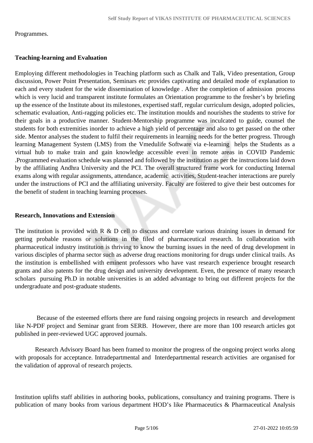#### Programmes.

#### **Teaching-learning and Evaluation**

Employing different methodologies in Teaching platform such as Chalk and Talk, Video presentation, Group discussion, Power Point Presentation, Seminars etc provides captivating and detailed mode of explanation to each and every student for the wide dissemination of knowledge . After the completion of admission process which is very lucid and transparent institute formulates an Orientation programme to the fresher's by briefing up the essence of the Institute about its milestones, expertised staff, regular curriculum design, adopted policies, schematic evaluation, Anti-ragging policies etc. The institution moulds and nourishes the students to strive for their goals in a productive manner. Student-Mentorship programme was inculcated to guide, counsel the students for both extremities inorder to achieve a high yield of percentage and also to get passed on the other side. Mentor analyses the student to fulfil their requirements in learning needs for the better progress. Through learning Management System (LMS) from the Vmedulife Software via e-learning helps the Students as a virtual hub to make train and gain knowledge accessible even in remote areas in COVID Pandemic .Programmed evaluation schedule was planned and followed by the institution as per the instructions laid down by the affiliating Andhra University and the PCI. The overall structured frame work for conducting Internal exams along with regular assignments, attendance, academic activities, Student-teacher interactions are purely under the instructions of PCI and the affiliating university. Faculty are fostered to give their best outcomes for the benefit of student in teaching learning processes.

#### **Research, Innovations and Extension**

The institution is provided with R & D cell to discuss and correlate various draining issues in demand for getting probable reasons or solutions in the filed of pharmaceutical research. In collaboration with pharmaceutical industry institution is thriving to know the burning issues in the need of drug development in various disciples of pharma sector such as adverse drug reactions monitoring for drugs under clinical trails. As the institution is embellished with eminent professors who have vast research experience brought research grants and also patents for the drug design and university development. Even, the presence of many research scholars pursuing Ph.D in notable universities is an added advantage to bring out different projects for the undergraduate and post-graduate students.

 Because of the esteemed efforts there are fund raising ongoing projects in research and development like N-PDF project and Seminar grant from SERB. However, there are more than 100 research articles got published in peer-reviewed UGC approved journals.

 Research Advisory Board has been framed to monitor the progress of the ongoing project works along with proposals for acceptance. Intradepartmental and Interdepartmental research activities are organised for the validation of approval of research projects.

Institution uplifts staff abilities in authoring books, publications, consultancy and training programs. There is publication of many books from various department HOD's like Pharmaceutics & Pharmaceutical Analysis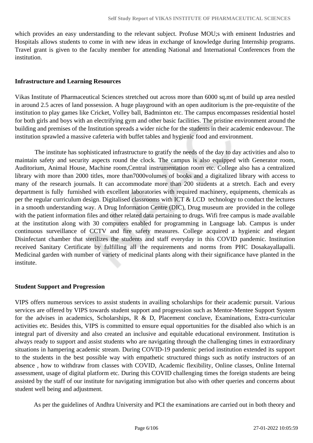which provides an easy understanding to the relevant subject. Profuse MOU;s with eminent Industries and Hospitals allows students to come in with new ideas in exchange of knowledge during Internship programs. Travel grant is given to the faculty member for attending National and International Conferences from the institution.

#### **Infrastructure and Learning Resources**

Vikas Institute of Pharmaceutical Sciences stretched out across more than 6000 sq.mt of build up area nestled in around 2.5 acres of land possession. A huge playground with an open auditorium is the pre-requistite of the institution to play games like Cricket, Volley ball, Badminton etc. The campus encompasses residential hostel for both girls and boys with an electrifying gym and other basic facilities. The pristine environment around the building and premises of the Institution spreads a wider niche for the students in their academic endeavour. The institution sprawled a massive cafeteria with buffet tables and hygienic food and environment.

 The institute has sophisticated infrastructure to gratify the needs of the day to day activities and also to maintain safety and security aspects round the clock. The campus is also equipped with Generator room, Auditorium, Animal House, Machine room,Central instrumentation room etc. College also has a centralized library with more than 2000 titles, more than7000volumes of books and a digitalized library with access to many of the research journals. It can accommodate more than 200 students at a stretch. Each and every department is fully furnished with excellent laboratories with required machinery, equipments, chemicals as per the regular curriculum design. Digitalised classrooms with ICT & LCD technology to conduct the lectures in a smooth understanding way. A Drug Information Centre (DIC), Drug museum are provided in the college with the patient information files and other related data pertaining to drugs. Wifi free campus is made available at the institution along with 30 computers enabled for programming in Language lab. Campus is under continuous surveillance of CCTV and fire safety measures. College acquired a hygienic and elegant Disinfectant chamber that sterilizes the students and staff everyday in this COVID pandemic. Institution received Sanitary Certificate by fulfilling all the requirements and norms from PHC Dosakayallapalli. Medicinal garden with number of variety of medicinal plants along with their significance have planted in the institute.

#### **Student Support and Progression**

VIPS offers numerous services to assist students in availing scholarships for their academic pursuit. Various services are offered by VIPS towards student support and progression such as Mentor-Mentee Support System for the advises in academics, Scholarships, R & D, Placement conclave, Examinations, Extra-curricular activities etc. Besides this, VIPS is committed to ensure equal opportunities for the disabled also which is an integral part of diversity and also created an inclusive and equitable educational environment. Institution is always ready to support and assist students who are navigating through the challenging times in extraordinary situations in hampering academic stream. During COVID-19 pandemic period institution extended its support to the students in the best possible way with empathetic structured things such as notify instructors of an absence , how to withdraw from classes with COVID, Academic flexibility, Online classes, Online Internal assessment, usage of digital platform etc. During this COVID challenging times the foreign students are being assisted by the staff of our institute for navigating immigration but also with other queries and concerns about student well being and adjustment.

As per the guidelines of Andhra University and PCI the examinations are carried out in both theory and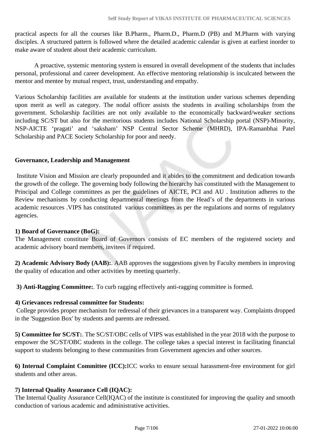practical aspects for all the courses like B.Pharm., Pharm.D., Pharm.D (PB) and M.Pharm with varying disciples. A structured pattern is followed where the detailed academic calendar is given at earliest inorder to make aware of student about their academic curriculum.

 A proactive, systemic mentoring system is ensured in overall development of the students that includes personal, professional and career development. An effective mentoring relationship is inculcated between the mentor and mentee by mutual respect, trust, understanding and empathy.

Various Scholarship facilities are available for students at the institution under various schemes depending upon merit as well as category. The nodal officer assists the students in availing scholarships from the government. Scholarship facilities are not only available to the economically backward/weaker sections including SC/ST but also for the meritorious students includes National Scholarship portal (NSP)-Minority, NSP-AICTE 'pragati' and 'saksham' NSP Central Sector Scheme (MHRD), IPA-Ramanbhai Patel Scholarship and PACE Society Scholarship for poor and needy.

#### **Governance, Leadership and Management**

 Institute Vision and Mission are clearly propounded and it abides to the commitment and dedication towards the growth of the college. The governing body following the hierarchy has constituted with the Management to Principal and College committees as per the guidelines of AICTE, PCI and AU . Institution adheres to the Review mechanisms by conducting departmental meetings from the Head's of the departments in various academic resources .VIPS has constituted various committees as per the regulations and norms of regulatory agencies.

#### **1) Board of Governance (BoG):**

The Management constitute Board of Governors consists of EC members of the registered society and academic advisory board members, invitees if required.

**2) Academic Advisory Body (AAB):**. AAB approves the suggestions given by Faculty members in improving the quality of education and other activities by meeting quarterly.

**3) Anti-Ragging Committee:**. To curb ragging effectively anti-ragging committee is formed.

#### **4) Grievances redressal committee for Students:**

 College provides proper mechanism for redressal of their grievances in a transparent way. Complaints dropped in the 'Suggestion Box' by students and parents are redressed.

**5) Committee for SC/ST:**. The SC/ST/OBC cells of VIPS was established in the year 2018 with the purpose to empower the SC/ST/OBC students in the college. The college takes a special interest in facilitating financial support to students belonging to these communities from Government agencies and other sources.

**6) Internal Complaint Committee (ICC):**ICC works to ensure sexual harassment-free environment for girl students and other areas.

#### **7) Internal Quality Assurance Cell (IQAC):**

The Internal Quality Assurance Cell(IQAC) of the institute is constituted for improving the quality and smooth conduction of various academic and administrative activities.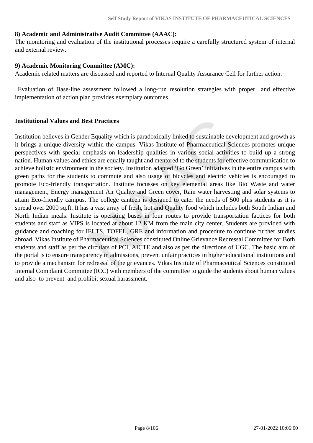#### **8) Academic and Administrative Audit Committee (AAAC):**

The monitoring and evaluation of the institutional processes require a carefully structured system of internal and external review.

#### **9) Academic Monitoring Committee (AMC):**

Academic related matters are discussed and reported to Internal Quality Assurance Cell for further action.

 Evaluation of Base-line assessment followed a long-run resolution strategies with proper and effective implementation of action plan provides exemplary outcomes.

#### **Institutional Values and Best Practices**

Institution believes in Gender Equality which is paradoxically linked to sustainable development and growth as it brings a unique diversity within the campus. Vikas Institute of Pharmaceutical Sciences promotes unique perspectives with special emphasis on leadership qualities in various social activities to build up a strong nation. Human values and ethics are equally taught and mentored to the students for effective communication to achieve holistic environment in the society. Institution adapted 'Go Green' initiatives in the entire campus with green paths for the students to commute and also usage of bicycles and electric vehicles is encouraged to promote Eco-friendly transportation. Institute focusses on key elemental areas like Bio Waste and water management, Energy management Air Quality and Green cover, Rain water harvesting and solar systems to attain Eco-friendly campus. The college canteen is designed to cater the needs of 500 plus students as it is spread over 2000 sq.ft. It has a vast array of fresh, hot and Quality food which includes both South Indian and North Indian meals. Institute is operating buses in four routes to provide transportation factices for both students and staff as VIPS is located at about 12 KM from the main city center. Students are provided with guidance and coaching for IELTS, TOFEL, GRE and information and procedure to continue further studies abroad. Vikas Institute of Pharmaceutical Sciences constituted Online Grievance Redressal Committee for Both students and staff as per the circulars of PCI, AICTE and also as per the directions of UGC. The basic aim of the portal is to ensure transparency in admissions, prevent unfair practices in higher educational institutions and to provide a mechanism for redressal of the grievances. Vikas Institute of Pharmaceutical Sciences constituted Internal Complaint Committee (ICC) with members of the committee to guide the students about human values and also to prevent and prohibit sexual harassment.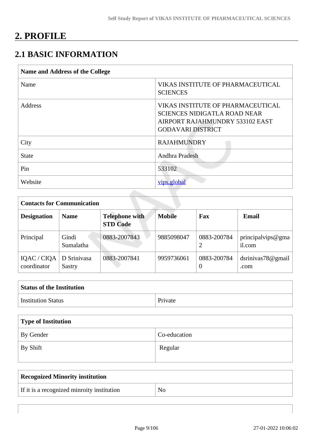# **2. PROFILE**

## **2.1 BASIC INFORMATION**

| Name and Address of the College |                                                                                                                                         |
|---------------------------------|-----------------------------------------------------------------------------------------------------------------------------------------|
| Name                            | VIKAS INSTITUTE OF PHARMACEUTICAL<br><b>SCIENCES</b>                                                                                    |
| Address                         | VIKAS INSTITUTE OF PHARMACEUTICAL<br><b>SCIENCES NIDIGATLA ROAD NEAR</b><br>AIRPORT RAJAHMUNDRY 533102 EAST<br><b>GODAVARI DISTRICT</b> |
| City                            | <b>RAJAHMUNDRY</b>                                                                                                                      |
| <b>State</b>                    | Andhra Pradesh                                                                                                                          |
| Pin                             | 533102                                                                                                                                  |
| Website                         | vips.global                                                                                                                             |

| <b>Contacts for Communication</b> |                       |                                          |               |                         |                             |  |  |  |
|-----------------------------------|-----------------------|------------------------------------------|---------------|-------------------------|-----------------------------|--|--|--|
| <b>Designation</b>                | <b>Name</b>           | <b>Telephone with</b><br><b>STD Code</b> | <b>Mobile</b> | Fax                     | Email                       |  |  |  |
| Principal                         | Gindi<br>Sumalatha    | 0883-2007843                             | 9885098047    | 0883-200784             | principalvips@gma<br>il.com |  |  |  |
| IQAC / CIQA<br>coordinator        | D Srinivasa<br>Sastry | 0883-2007841                             | 9959736061    | 0883-200784<br>$\theta$ | dsrinivas78@gmail<br>.com   |  |  |  |

| <b>Status of the Institution</b> |         |
|----------------------------------|---------|
| <b>Institution Status</b>        | Private |

| Type of Institution |              |
|---------------------|--------------|
| By Gender           | Co-education |
| $\vert$ By Shift    | Regular      |

| <b>Recognized Minority institution</b>     |  |
|--------------------------------------------|--|
| If it is a recognized minroity institution |  |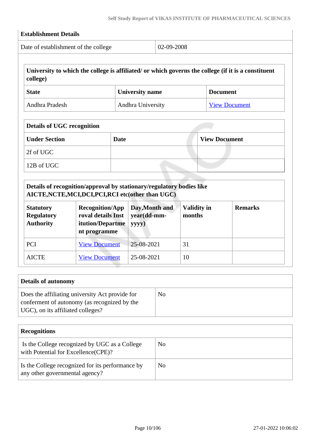| Date of establishment of the college                      |                                                                                                                                          |             | 02-09-2008                    |                              |                      |                                                                                                     |
|-----------------------------------------------------------|------------------------------------------------------------------------------------------------------------------------------------------|-------------|-------------------------------|------------------------------|----------------------|-----------------------------------------------------------------------------------------------------|
| college)                                                  |                                                                                                                                          |             |                               |                              |                      | University to which the college is affiliated/ or which governs the college (if it is a constituent |
| <b>State</b>                                              |                                                                                                                                          |             | <b>University name</b>        |                              | <b>Document</b>      |                                                                                                     |
| Andhra Pradesh                                            |                                                                                                                                          |             | Andhra University             |                              |                      | <b>View Document</b>                                                                                |
| <b>Details of UGC recognition</b>                         |                                                                                                                                          |             |                               |                              |                      |                                                                                                     |
| <b>Under Section</b>                                      |                                                                                                                                          | <b>Date</b> |                               |                              | <b>View Document</b> |                                                                                                     |
| 2f of UGC                                                 |                                                                                                                                          |             |                               |                              |                      |                                                                                                     |
| 12B of UGC                                                |                                                                                                                                          |             |                               |                              |                      |                                                                                                     |
|                                                           | Details of recognition/approval by stationary/regulatory bodies like                                                                     |             |                               |                              |                      |                                                                                                     |
| <b>Statutory</b><br><b>Regulatory</b><br><b>Authority</b> | AICTE, NCTE, MCI, DCI, PCI, RCI etc (other than UGC)<br><b>Recognition/App</b><br>roval details Inst<br>itution/Departme<br>nt programme | yyyy)       | Day, Month and<br>year(dd-mm- | <b>Validity in</b><br>months |                      | <b>Remarks</b>                                                                                      |
| PCI                                                       | <b>View Document</b>                                                                                                                     |             | 25-08-2021                    | 31                           |                      |                                                                                                     |

| Does the affiliating university Act provide for                                   | No |
|-----------------------------------------------------------------------------------|----|
| conferment of autonomy (as recognized by the<br>UGC), on its affiliated colleges? |    |
|                                                                                   |    |

| <b>Recognitions</b>                                                                  |                |  |  |  |  |
|--------------------------------------------------------------------------------------|----------------|--|--|--|--|
| Is the College recognized by UGC as a College<br>with Potential for Excellence(CPE)? | No             |  |  |  |  |
| Is the College recognized for its performance by<br>any other governmental agency?   | N <sub>0</sub> |  |  |  |  |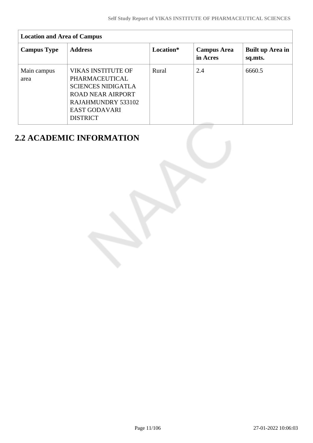| <b>Location and Area of Campus</b> |                                                                                                                                                                       |           |                                |                             |  |  |  |  |
|------------------------------------|-----------------------------------------------------------------------------------------------------------------------------------------------------------------------|-----------|--------------------------------|-----------------------------|--|--|--|--|
| <b>Campus Type</b>                 | <b>Address</b>                                                                                                                                                        | Location* | <b>Campus Area</b><br>in Acres | Built up Area in<br>sq.mts. |  |  |  |  |
| Main campus<br>area                | <b>VIKAS INSTITUTE OF</b><br>PHARMACEUTICAL<br><b>SCIENCES NIDIGATLA</b><br><b>ROAD NEAR AIRPORT</b><br>RAJAHMUNDRY 533102<br><b>EAST GODAVARI</b><br><b>DISTRICT</b> | Rural     | 2.4                            | 6660.5                      |  |  |  |  |

## **2.2 ACADEMIC INFORMATION**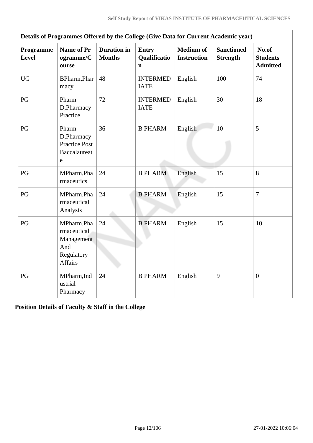| Details of Programmes Offered by the College (Give Data for Current Academic year) |                                                                                 |                                     |                                   |                                        |                                      |                                             |  |
|------------------------------------------------------------------------------------|---------------------------------------------------------------------------------|-------------------------------------|-----------------------------------|----------------------------------------|--------------------------------------|---------------------------------------------|--|
| Programme<br><b>Level</b>                                                          | <b>Name of Pr</b><br>ogramme/C<br>ourse                                         | <b>Duration</b> in<br><b>Months</b> | <b>Entry</b><br>Qualificatio<br>n | <b>Medium</b> of<br><b>Instruction</b> | <b>Sanctioned</b><br><b>Strength</b> | No.of<br><b>Students</b><br><b>Admitted</b> |  |
| <b>UG</b>                                                                          | BPharm, Phar<br>macy                                                            | 48                                  | <b>INTERMED</b><br><b>IATE</b>    | English                                | 100                                  | 74                                          |  |
| PG                                                                                 | Pharm<br>D, Pharmacy<br>Practice                                                | 72                                  | <b>INTERMED</b><br><b>IATE</b>    | English                                | 30                                   | 18                                          |  |
| PG                                                                                 | Pharm<br>D,Pharmacy<br><b>Practice Post</b><br><b>Baccalaureat</b><br>e         | 36                                  | <b>B PHARM</b>                    | English                                | 10                                   | 5                                           |  |
| PG                                                                                 | MPharm, Pha<br>rmaceutics                                                       | 24                                  | <b>B PHARM</b>                    | English                                | 15                                   | 8                                           |  |
| PG                                                                                 | MPharm, Pha<br>rmaceutical<br>Analysis                                          | 24                                  | <b>B PHARM</b>                    | English                                | 15                                   | $\overline{7}$                              |  |
| PG                                                                                 | MPharm, Pha<br>rmaceutical<br>Management<br>And<br>Regulatory<br><b>Affairs</b> | 24                                  | <b>B PHARM</b>                    | English                                | 15                                   | 10                                          |  |
| PG                                                                                 | MPharm, Ind<br>ustrial<br>Pharmacy                                              | 24                                  | <b>B PHARM</b>                    | English                                | 9                                    | $\boldsymbol{0}$                            |  |

**Position Details of Faculty & Staff in the College**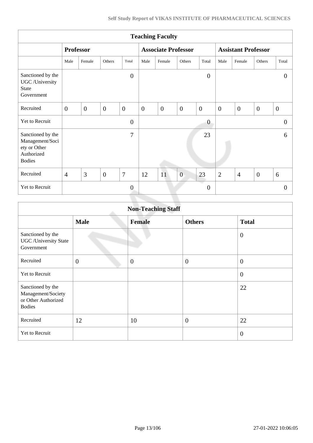| <b>Teaching Faculty</b>                                                             |                  |                |                |                            |                |              |                            |                  |                |                  |                |                  |
|-------------------------------------------------------------------------------------|------------------|----------------|----------------|----------------------------|----------------|--------------|----------------------------|------------------|----------------|------------------|----------------|------------------|
|                                                                                     | <b>Professor</b> |                |                | <b>Associate Professor</b> |                |              | <b>Assistant Professor</b> |                  |                |                  |                |                  |
|                                                                                     | Male             | Female         | Others         | Total                      | Male           | Female       | Others                     | Total            | Male           | Female           | Others         | Total            |
| Sanctioned by the<br>UGC /University<br><b>State</b><br>Government                  |                  |                |                | $\overline{0}$             |                |              |                            | $\boldsymbol{0}$ |                |                  |                | $\theta$         |
| Recruited                                                                           | $\overline{0}$   | $\overline{0}$ | $\overline{0}$ | $\overline{0}$             | $\overline{0}$ | $\mathbf{0}$ | $\overline{0}$             | $\overline{0}$   | $\mathbf{0}$   | $\boldsymbol{0}$ | $\overline{0}$ | $\boldsymbol{0}$ |
| Yet to Recruit                                                                      |                  |                |                | $\overline{0}$             |                |              |                            | $\overline{0}$   |                |                  |                | $\overline{0}$   |
| Sanctioned by the<br>Management/Soci<br>ety or Other<br>Authorized<br><b>Bodies</b> |                  |                |                | $\overline{7}$             |                |              |                            | 23               |                |                  |                | 6                |
| Recruited                                                                           | $\overline{4}$   | 3              | $\overline{0}$ | $\overline{7}$             | 12             | 11           | $\overline{0}$             | 23               | $\overline{2}$ | $\overline{4}$   | $\overline{0}$ | 6                |
| Yet to Recruit                                                                      |                  |                |                | $\overline{0}$             |                |              |                            | $\overline{0}$   |                |                  |                | $\Omega$         |
|                                                                                     |                  |                |                |                            |                |              |                            |                  |                |                  |                |                  |

| <b>Non-Teaching Staff</b>                                                       |                |               |                |                  |  |  |
|---------------------------------------------------------------------------------|----------------|---------------|----------------|------------------|--|--|
|                                                                                 | <b>Male</b>    | <b>Female</b> | <b>Others</b>  | <b>Total</b>     |  |  |
| Sanctioned by the<br><b>UGC</b> / University State<br>Government                |                |               |                | $\mathbf{0}$     |  |  |
| Recruited                                                                       | $\overline{0}$ | $\mathbf{0}$  | $\overline{0}$ | $\mathbf{0}$     |  |  |
| Yet to Recruit                                                                  |                |               |                | $\boldsymbol{0}$ |  |  |
| Sanctioned by the<br>Management/Society<br>or Other Authorized<br><b>Bodies</b> |                |               |                | 22               |  |  |
| Recruited                                                                       | 12             | 10            | $\overline{0}$ | 22               |  |  |
| Yet to Recruit                                                                  |                |               |                | $\overline{0}$   |  |  |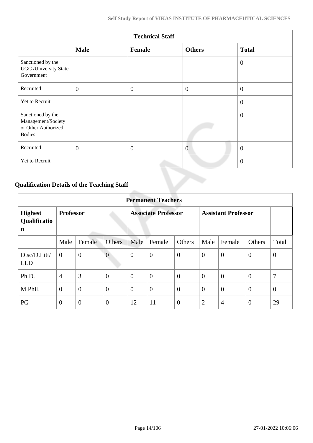| <b>Technical Staff</b>                                                          |              |              |                |                |  |  |  |
|---------------------------------------------------------------------------------|--------------|--------------|----------------|----------------|--|--|--|
|                                                                                 | <b>Male</b>  | Female       | <b>Others</b>  | <b>Total</b>   |  |  |  |
| Sanctioned by the<br><b>UGC</b> /University State<br>Government                 |              |              |                | $\overline{0}$ |  |  |  |
| Recruited                                                                       | $\mathbf{0}$ | $\mathbf{0}$ | $\overline{0}$ | $\overline{0}$ |  |  |  |
| Yet to Recruit                                                                  |              |              |                | $\overline{0}$ |  |  |  |
| Sanctioned by the<br>Management/Society<br>or Other Authorized<br><b>Bodies</b> |              |              |                | $\theta$       |  |  |  |
| Recruited                                                                       | $\mathbf{0}$ | $\theta$     | $\overline{0}$ | $\overline{0}$ |  |  |  |
| Yet to Recruit                                                                  |              |              |                | $\overline{0}$ |  |  |  |

## **Qualification Details of the Teaching Staff**

|                                     | <b>Permanent Teachers</b> |                |                |                |                            |                |                |                            |                  |                |
|-------------------------------------|---------------------------|----------------|----------------|----------------|----------------------------|----------------|----------------|----------------------------|------------------|----------------|
| <b>Highest</b><br>Qualificatio<br>n | <b>Professor</b>          |                |                |                | <b>Associate Professor</b> |                |                | <b>Assistant Professor</b> |                  |                |
|                                     | Male                      | Female         | <b>Others</b>  | Male           | Female                     | Others         | Male           | Female                     | Others           | Total          |
| D.sc/D.Litt/<br><b>LLD</b>          | $\overline{0}$            | $\overline{0}$ | $\overline{0}$ | $\overline{0}$ | $\boldsymbol{0}$           | $\overline{0}$ | $\overline{0}$ | $\theta$                   | $\mathbf{0}$     | $\theta$       |
| Ph.D.                               | $\overline{4}$            | 3              | $\overline{0}$ | $\theta$       | $\overline{0}$             | $\overline{0}$ | $\overline{0}$ | $\mathbf{0}$               | $\overline{0}$   | 7              |
| M.Phil.                             | $\overline{0}$            | $\overline{0}$ | $\overline{0}$ | $\theta$       | $\boldsymbol{0}$           | $\overline{0}$ | $\overline{0}$ | $\theta$                   | $\boldsymbol{0}$ | $\overline{0}$ |
| PG                                  | $\overline{0}$            | $\overline{0}$ | $\overline{0}$ | 12             | 11                         | $\overline{0}$ | $\overline{2}$ | $\overline{4}$             | $\overline{0}$   | 29             |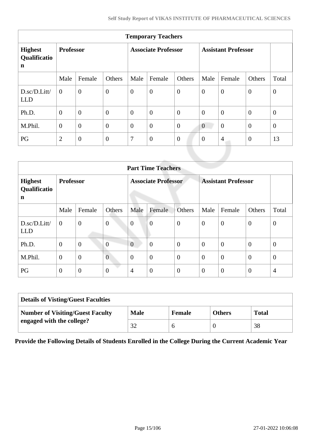| <b>Temporary Teachers</b>                     |                  |                |                            |                  |                  |                            |                |                |                |              |
|-----------------------------------------------|------------------|----------------|----------------------------|------------------|------------------|----------------------------|----------------|----------------|----------------|--------------|
| <b>Highest</b><br>Qualificatio<br>$\mathbf n$ | <b>Professor</b> |                | <b>Associate Professor</b> |                  |                  | <b>Assistant Professor</b> |                |                |                |              |
|                                               | Male             | Female         | Others                     | Male             | Female           | Others                     | Male           | Female         | Others         | Total        |
| D.sc/D.Litt/<br><b>LLD</b>                    | $\theta$         | $\overline{0}$ | $\overline{0}$             | $\boldsymbol{0}$ | $\boldsymbol{0}$ | $\boldsymbol{0}$           | $\overline{0}$ | $\theta$       | $\mathbf{0}$   | $\theta$     |
| Ph.D.                                         | $\overline{0}$   | $\overline{0}$ | $\overline{0}$             | $\overline{0}$   | $\overline{0}$   | $\overline{0}$             | $\theta$       | $\theta$       | $\mathbf{0}$   | $\theta$     |
| M.Phil.                                       | $\boldsymbol{0}$ | $\overline{0}$ | $\overline{0}$             | $\boldsymbol{0}$ | $\overline{0}$   | $\overline{0}$             | $\overline{0}$ | $\overline{0}$ | $\mathbf{0}$   | $\mathbf{0}$ |
| PG                                            | $\overline{2}$   | $\overline{0}$ | $\overline{0}$             | 7                | $\boldsymbol{0}$ | $\boldsymbol{0}$           | $\overline{0}$ | $\overline{4}$ | $\overline{0}$ | 13           |
|                                               |                  |                |                            |                  |                  |                            |                |                |                |              |

|                                     | <b>Part Time Teachers</b> |                  |                |                |                            |                  |                |                            |                |                |
|-------------------------------------|---------------------------|------------------|----------------|----------------|----------------------------|------------------|----------------|----------------------------|----------------|----------------|
| <b>Highest</b><br>Qualificatio<br>n | <b>Professor</b>          |                  |                |                | <b>Associate Professor</b> |                  |                | <b>Assistant Professor</b> |                |                |
|                                     | Male                      | Female           | Others         | Male           | Female                     | Others           | Male           | Female                     | Others         | Total          |
| D.sc/D.Litt/<br><b>LLD</b>          | $\overline{0}$            | $\boldsymbol{0}$ | $\overline{0}$ | $\overline{0}$ | $\overline{0}$             | $\overline{0}$   | $\overline{0}$ | $\overline{0}$             | $\mathbf{0}$   | $\theta$       |
| Ph.D.                               | $\theta$                  | $\mathbf{0}$     | $\overline{0}$ | $\overline{0}$ | $\overline{0}$             | $\boldsymbol{0}$ | $\theta$       | $\theta$                   | $\overline{0}$ | $\overline{0}$ |
| M.Phil.                             | $\theta$                  | $\overline{0}$   | $\overline{0}$ | $\overline{0}$ | $\boldsymbol{0}$           | $\overline{0}$   | $\overline{0}$ | $\boldsymbol{0}$           | $\theta$       | $\theta$       |
| PG                                  | $\mathbf{0}$              | $\overline{0}$   | $\overline{0}$ | $\overline{4}$ | $\boldsymbol{0}$           | $\theta$         | $\overline{0}$ | $\overline{0}$             | $\theta$       | $\overline{4}$ |

| <b>Details of Visting/Guest Faculties</b> |             |               |               |              |
|-------------------------------------------|-------------|---------------|---------------|--------------|
| <b>Number of Visiting/Guest Faculty</b>   | <b>Male</b> | <b>Female</b> | <b>Others</b> | <b>Total</b> |
| engaged with the college?                 | 32          |               |               | 38           |

**Provide the Following Details of Students Enrolled in the College During the Current Academic Year**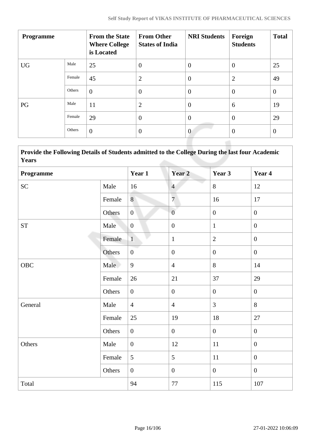|        | <b>From the State</b><br><b>Where College</b><br>is Located | <b>From Other</b><br><b>States of India</b> | <b>NRI Students</b> | Foreign<br><b>Students</b> | <b>Total</b>   |
|--------|-------------------------------------------------------------|---------------------------------------------|---------------------|----------------------------|----------------|
| Male   | 25                                                          | $\theta$                                    | $\overline{0}$      | $\overline{0}$             | 25             |
| Female | 45                                                          | $\overline{2}$                              | $\overline{0}$      | $\overline{2}$             | 49             |
| Others | $\overline{0}$                                              | $\theta$                                    | $\overline{0}$      | $\theta$                   | $\overline{0}$ |
| Male   | 11                                                          | $\overline{2}$                              | $\theta$            | 6                          | 19             |
| Female | 29                                                          | $\overline{0}$                              | $\theta$            | $\overline{0}$             | 29             |
| Others | $\overline{0}$                                              | $\overline{0}$                              | $\overline{0}$      | $\overline{0}$             | $\overline{0}$ |
|        |                                                             |                                             |                     |                            |                |

 **Provide the Following Details of Students admitted to the College During the last four Academic Years**

| Programme           |        | Year 1           | Year <sub>2</sub> | Year 3           | Year 4           |
|---------------------|--------|------------------|-------------------|------------------|------------------|
| SC                  | Male   | 16               | $\overline{4}$    | 8                | 12               |
|                     | Female | 8                | $\boldsymbol{7}$  | 16               | 17               |
|                     | Others | $\overline{0}$   | $\overline{0}$    | $\boldsymbol{0}$ | $\boldsymbol{0}$ |
| $\operatorname{ST}$ | Male   | $\mathbf{0}$     | $\boldsymbol{0}$  | $\mathbf{1}$     | $\boldsymbol{0}$ |
|                     | Female | $1\,$            | $\mathbf{1}$      | $\overline{2}$   | $\boldsymbol{0}$ |
|                     | Others | $\boldsymbol{0}$ | $\boldsymbol{0}$  | $\overline{0}$   | $\mathbf{0}$     |
| <b>OBC</b>          | Male   | 9                | $\overline{4}$    | 8                | 14               |
|                     | Female | 26               | 21                | 37               | 29               |
|                     | Others | $\overline{0}$   | $\boldsymbol{0}$  | $\overline{0}$   | $\boldsymbol{0}$ |
| General             | Male   | $\overline{4}$   | $\overline{4}$    | $\overline{3}$   | 8                |
|                     | Female | 25               | 19                | 18               | 27               |
|                     | Others | $\overline{0}$   | $\boldsymbol{0}$  | $\boldsymbol{0}$ | $\overline{0}$   |
| Others              | Male   | $\boldsymbol{0}$ | 12                | $11\,$           | $\boldsymbol{0}$ |
|                     | Female | 5                | 5                 | $11\,$           | $\boldsymbol{0}$ |
|                     | Others | $\overline{0}$   | $\boldsymbol{0}$  | $\overline{0}$   | $\overline{0}$   |
| Total               |        | 94               | 77                | 115              | 107              |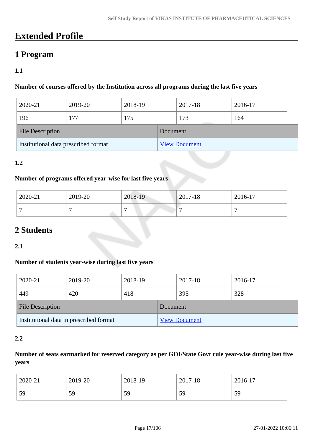## **Extended Profile**

## **1 Program**

## **1.1**

#### **Number of courses offered by the Institution across all programs during the last five years**

| 2020-21                              | 2019-20 | 2018-19 |          | 2017-18              | 2016-17 |  |
|--------------------------------------|---------|---------|----------|----------------------|---------|--|
| 196                                  | 177     | 175     |          | 173                  | 164     |  |
| <b>File Description</b>              |         |         | Document |                      |         |  |
| Institutional data prescribed format |         |         |          | <b>View Document</b> |         |  |

### **1.2**

#### **Number of programs offered year-wise for last five years**

| 2020-21 | 2019-20 | 2018-19 | $2017 - 18$ | 2016-17 |
|---------|---------|---------|-------------|---------|
|         |         | -       |             |         |

## **2 Students**

**2.1**

### **Number of students year-wise during last five years**

| 2020-21                                 | 2019-20 | 2018-19 |          | 2017-18              | 2016-17 |
|-----------------------------------------|---------|---------|----------|----------------------|---------|
| 449                                     | 420     | 418     |          | 395                  | 328     |
| <b>File Description</b>                 |         |         | Document |                      |         |
| Institutional data in prescribed format |         |         |          | <b>View Document</b> |         |

#### **2.2**

### **Number of seats earmarked for reserved category as per GOI/State Govt rule year-wise during last five years**

| 2020-21 | 2019-20 | 2018-19 | 2017-18 | 2016-17 |
|---------|---------|---------|---------|---------|
| 59      | 59      | 59      | 59      | 59      |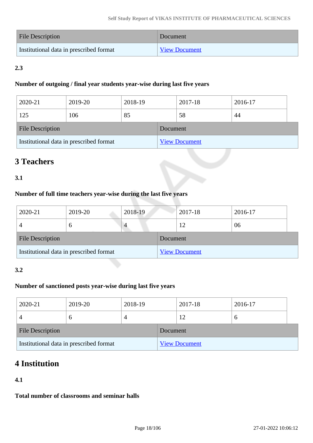| <b>File Description</b>                 | Document             |
|-----------------------------------------|----------------------|
| Institutional data in prescribed format | <b>View Document</b> |

## **2.3**

#### **Number of outgoing / final year students year-wise during last five years**

| 2020-21                                 | 2019-20 | 2018-19 |          | 2017-18              | 2016-17 |  |
|-----------------------------------------|---------|---------|----------|----------------------|---------|--|
| 125                                     | 106     | 85      |          | 58                   | 44      |  |
| <b>File Description</b>                 |         |         | Document |                      |         |  |
| Institutional data in prescribed format |         |         |          | <b>View Document</b> |         |  |

## **3 Teachers**

## **3.1**

## **Number of full time teachers year-wise during the last five years**

| 2020-21                                 | 2019-20       | 2018-19 |          | 2017-18              | 2016-17 |  |
|-----------------------------------------|---------------|---------|----------|----------------------|---------|--|
|                                         | $\mathfrak b$ | 4       |          | 12                   | 06      |  |
| <b>File Description</b>                 |               |         | Document |                      |         |  |
| Institutional data in prescribed format |               |         |          | <b>View Document</b> |         |  |

### **3.2**

## **Number of sanctioned posts year-wise during last five years**

| 2020-21                                 | 2019-20       | 2018-19 |          | 2017-18              | 2016-17     |
|-----------------------------------------|---------------|---------|----------|----------------------|-------------|
|                                         | $\mathfrak b$ |         |          | 12                   | $\mathbf b$ |
| <b>File Description</b>                 |               |         | Document |                      |             |
| Institutional data in prescribed format |               |         |          | <b>View Document</b> |             |

## **4 Institution**

### **4.1**

**Total number of classrooms and seminar halls**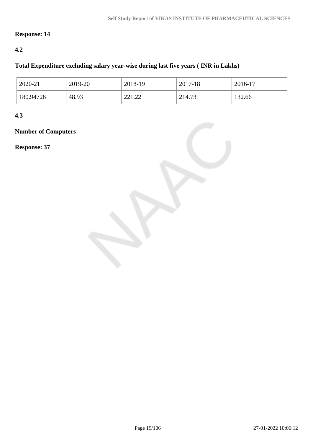## **Response: 14**

### **4.2**

### **Total Expenditure excluding salary year-wise during last five years ( INR in Lakhs)**

| 2020-21   | 2019-20 | 2018-19             | 2017-18 | 2016-17 |
|-----------|---------|---------------------|---------|---------|
| 180.94726 | 48.93   | 221.22<br>44 L . 44 | 214.73  | 132.66  |

**4.3**

## **Number of Computers**

**Response: 37**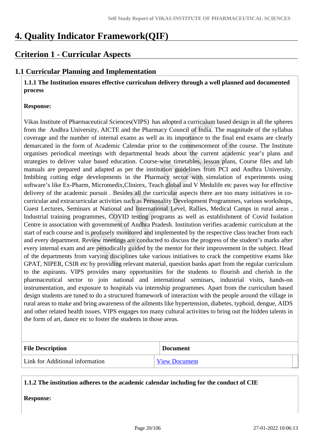## **4. Quality Indicator Framework(QIF)**

## **Criterion 1 - Curricular Aspects**

## **1.1 Curricular Planning and Implementation**

 **1.1.1 The Institution ensures effective curriculum delivery through a well planned and documented process**

#### **Response:**

Vikas Institute of Pharmaceutical Sciences(VIPS) has adopted a curriculum based design in all the spheres from the Andhra University, AICTE and the Pharmacy Council of India. The magnitude of the syllabus coverage and the number of internal exams as well as its importance to the final end exams are clearly demarcated in the form of Academic Calendar prior to the commencement of the course. The Institute organises periodical meetings with departmental heads about the current academic year's plans and strategies to deliver value based education. Course-wise timetables, lesson plans, Course files and lab manuals are prepared and adapted as per the institution guidelines from PCI and Andhra University. Imbibing cutting edge developments in the Pharmacy sector with simulation of experiments using software's like Ex-Pharm, Micromedix,Clinirex, Teach global and V Medulife etc paves way for effective delivery of the academic pursuit . Besides all the curricular aspects there are too many initiatives in cocurricular and extracurricular activities such as Personality Development Programmes, various workshops, Guest Lectures, Seminars at National and International Level, Rallies, Medical Camps in rural areas , Industrial training programmes, COVID testing programs as well as establishment of Covid Isolation Centre in association with government of Andhra Pradesh. Institution verifies academic curriculum at the start of each course and is profusely monitored and implemented by the respective class teacher from each and every department. Review meetings are conducted to discuss the progress of the student's marks after every internal exam and are periodically guided by the mentor for their improvement in the subject. Head of the departments from varying disciplines take various initiatives to crack the competitive exams like GPAT, NIPER, CSIR etc by providing relevant material, question banks apart from the regular curriculum to the aspirants. VIPS provides many opportunities for the students to flourish and cherish in the pharmaceutical sector to join national and international seminars, industrial visits, hands-on instrumentation, and exposure to hospitals via internship programmes. Apart from the curriculum based design students are tuned to do a structured framework of interaction with the people around the village in rural areas to make and bring awareness of the ailments like hypertension, diabetes, typhoid, dengue, AIDS and other related health issues. VIPS engages too many cultural activities to bring out the hidden talents in the form of art, dance etc to foster the students in those areas.

| <b>File Description</b>         | <b>Document</b>      |
|---------------------------------|----------------------|
| Link for Additional information | <b>View Document</b> |

#### **1.1.2 The institution adheres to the academic calendar including for the conduct of CIE**

**Response:**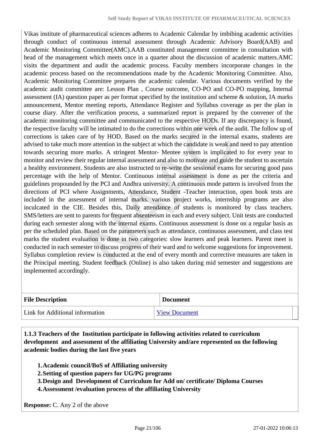Vikas institute of pharmaceutical sciences adheres to Academic Calendar by imbibing academic activities through conduct of continuous internal assessment through Academic Advisory Board(AAB) and Academic Monitoring Committee(AMC).AAB constituted management committee in consultation with head of the management which meets once in a quarter about the discussion of academic matters.AMC visits the department and audit the academic process. Faculty members incorporate changes in the academic process based on the recommendations made by the Academic Monitoring Committee. Also, Academic Monitoring Committee prepares the academic calendar. Various documents verified by the academic audit committee are: Lesson Plan , Course outcome, CO-PO and CO-PO mapping, Internal assessment (IA) question paper as per format specified by the institution and scheme & solution, IA marks announcement, Mentor meeting reports, Attendance Register and Syllabus coverage as per the plan in course diary. After the verification process, a summarized report is prepared by the convener of the academic monitoring committee and communicated to the respective HODs. If any discrepancy is found, the respective faculty will be intimated to do the corrections within one week of the audit. The follow up of corrections is taken care of by HOD. Based on the marks secured in the internal exams, students are advised to take much more attention in the subject at which the candidate is weak and need to pay attention towards securing more marks. A stringent Mentor- Mentee system is implicated to for every year to monitor and review their regular internal assessment and also to motivate and guide the student to ascertain a healthy environment. Students are also instructed to re-write the sessional exams for securing good pass percentage with the help of Mentor. Continuous internal assessment is done as per the criteria and guidelines propounded by the PCI and Andhra university. A continuous mode pattern is involved from the directions of PCI where Assignments, Attendance, Student -Teacher interaction, open book tests are included in the assessment of internal marks. various project works, internship programs are also inculcated in the CIE. Besides this, Daily attendance of students is monitored by class teachers. SMS/letters are sent to parents for frequent absenteeism in each and every subject. Unit tests are conducted during each semester along with the internal exams. Continuous assessment is done on a regular basis as per the scheduled plan. Based on the parameters such as attendance, continuous assessment, and class test marks the student evaluation is done in two categories: slow learners and peak learners. Parent meet is conducted in each semester to discuss progress of their ward and to welcome suggestions for improvement. Syllabus completion review is conducted at the end of every month and corrective measures are taken in the Principal meeting. Student feedback (Online) is also taken during mid semester and suggestions are implemented accordingly.

| <b>File Description</b>         | <b>Document</b>      |
|---------------------------------|----------------------|
| Link for Additional information | <b>View Document</b> |

 **1.1.3 Teachers of the Institution participate in following activities related to curriculum development and assessment of the affiliating University and/are represented on the following academic bodies during the last five years** 

- **1.Academic council/BoS of Affiliating university**
- **2.Setting of question papers for UG/PG programs**
- **3.Design and Development of Curriculum for Add on/ certificate/ Diploma Courses**
- **4.Assessment /evaluation process of the affiliating University**

**Response:** C. Any 2 of the above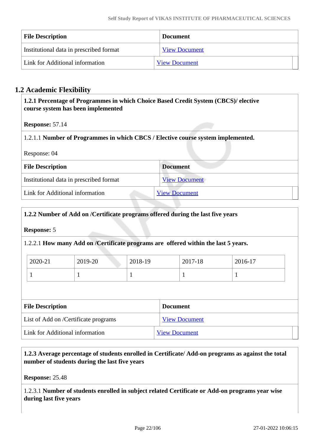| <b>File Description</b>                 | <b>Document</b>      |  |
|-----------------------------------------|----------------------|--|
| Institutional data in prescribed format | <b>View Document</b> |  |
| Link for Additional information         | <b>View Document</b> |  |

## **1.2 Academic Flexibility**

 **1.2.1 Percentage of Programmes in which Choice Based Credit System (CBCS)/ elective course system has been implemented** 

**Response:** 57.14

1.2.1.1 **Number of Programmes in which CBCS / Elective course system implemented.**

Response: 04

| <b>File Description</b>                 | <b>Document</b><br><b>View Document</b> |  |  |  |
|-----------------------------------------|-----------------------------------------|--|--|--|
| Institutional data in prescribed format |                                         |  |  |  |
| Link for Additional information         | <b>View Document</b>                    |  |  |  |

#### **1.2.2 Number of Add on /Certificate programs offered during the last five years**

#### **Response:** 5

1.2.2.1 **How many Add on /Certificate programs are offered within the last 5 years.**

| 2020-21 | 2019-20 | 2018-19 | 2017-18 | 2016-17 |
|---------|---------|---------|---------|---------|
|         |         |         |         |         |

| <b>File Description</b>              | <b>Document</b>      |  |
|--------------------------------------|----------------------|--|
| List of Add on /Certificate programs | <b>View Document</b> |  |
| Link for Additional information      | <b>View Document</b> |  |

 **1.2.3 Average percentage of students enrolled in Certificate/ Add-on programs as against the total number of students during the last five years**

**Response:** 25.48

1.2.3.1 **Number of students enrolled in subject related Certificate or Add-on programs year wise during last five years**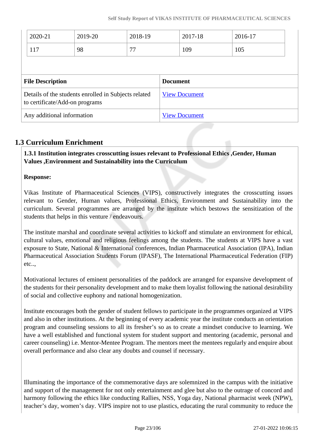|                         | 2020-21                        | 2019-20                                              | 2018-19 |                 | 2017-18              | 2016-17 |  |
|-------------------------|--------------------------------|------------------------------------------------------|---------|-----------------|----------------------|---------|--|
|                         | 117                            | 98                                                   | 77      |                 | 109                  | 105     |  |
|                         |                                |                                                      |         |                 |                      |         |  |
| <b>File Description</b> |                                |                                                      |         |                 |                      |         |  |
|                         |                                |                                                      |         | <b>Document</b> |                      |         |  |
|                         | to certificate/Add-on programs | Details of the students enrolled in Subjects related |         |                 | <b>View Document</b> |         |  |

### **1.3 Curriculum Enrichment**

 **1.3.1 Institution integrates crosscutting issues relevant to Professional Ethics ,Gender, Human Values ,Environment and Sustainability into the Curriculum**

#### **Response:**

Vikas Institute of Pharmaceutical Sciences (VIPS), constructively integrates the crosscutting issues relevant to Gender, Human values, Professional Ethics, Environment and Sustainability into the curriculum. Several programmes are arranged by the institute which bestows the sensitization of the students that helps in this venture / endeavours.

The institute marshal and coordinate several activities to kickoff and stimulate an environment for ethical, cultural values, emotional and religious feelings among the students. The students at VIPS have a vast exposure to State, National & International conferences, Indian Pharmaceutical Association (IPA), Indian Pharmaceutical Association Students Forum (IPASF), The International Pharmaceutical Federation (FIP) etc..,

Motivational lectures of eminent personalities of the paddock are arranged for expansive development of the students for their personality development and to make them loyalist following the national desirability of social and collective euphony and national homogenization.

Institute encourages both the gender of student fellows to participate in the programmes organized at VIPS and also in other institutions. At the beginning of every academic year the institute conducts an orientation program and counseling sessions to all its fresher's so as to create a mindset conducive to learning. We have a well established and functional system for student support and mentoring (academic, personal and career counseling) i.e. Mentor-Mentee Program. The mentors meet the mentees regularly and enquire about overall performance and also clear any doubts and counsel if necessary.

Illuminating the importance of the commemorative days are solemnized in the campus with the initiative and support of the management for not only entertainment and glee but also to the outrage of concord and harmony following the ethics like conducting Rallies, NSS, Yoga day, National pharmacist week (NPW), teacher's day, women's day. VIPS inspire not to use plastics, educating the rural community to reduce the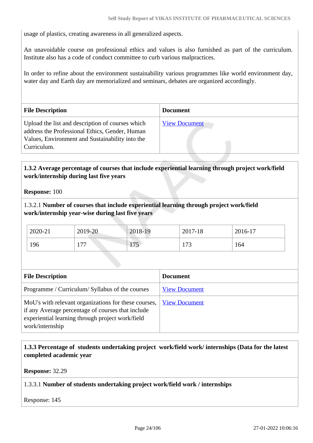usage of plastics, creating awareness in all generalized aspects.

An unavoidable course on professional ethics and values is also furnished as part of the curriculum. Institute also has a code of conduct committee to curb various malpractices.

In order to refine about the environment sustainability various programmes like world environment day, water day and Earth day are memorialized and seminars, debates are organized accordingly.

| <b>File Description</b>                                                                                                                                              | <b>Document</b>      |
|----------------------------------------------------------------------------------------------------------------------------------------------------------------------|----------------------|
| Upload the list and description of courses which<br>address the Professional Ethics, Gender, Human<br>Values, Environment and Sustainability into the<br>Curriculum. | <b>View Document</b> |

### **1.3.2 Average percentage of courses that include experiential learning through project work/field work/internship during last five years**

**Response:** 100

1.3.2.1 **Number of courses that include experiential learning through project work/field work/internship year-wise during last five years**

| 2020-21 | 2019-20            | 2018-19                           | 2017-18 | 2016-17 |
|---------|--------------------|-----------------------------------|---------|---------|
| 196     | 77<br>1 <i>I I</i> | $\overline{a}$<br>$\perp$ $\perp$ | 173     | 164     |

| <b>File Description</b>                                                                                                                                                          | <b>Document</b>      |
|----------------------------------------------------------------------------------------------------------------------------------------------------------------------------------|----------------------|
| Programme / Curriculum/ Syllabus of the courses                                                                                                                                  | <b>View Document</b> |
| MoU's with relevant organizations for these courses,<br>if any Average percentage of courses that include<br>experiential learning through project work/field<br>work/internship | <b>View Document</b> |

### **1.3.3 Percentage of students undertaking project work/field work/ internships (Data for the latest completed academic year**

**Response:** 32.29

#### 1.3.3.1 **Number of students undertaking project work/field work / internships**

Response: 145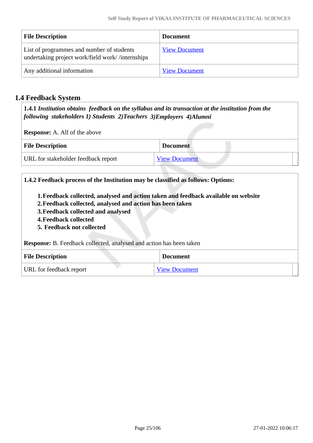| <b>File Description</b>                                                                       | Document             |
|-----------------------------------------------------------------------------------------------|----------------------|
| List of programmes and number of students<br>undertaking project work/field work//internships | <b>View Document</b> |
| Any additional information                                                                    | <b>View Document</b> |

## **1.4 Feedback System**

 **1.4.1** *Institution obtains feedback on the syllabus and its transaction at the institution from the following stakeholders 1) Students 2)Teachers 3)Employers 4)Alumni* 

**Response:** A. All of the above

| <b>File Description</b>             | <b>Document</b>      |
|-------------------------------------|----------------------|
| URL for stakeholder feedback report | <b>View Document</b> |

| 1.4.2 Feedback process of the Institution may be classified as follows: Options:                                                                                                                                                            |  |  |
|---------------------------------------------------------------------------------------------------------------------------------------------------------------------------------------------------------------------------------------------|--|--|
| 1. Feedback collected, analysed and action taken and feedback available on website<br>2. Feedback collected, analysed and action has been taken<br>3. Feedback collected and analysed<br>4. Feedback collected<br>5. Feedback not collected |  |  |
| Response: B. Feedback collected, analysed and action has been taken                                                                                                                                                                         |  |  |
| <b>File Description</b><br><b>Document</b>                                                                                                                                                                                                  |  |  |
| URL for feedback report<br><b>View Document</b>                                                                                                                                                                                             |  |  |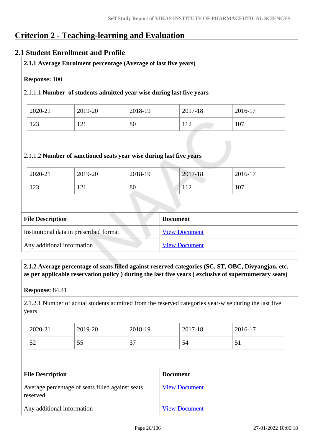## **Criterion 2 - Teaching-learning and Evaluation**

### **2.1 Student Enrollment and Profile**

| <b>Response: 100</b>    |                                         |                                                                      |                      |         |
|-------------------------|-----------------------------------------|----------------------------------------------------------------------|----------------------|---------|
|                         |                                         | 2.1.1.1 Number of students admitted year-wise during last five years |                      |         |
| 2020-21                 | 2019-20                                 | 2018-19                                                              | 2017-18              | 2016-17 |
| 123                     | 121                                     | 80                                                                   | 112                  | 107     |
|                         |                                         | 2.1.1.2 Number of sanctioned seats year wise during last five years  |                      |         |
| 2020-21                 | 2019-20                                 | 2018-19                                                              | 2017-18              | 2016-17 |
| 123                     | 121                                     | 80                                                                   | 112                  | 107     |
|                         |                                         |                                                                      |                      |         |
|                         |                                         |                                                                      |                      |         |
|                         |                                         |                                                                      | <b>Document</b>      |         |
| <b>File Description</b> | Institutional data in prescribed format |                                                                      | <b>View Document</b> |         |

#### **2.1.2 Average percentage of seats filled against reserved categories (SC, ST, OBC, Divyangjan, etc. as per applicable reservation policy ) during the last five years ( exclusive of supernumerary seats)**

**Response:** 84.41

2.1.2.1 Number of actual students admitted from the reserved categories year-wise during the last five years

| 2020-21    | 2019-20  | 2018-19 | 2017-18 | 2016-17          |
|------------|----------|---------|---------|------------------|
| r n<br>ے ر | 55<br>IJ | 37      | 54      | $\epsilon$<br>IJ |

| <b>File Description</b>                                      | <b>Document</b>      |
|--------------------------------------------------------------|----------------------|
| Average percentage of seats filled against seats<br>reserved | <b>View Document</b> |
| Any additional information                                   | <b>View Document</b> |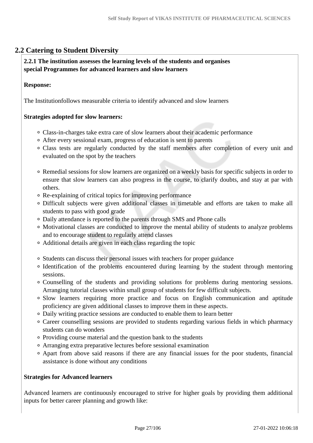## **2.2 Catering to Student Diversity**

#### **2.2.1 The institution assesses the learning levels of the students and organises special Programmes for advanced learners and slow learners**

#### **Response:**

The Institutionfollows measurable criteria to identify advanced and slow learners

#### **Strategies adopted for slow learners:**

- Class-in-charges take extra care of slow learners about their academic performance
- After every sessional exam, progress of education is sent to parents
- Class tests are regularly conducted by the staff members after completion of every unit and evaluated on the spot by the teachers
- Remedial sessions for slow learners are organized on a weekly basis for specific subjects in order to ensure that slow learners can also progress in the course, to clarify doubts, and stay at par with others.
- Re-explaining of critical topics for improving performance
- Difficult subjects were given additional classes in timetable and efforts are taken to make all students to pass with good grade
- Daily attendance is reported to the parents through SMS and Phone calls
- Motivational classes are conducted to improve the mental ability of students to analyze problems and to encourage student to regularly attend classes
- Additional details are given in each class regarding the topic
- Students can discuss their personal issues with teachers for proper guidance
- Identification of the problems encountered during learning by the student through mentoring sessions.
- Counselling of the students and providing solutions for problems during mentoring sessions. Arranging tutorial classes within small group of students for few difficult subjects.
- Slow learners requiring more practice and focus on English communication and aptitude proficiency are given additional classes to improve them in these aspects.
- Daily writing practice sessions are conducted to enable them to learn better
- Career counselling sessions are provided to students regarding various fields in which pharmacy students can do wonders
- Providing course material and the question bank to the students
- Arranging extra preparative lectures before sessional examination
- Apart from above said reasons if there are any financial issues for the poor students, financial assistance is done without any conditions

#### **Strategies for Advanced learners**

Advanced learners are continuously encouraged to strive for higher goals by providing them additional inputs for better career planning and growth like: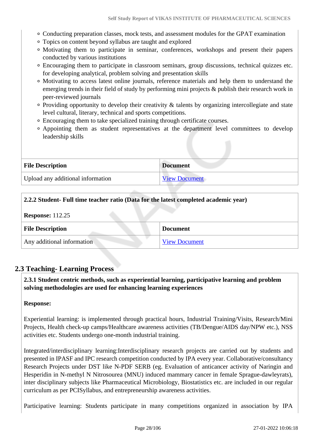- Conducting preparation classes, mock tests, and assessment modules for the GPAT examination
- Topics on content beyond syllabus are taught and explored
- Motivating them to participate in seminar, conferences, workshops and present their papers conducted by various institutions
- Encouraging them to participate in classroom seminars, group discussions, technical quizzes etc. for developing analytical, problem solving and presentation skills
- Motivating to access latest online journals, reference materials and help them to understand the emerging trends in their field of study by performing mini projects & publish their research work in peer-reviewed journals
- Providing opportunity to develop their creativity & talents by organizing intercollegiate and state level cultural, literary, technical and sports competitions.
- Encouraging them to take specialized training through certificate courses.
- Appointing them as student representatives at the department level committees to develop leadership skills

| <b>File Description</b>           | <b>Document</b>      |
|-----------------------------------|----------------------|
| Upload any additional information | <b>View Document</b> |

#### **2.2.2 Student- Full time teacher ratio (Data for the latest completed academic year)**

**Response:** 112.25

| <b>File Description</b>    | <b>Document</b>      |
|----------------------------|----------------------|
| Any additional information | <b>View Document</b> |

### **2.3 Teaching- Learning Process**

 **2.3.1 Student centric methods, such as experiential learning, participative learning and problem solving methodologies are used for enhancing learning experiences**

#### **Response:**

Experiential learning: is implemented through practical hours, Industrial Training/Visits, Research/Mini Projects, Health check-up camps/Healthcare awareness activities (TB/Dengue/AIDS day/NPW etc.), NSS activities etc. Students undergo one-month industrial training.

Integrated/interdisciplinary learning:Interdisciplinary research projects are carried out by students and presented in IPASF and IPC research competition conducted by IPA every year. Collaborative/consultancy Research Projects under DST like N-PDF SERB (eg. Evaluation of anticancer activity of Naringin and Hesperidin in N-methyl N Nitrosourea (MNU) induced mammary cancer in female Sprague-dawleyrats), inter disciplinary subjects like Pharmaceutical Microbiology, Biostatistics etc. are included in our regular curriculum as per PCISyllabus, and entrepreneurship awareness activities.

Participative learning: Students participate in many competitions organized in association by IPA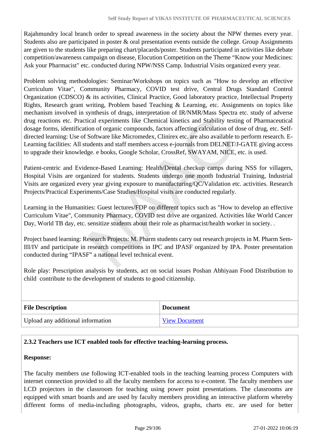Rajahmundry local branch order to spread awareness in the society about the NPW themes every year. Students also are participated in poster & oral presentation events outside the college. Group Assignments are given to the students like preparing chart/placards/poster. Students participated in activities like debate competition/awareness campaign on disease, Elocution Competition on the Theme "Know your Medicines: Ask your Pharmacist" etc. conducted during NPW/NSS Camp. Industrial Visits organized every year.

Problem solving methodologies: Seminar/Workshops on topics such as "How to develop an effective Curriculum Vitae", Community Pharmacy, COVID test drive, Central Drugs Standard Control Organization (CDSCO) & its activities, Clinical Practice, Good laboratory practice, Intellectual Property Rights, Research grant writing, Problem based Teaching & Learning, etc. Assignments on topics like mechanism involved in synthesis of drugs, interpretation of IR/NMR/Mass Spectra etc. study of adverse drug reactions etc. Practical experiments like Chemical kinetics and Stability testing of Pharmaceutical dosage forms, identification of organic compounds, factors affecting calculation of dose of drug, etc. Selfdirected learning: Use of Software like Micromedex, Clinirex etc. are also available to perform research. E-Learning facilities: All students and staff members access e-journals from DELNET/J-GATE giving access to upgrade their knowledge. e books, Google Scholar, CrossRef, SWAYAM, NICE, etc. is used.

Patient-centric and Evidence-Based Learning: Health/Dental checkup camps during NSS for villagers, Hospital Visits are organized for students. Students undergo one month Industrial Training, Industrial Visits are organized every year giving exposure to manufacturing/QC/Validation etc. activities. Research Projects/Practical Experiments/Case Studies/Hospital visits are conducted regularly.

Learning in the Humanities: Guest lectures/FDP on different topics such as "How to develop an effective Curriculum Vitae", Community Pharmacy, COVID test drive are organized. Activities like World Cancer Day, World TB day, etc. sensitize students about their role as pharmacist/health worker in society. .

Project based learning: Research Projects: M. Pharm students carry out research projects in M. Pharm Sem-III/IV and participate in research competitions in IPC and IPASF organized by IPA. Poster presentation conducted during "IPASF" a national level technical event.

Role play: Prescription analysis by students, act on social issues Poshan Abhiyaan Food Distribution to child contribute to the development of students to good citizenship.

| <b>File Description</b>           | <b>Document</b>      |
|-----------------------------------|----------------------|
| Upload any additional information | <b>View Document</b> |

#### **2.3.2 Teachers use ICT enabled tools for effective teaching-learning process.**

#### **Response:**

The faculty members use following ICT-enabled tools in the teaching learning process Computers with internet connection provided to all the faculty members for access to e-content. The faculty members use LCD projectors in the classroom for teaching using power point presentations. The classrooms are equipped with smart boards and are used by faculty members providing an interactive platform whereby different forms of media-including photographs, videos, graphs, charts etc. are used for better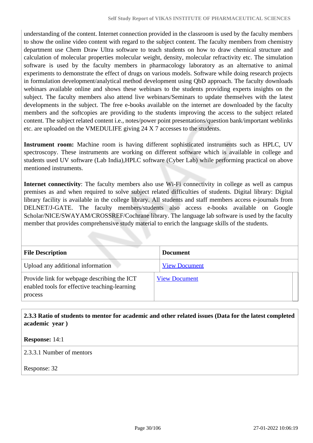understanding of the content. Internet connection provided in the classroom is used by the faculty members to show the online video content with regard to the subject content. The faculty members from chemistry department use Chem Draw Ultra software to teach students on how to draw chemical structure and calculation of molecular properties molecular weight, density, molecular refractivity etc. The simulation software is used by the faculty members in pharmacology laboratory as an alternative to animal experiments to demonstrate the effect of drugs on various models. Software while doing research projects in formulation development/analytical method development using QbD approach. The faculty downloads webinars available online and shows these webinars to the students providing experts insights on the subject. The faculty members also attend live webinars/Seminars to update themselves with the latest developments in the subject. The free e-books available on the internet are downloaded by the faculty members and the softcopies are providing to the students improving the access to the subject related content. The subject related content i.e., notes/power point presentations/question bank/important weblinks etc. are uploaded on the VMEDULIFE giving 24 X 7 accesses to the students.

**Instrument room:** Machine room is having different sophisticated instruments such as HPLC, UV spectroscopy. These instruments are working on different software which is available in college and students used UV software (Lab India),HPLC software (Cyber Lab) while performing practical on above mentioned instruments.

**Internet connectivity**: The faculty members also use Wi-Fi connectivity in college as well as campus premises as and when required to solve subject related difficulties of students. Digital library: Digital library facility is available in the college library. All students and staff members access e-journals from DELNET/J-GATE. The faculty members/students also access e-books available on Google Scholar/NICE/SWAYAM/CROSSREF/Cochrane library. The language lab software is used by the faculty member that provides comprehensive study material to enrich the language skills of the students.

| <b>File Description</b>                                                                                 | <b>Document</b>      |
|---------------------------------------------------------------------------------------------------------|----------------------|
| Upload any additional information                                                                       | <b>View Document</b> |
| Provide link for webpage describing the ICT<br>enabled tools for effective teaching-learning<br>process | <b>View Document</b> |

 **2.3.3 Ratio of students to mentor for academic and other related issues (Data for the latest completed academic year )**

**Response:** 14:1

2.3.3.1 Number of mentors

Response: 32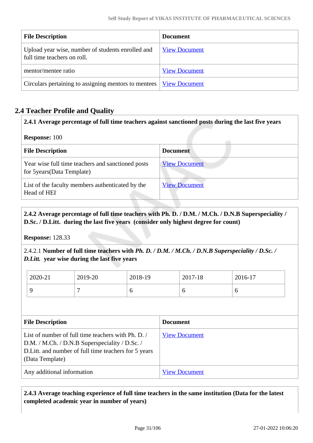| <b>File Description</b>                                                          | <b>Document</b>      |
|----------------------------------------------------------------------------------|----------------------|
| Upload year wise, number of students enrolled and<br>full time teachers on roll. | <b>View Document</b> |
| mentor/mentee ratio                                                              | <b>View Document</b> |
| Circulars pertaining to assigning mentors to mentees   <u>View Document</u>      |                      |

## **2.4 Teacher Profile and Quality**

#### **2.4.1 Average percentage of full time teachers against sanctioned posts during the last five years**

#### **Response:** 100

| <b>File Description</b>                                                          | <b>Document</b>      |
|----------------------------------------------------------------------------------|----------------------|
| Year wise full time teachers and sanctioned posts<br>for 5 years (Data Template) | <b>View Document</b> |
| List of the faculty members authenticated by the<br>Head of HEI                  | <b>View Document</b> |

### **2.4.2 Average percentage of full time teachers with Ph. D. / D.M. / M.Ch. / D.N.B Superspeciality / D.Sc. / D.Litt. during the last five years (consider only highest degree for count)**

**Response:** 128.33

2.4.2.1 **Number of full time teachers with** *Ph. D. / D.M. / M.Ch. / D.N.B Superspeciality / D.Sc. / D.Litt.* **year wise during the last five years**

| 2020-21 | 2019-20 | 2018-19 | 2017-18 | 2016-17 |
|---------|---------|---------|---------|---------|
|         |         | ິ       |         | v       |

| <b>File Description</b>                                                                                                                                                        | <b>Document</b>      |
|--------------------------------------------------------------------------------------------------------------------------------------------------------------------------------|----------------------|
| List of number of full time teachers with Ph. D.<br>D.M. / M.Ch. / D.N.B Superspeciality / D.Sc. /<br>D. Litt. and number of full time teachers for 5 years<br>(Data Template) | <b>View Document</b> |
| Any additional information                                                                                                                                                     | <b>View Document</b> |

### **2.4.3 Average teaching experience of full time teachers in the same institution (Data for the latest completed academic year in number of years)**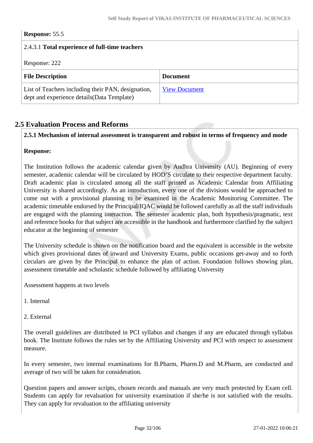## **Response:** 55.5 2.4.3.1 **Total experience of full-time teachers** Response: 222 **File Description Document** List of Teachers including their PAN, designation, dept and experience details(Data Template) [View Document](https://assessmentonline.naac.gov.in/storage/app/hei/SSR/110409/2.4.3_1632119255_6821.xlsx)

## **2.5 Evaluation Process and Reforms**

#### **2.5.1 Mechanism of internal assessment is transparent and robust in terms of frequency and mode**

#### **Response:**

The Institution follows the academic calendar given by Andhra University (AU). Beginning of every semester, academic calendar will be circulated by HOD'S circulate to their respective department faculty. Draft academic plan is circulated among all the staff printed as Academic Calendar from Affiliating University is shared accordingly. As an introduction, every one of the divisions would be approached to come out with a provisional planning to be examined in the Academic Monitoring Committee. The academic timetable endorsed by the Principal/IQAC would be followed carefully as all the staff individuals are engaged with the planning interaction. The semester academic plan, both hypothesis/pragmatic, text and reference books for that subject are accessible in the handbook and furthermore clarified by the subject educator at the beginning of semester

The University schedule is shown on the notification board and the equivalent is accessible in the website which gives provisional dates of inward and University Exams, public occasions get-away and so forth circulars are given by the Principal to enhance the plan of action. Foundation follows showing plan, assessment timetable and scholastic schedule followed by affiliating University

Assessment happens at two levels

- 1. Internal
- 2. External

The overall guidelines are distributed in PCI syllabus and changes if any are educated through syllabus book. The Institute follows the rules set by the Affiliating University and PCI with respect to assessment measure.

In every semester, two internal examinations for B.Pharm, Pharm.D and M.Pharm, are conducted and average of two will be taken for consideration.

Question papers and answer scripts, chosen records and manuals are very much protected by Exam cell. Students can apply for revaluation for university examination if she/he is not satisfied with the results. They can apply for revaluation to the affiliating university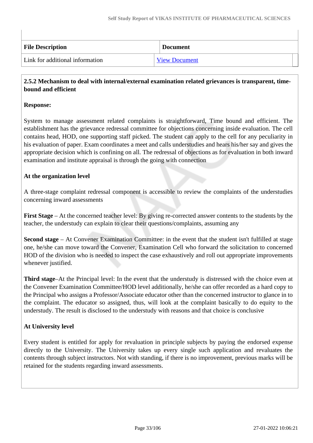| <b>File Description</b>         | <b>Document</b>      |
|---------------------------------|----------------------|
| Link for additional information | <b>View Document</b> |

#### **2.5.2 Mechanism to deal with internal/external examination related grievances is transparent, timebound and efficient**

#### **Response:**

System to manage assessment related complaints is straightforward, Time bound and efficient. The establishment has the grievance redressal committee for objections concerning inside evaluation. The cell contains head, HOD, one supporting staff picked. The student can apply to the cell for any peculiarity in his evaluation of paper. Exam coordinates a meet and calls understudies and hears his/her say and gives the appropriate decision which is confining on all. The redressal of objections as for evaluation in both inward examination and institute appraisal is through the going with connection

#### **At the organization level**

A three-stage complaint redressal component is accessible to review the complaints of the understudies concerning inward assessments

**First Stage** – At the concerned teacher level: By giving re-corrected answer contents to the students by the teacher, the understudy can explain to clear their questions/complaints, assuming any

**Second stage** – At Convener Examination Committee: in the event that the student isn't fulfilled at stage one, he/she can move toward the Convener, Examination Cell who forward the solicitation to concerned HOD of the division who is needed to inspect the case exhaustively and roll out appropriate improvements whenever justified.

**Third stage**–At the Principal level: In the event that the understudy is distressed with the choice even at the Convener Examination Committee/HOD level additionally, he/she can offer recorded as a hard copy to the Principal who assigns a Professor/Associate educator other than the concerned instructor to glance in to the complaint. The educator so assigned, thus, will look at the complaint basically to do equity to the understudy. The result is disclosed to the understudy with reasons and that choice is conclusive

#### **At University level**

Every student is entitled for apply for revaluation in principle subjects by paying the endorsed expense directly to the University. The University takes up every single such application and revaluates the contents through subject instructors. Not with standing, if there is no improvement, previous marks will be retained for the students regarding inward assessments.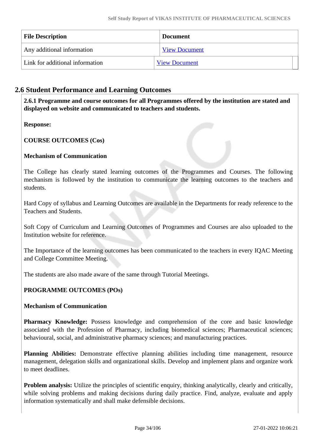| <b>File Description</b>         | <b>Document</b>      |  |
|---------------------------------|----------------------|--|
| Any additional information      | <b>View Document</b> |  |
| Link for additional information | <b>View Document</b> |  |

## **2.6 Student Performance and Learning Outcomes**

 **2.6.1 Programme and course outcomes for all Programmes offered by the institution are stated and displayed on website and communicated to teachers and students.**

### **Response:**

### **COURSE OUTCOMES (Cos)**

### **Mechanism of Communication**

The College has clearly stated learning outcomes of the Programmes and Courses. The following mechanism is followed by the institution to communicate the learning outcomes to the teachers and students.

Hard Copy of syllabus and Learning Outcomes are available in the Departments for ready reference to the Teachers and Students.

Soft Copy of Curriculum and Learning Outcomes of Programmes and Courses are also uploaded to the Institution website for reference.

The Importance of the learning outcomes has been communicated to the teachers in every IQAC Meeting and College Committee Meeting.

The students are also made aware of the same through Tutorial Meetings.

### **PROGRAMME OUTCOMES (POs)**

#### **Mechanism of Communication**

**Pharmacy Knowledge:** Possess knowledge and comprehension of the core and basic knowledge associated with the Profession of Pharmacy, including biomedical sciences; Pharmaceutical sciences; behavioural, social, and administrative pharmacy sciences; and manufacturing practices.

**Planning Abilities:** Demonstrate effective planning abilities including time management, resource management, delegation skills and organizational skills. Develop and implement plans and organize work to meet deadlines.

**Problem analysis:** Utilize the principles of scientific enquiry, thinking analytically, clearly and critically, while solving problems and making decisions during daily practice. Find, analyze, evaluate and apply information systematically and shall make defensible decisions.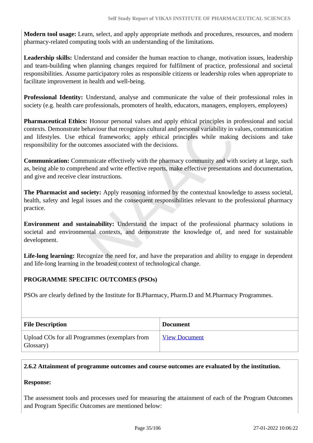**Modern tool usage:** Learn, select, and apply appropriate methods and procedures, resources, and modern pharmacy-related computing tools with an understanding of the limitations.

**Leadership skills:** Understand and consider the human reaction to change, motivation issues, leadership and team-building when planning changes required for fulfilment of practice, professional and societal responsibilities. Assume participatory roles as responsible citizens or leadership roles when appropriate to facilitate improvement in health and well-being.

**Professional Identity:** Understand, analyse and communicate the value of their professional roles in society (e.g. health care professionals, promoters of health, educators, managers, employers, employees)

**Pharmaceutical Ethics:** Honour personal values and apply ethical principles in professional and social contexts. Demonstrate behaviour that recognizes cultural and personal variability in values, communication and lifestyles. Use ethical frameworks; apply ethical principles while making decisions and take responsibility for the outcomes associated with the decisions.

**Communication:** Communicate effectively with the pharmacy community and with society at large, such as, being able to comprehend and write effective reports, make effective presentations and documentation, and give and receive clear instructions.

**The Pharmacist and society:** Apply reasoning informed by the contextual knowledge to assess societal, health, safety and legal issues and the consequent responsibilities relevant to the professional pharmacy practice.

**Environment and sustainability:** Understand the impact of the professional pharmacy solutions in societal and environmental contexts, and demonstrate the knowledge of, and need for sustainable development.

**Life-long learning:** Recognize the need for, and have the preparation and ability to engage in dependent and life-long learning in the broadest context of technological change.

#### **PROGRAMME SPECIFIC OUTCOMES (PSOs)**

PSOs are clearly defined by the Institute for B.Pharmacy, Pharm.D and M.Pharmacy Programmes.

| <b>File Description</b>                                    | <b>Document</b>      |
|------------------------------------------------------------|----------------------|
| Upload COs for all Programmes (exemplars from<br>Glossary) | <b>View Document</b> |

### **2.6.2 Attainment of programme outcomes and course outcomes are evaluated by the institution.**

#### **Response:**

The assessment tools and processes used for measuring the attainment of each of the Program Outcomes and Program Specific Outcomes are mentioned below: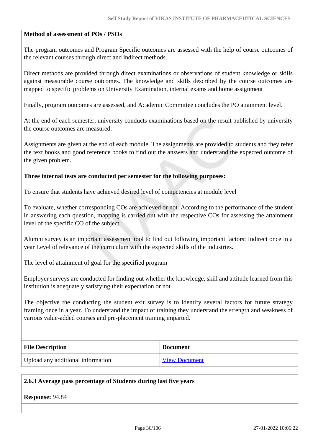#### **Method of assessment of POs / PSOs**

The program outcomes and Program Specific outcomes are assessed with the help of course outcomes of the relevant courses through direct and indirect methods.

Direct methods are provided through direct examinations or observations of student knowledge or skills against measurable course outcomes. The knowledge and skills described by the course outcomes are mapped to specific problems on University Examination, internal exams and home assignment

Finally, program outcomes are assessed, and Academic Committee concludes the PO attainment level.

At the end of each semester, university conducts examinations based on the result published by university the course outcomes are measured.

Assignments are given at the end of each module. The assignments are provided to students and they refer the text books and good reference books to find out the answers and understand the expected outcome of the given problem.

#### **Three internal tests are conducted per semester for the following purposes:**

To ensure that students have achieved desired level of competencies at module level

To evaluate, whether corresponding COs are achieved or not. According to the performance of the student in answering each question, mapping is carried out with the respective COs for assessing the attainment level of the specific CO of the subject.

Alumni survey is an important assessment tool to find out following important factors: Indirect once in a year Level of relevance of the curriculum with the expected skills of the industries.

The level of attainment of goal for the specified program

Employer surveys are conducted for finding out whether the knowledge, skill and attitude learned from this institution is adequately satisfying their expectation or not.

The objective the conducting the student exit survey is to identify several factors for future strategy framing once in a year. To understand the impact of training they understand the strength and weakness of various value-added courses and pre-placement training imparted.

| <b>File Description</b>           | <b>Document</b>      |
|-----------------------------------|----------------------|
| Upload any additional information | <b>View Document</b> |

#### **2.6.3 Average pass percentage of Students during last five years**

**Response:** 94.84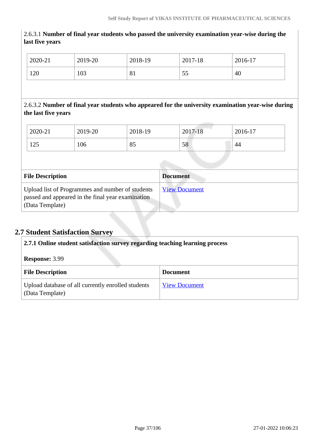| 2020-21                                                                                                                   | 2019-20 | 2018-19 |                 | 2017-18              | 2016-17 |  |
|---------------------------------------------------------------------------------------------------------------------------|---------|---------|-----------------|----------------------|---------|--|
| 120                                                                                                                       | 103     | 81      |                 | 55                   | 40      |  |
|                                                                                                                           |         |         |                 |                      |         |  |
| 2.6.3.2 Number of final year students who appeared for the university examination year-wise during<br>the last five years |         |         |                 |                      |         |  |
| 2020-21                                                                                                                   | 2019-20 | 2018-19 |                 | 2017-18              | 2016-17 |  |
| 125                                                                                                                       | 106     | 85      |                 | 58                   | 44      |  |
|                                                                                                                           |         |         |                 |                      |         |  |
| <b>File Description</b>                                                                                                   |         |         | <b>Document</b> |                      |         |  |
| Upload list of Programmes and number of students<br>passed and appeared in the final year examination<br>(Data Template)  |         |         |                 | <b>View Document</b> |         |  |

2.6.3.1 **Number of final year students who passed the university examination year-wise during the**

# **2.7 Student Satisfaction Survey**

**last five years**

| 2.7.1 Online student satisfaction survey regarding teaching learning process |                      |  |
|------------------------------------------------------------------------------|----------------------|--|
| <b>Response: 3.99</b>                                                        |                      |  |
| <b>File Description</b>                                                      | <b>Document</b>      |  |
| Upload database of all currently enrolled students<br>(Data Template)        | <b>View Document</b> |  |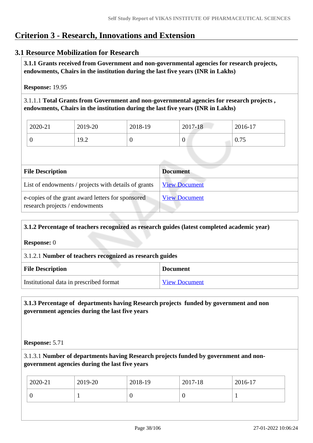# **Criterion 3 - Research, Innovations and Extension**

### **3.1 Resource Mobilization for Research**

 **3.1.1 Grants received from Government and non-governmental agencies for research projects, endowments, Chairs in the institution during the last five years (INR in Lakhs)** 

**Response:** 19.95

3.1.1.1 **Total Grants from Government and non-governmental agencies for research projects , endowments, Chairs in the institution during the last five years (INR in Lakhs)**

| 2020-21 | 2019-20             | 2018-19 | 2017-18          | 2016-17 |
|---------|---------------------|---------|------------------|---------|
|         | 10 $\Omega$<br>17.4 | v       | $\boldsymbol{0}$ | 0.75    |

| <b>File Description</b>                                                             | <b>Document</b>      |
|-------------------------------------------------------------------------------------|----------------------|
| List of endowments / projects with details of grants                                | <b>View Document</b> |
| e-copies of the grant award letters for sponsored<br>research projects / endowments | <b>View Document</b> |

| 3.1.2 Percentage of teachers recognized as research guides (latest completed academic year) |                      |  |  |
|---------------------------------------------------------------------------------------------|----------------------|--|--|
| <b>Response:</b> 0                                                                          |                      |  |  |
| 3.1.2.1 Number of teachers recognized as research guides                                    |                      |  |  |
| <b>File Description</b><br><b>Document</b>                                                  |                      |  |  |
| Institutional data in prescribed format                                                     | <b>View Document</b> |  |  |

### **3.1.3 Percentage of departments having Research projects funded by government and non government agencies during the last five years**

### **Response:** 5.71

3.1.3.1 **Number of departments having Research projects funded by government and nongovernment agencies during the last five years**

| 2020-21 | 2019-20 | 2018-19 | 2017-18 | 2016-17 |
|---------|---------|---------|---------|---------|
|         |         | ິ       |         |         |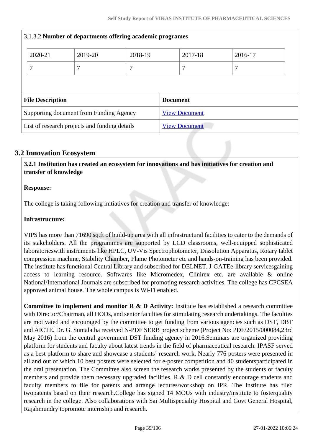|                                               | 3.1.3.2 Number of departments offering academic programes |         |                      |                      |         |         |  |
|-----------------------------------------------|-----------------------------------------------------------|---------|----------------------|----------------------|---------|---------|--|
|                                               | 2020-21                                                   | 2019-20 | 2018-19              |                      | 2017-18 | 2016-17 |  |
|                                               | 7                                                         | 7       | 7                    |                      |         | 7       |  |
|                                               |                                                           |         |                      |                      |         |         |  |
|                                               | <b>File Description</b><br><b>Document</b>                |         |                      |                      |         |         |  |
| Supporting document from Funding Agency       |                                                           |         | <b>View Document</b> |                      |         |         |  |
| List of research projects and funding details |                                                           |         |                      | <b>View Document</b> |         |         |  |

# **3.2 Innovation Ecosystem**

 **3.2.1 Institution has created an ecosystem for innovations and has initiatives for creation and transfer of knowledge**

### **Response:**

The college is taking following initiatives for creation and transfer of knowledge:

### **Infrastructure:**

VIPS has more than 71690 sq.ft of build-up area with all infrastructural facilities to cater to the demands of its stakeholders. All the programmes are supported by LCD classrooms, well-equipped sophisticated laboratorieswith instruments like HPLC, UV-Vis Spectrophotometer, Dissolution Apparatus, Rotary tablet compression machine, Stability Chamber, Flame Photometer etc and hands-on-training has been provided. The institute has functional Central Library and subscribed for DELNET, J-GATEe-library servicesgaining access to learning resource. Softwares like Micromedex, Clinirex etc. are available & online National/International Journals are subscribed for promoting research activities. The college has CPCSEA approved animal house. The whole campus is Wi-Fi enabled.

**Committee to implement and monitor R & D Activity:** Institute has established a research committee with Director/Chairman, all HODs, and senior faculties for stimulating research undertakings. The faculties are motivated and encouraged by the committee to get funding from various agencies such as DST, DBT and AICTE. Dr. G. Sumalatha received N-PDF SERB project scheme (Project No: PDF/2015/000084,23rd May 2016) from the central government DST funding agency in 2016.Seminars are organized providing platform for students and faculty about latest trends in the field of pharmaceutical research. IPASF served as a best platform to share and showcase a students' research work. Nearly 776 posters were presented in all and out of which 10 best posters were selected for e-poster competition and 40 studentsparticipated in the oral presentation. The Committee also screen the research works presented by the students or faculty members and provide them necessary upgraded facilities. R & D cell constantly encourage students and faculty members to file for patents and arrange lectures/workshop on IPR. The Institute has filed twopatents based on their research.College has signed 14 MOUs with industry/institute to fosterquality research in the college. Also collaborations with Sai Multispeciality Hospital and Govt General Hospital, Rajahmundry topromote internship and research.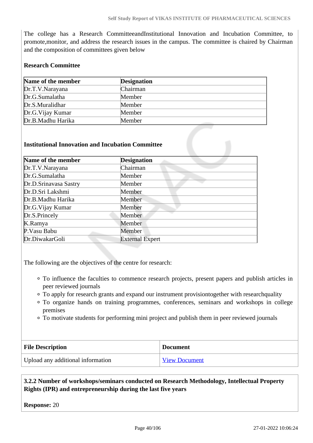The college has a Research CommitteeandInstitutional Innovation and Incubation Committee, to promote,monitor, and address the research issues in the campus. The committee is chaired by Chairman and the composition of committees given below

### **Research Committee**

| Name of the member | <b>Designation</b> |
|--------------------|--------------------|
| Dr.T.V.Narayana    | Chairman           |
| Dr.G.Sumalatha     | Member             |
| Dr.S.Muralidhar    | Member             |
| Dr.G. Vijay Kumar  | Member             |
| Dr.B.Madhu Harika  | Member             |

#### **Institutional Innovation and Incubation Committee**

| Name of the member    | <b>Designation</b>     |
|-----------------------|------------------------|
| Dr.T.V.Narayana       | Chairman               |
| Dr.G.Sumalatha        | Member                 |
| Dr.D.Srinavasa Sastry | Member                 |
| Dr.D.Sri Lakshmi      | Member                 |
| Dr.B.Madhu Harika     | Member                 |
| Dr.G.Vijay Kumar      | Member                 |
| Dr.S.Princely         | Member                 |
| K.Ramya               | Member                 |
| P.Vasu Babu           | Member                 |
| Dr.DiwakarGoli        | <b>External Expert</b> |

The following are the objectives of the centre for research:

- To influence the faculties to commence research projects, present papers and publish articles in peer reviewed journals
- To apply for research grants and expand our instrument provisiontogether with researchquality
- To organize hands on training programmes, conferences, seminars and workshops in college premises
- To motivate students for performing mini project and publish them in peer reviewed journals

| <b>File Description</b>           | <b>Document</b>      |
|-----------------------------------|----------------------|
| Upload any additional information | <b>View Document</b> |

 **3.2.2 Number of workshops/seminars conducted on Research Methodology, Intellectual Property Rights (IPR) and entrepreneurship during the last five years**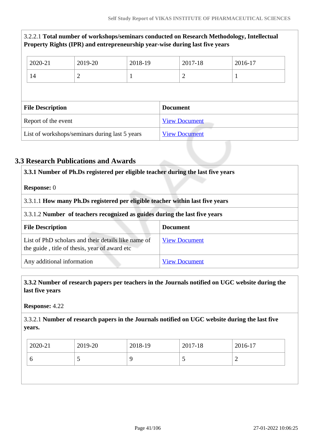|                                                |                                            |                | Property Rights (IPR) and entrepreneurship year-wise during last five years |                      |                | 3.2.2.1 Total number of workshops/seminars conducted on Research Methodology, Intellectual |  |
|------------------------------------------------|--------------------------------------------|----------------|-----------------------------------------------------------------------------|----------------------|----------------|--------------------------------------------------------------------------------------------|--|
|                                                | 2020-21                                    | 2019-20        | 2018-19                                                                     |                      | 2017-18        | 2016-17                                                                                    |  |
|                                                | 14                                         | $\overline{2}$ |                                                                             |                      | $\overline{2}$ | T                                                                                          |  |
|                                                |                                            |                |                                                                             |                      |                |                                                                                            |  |
|                                                | <b>File Description</b><br><b>Document</b> |                |                                                                             |                      |                |                                                                                            |  |
| Report of the event                            |                                            |                |                                                                             | <b>View Document</b> |                |                                                                                            |  |
| List of workshops/seminars during last 5 years |                                            |                |                                                                             | <b>View Document</b> |                |                                                                                            |  |

# **3.3 Research Publications and Awards**

| 3.3.1 Number of Ph.Ds registered per eligible teacher during the last five years<br><b>Response:</b> 0<br>3.3.1.1 How many Ph.Ds registered per eligible teacher within last five years<br>3.3.1.2 Number of teachers recognized as guides during the last five years |                      |  |                                                                                                      |                      |
|-----------------------------------------------------------------------------------------------------------------------------------------------------------------------------------------------------------------------------------------------------------------------|----------------------|--|------------------------------------------------------------------------------------------------------|----------------------|
|                                                                                                                                                                                                                                                                       |                      |  | <b>File Description</b>                                                                              | <b>Document</b>      |
|                                                                                                                                                                                                                                                                       |                      |  | List of PhD scholars and their details like name of<br>the guide, title of thesis, year of award etc | <b>View Document</b> |
| Any additional information                                                                                                                                                                                                                                            | <b>View Document</b> |  |                                                                                                      |                      |

### **3.3.2 Number of research papers per teachers in the Journals notified on UGC website during the last five years**

**Response:** 4.22

3.3.2.1 **Number of research papers in the Journals notified on UGC website during the last five years.**

| v<br>ັ<br>- | 2020-21 | 2019-20 | 2018-19 | 2017-18 | 2016-17 |
|-------------|---------|---------|---------|---------|---------|
|             |         |         |         |         |         |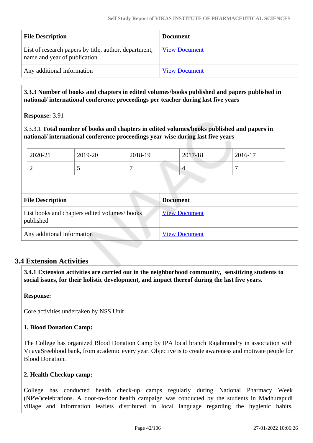| <b>File Description</b>                                                               | <b>Document</b>      |
|---------------------------------------------------------------------------------------|----------------------|
| List of research papers by title, author, department,<br>name and year of publication | <b>View Document</b> |
| Any additional information                                                            | <b>View Document</b> |

 **3.3.3 Number of books and chapters in edited volumes/books published and papers published in national/ international conference proceedings per teacher during last five years**

**Response:** 3.91

3.3.3.1 **Total number of books and chapters in edited volumes/books published and papers in national/ international conference proceedings year-wise during last five years**

|                                                            | 2020-21                    | 2019-20 | 2018-19              |                 | 2017-18              | 2016-17 |
|------------------------------------------------------------|----------------------------|---------|----------------------|-----------------|----------------------|---------|
|                                                            | $\overline{2}$             | 5       | 7                    |                 | $\overline{4}$       | 7       |
|                                                            |                            |         |                      |                 |                      |         |
| <b>File Description</b>                                    |                            |         |                      | <b>Document</b> |                      |         |
| List books and chapters edited volumes/ books<br>published |                            |         | <b>View Document</b> |                 |                      |         |
|                                                            | Any additional information |         |                      |                 | <b>View Document</b> |         |

### **3.4 Extension Activities**

 **3.4.1 Extension activities are carried out in the neighborhood community, sensitizing students to social issues, for their holistic development, and impact thereof during the last five years.**

### **Response:**

Core activities undertaken by NSS Unit

### **1. Blood Donation Camp:**

The College has organized Blood Donation Camp by IPA local branch Rajahmundry in association with VijayaSreeblood bank, from academic every year. Objective is to create awareness and motivate people for Blood Donation.

### **2. Health Checkup camp:**

College has conducted health check-up camps regularly during National Pharmacy Week (NPW)celebrations. A door-to-door health campaign was conducted by the students in Madhurapudi village and information leaflets distributed in local language regarding the hygienic habits,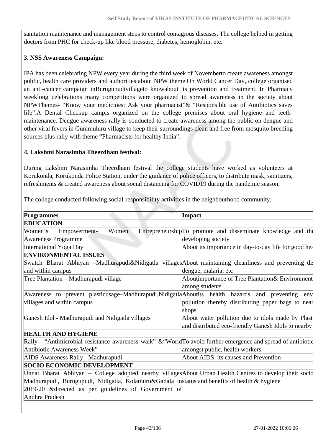sanitation maintenance and management steps to control contagious diseases. The college helped in getting doctors from PHC for check-up like blood pressure, diabetes, hemoglobin, etc.

### **3. NSS Awareness Campaign:**

IPA has been celebrating NPW every year during the third week of Novemberto create awareness amongst public, health care providers and authorities about NPW theme.On World Cancer Day, college organised an anti-cancer campaign inBurugupudivillageto knowabout its prevention and treatment. In Pharmacy weeklong celebrations many competitions were organized to spread awareness in the society about NPWThemes- "Know your medicines: Ask your pharmacist"& "Responsible use of Antibiotics saves life".A Dental Checkup campis organized on the college premises about oral hygiene and teethmaintenance. Dengue awareness rally is conducted to create awareness among the public on dengue and other viral fevers in Gummuluru village to keep their surroundings clean and free from mosquito breeding sources plus rally with theme "Pharmacists for healthy India".

### **4. Lakshmi Narasimha Theerdham festival:**

During Lakshmi Narasimha Theerdham festival the college students have worked as volunteers at Korukonda, Korukonda Police Station, under the guidance of police officers, to distribute mask, sanitizers, refreshments & created awareness about social distancing for COVID19 during the pandemic season.

The college conducted following social-responsibility activities in the neighbourhood community,

| <b>Programmes</b>                                                                                             | Impact                                                        |
|---------------------------------------------------------------------------------------------------------------|---------------------------------------------------------------|
| <b>EDUCATION</b>                                                                                              |                                                               |
| Women<br>Women's<br>Empowerment-                                                                              | Entrepreneurship/To promote and disseminate knowledge and the |
| Awareness Programme                                                                                           | developing society                                            |
| International Yoga Day                                                                                        | About its importance in day-to-day life for good hea          |
| <b>ENVIRONMENTAL ISSUES</b>                                                                                   |                                                               |
| Swatch Bharat Abhiyan –Madhurapudi&Nidigatla villages About maintaining cleanliness and preventing dis        |                                                               |
| and within campus                                                                                             | dengue, malaria, etc                                          |
| Tree Plantation – Madhurapudi village                                                                         | Aboutimportance of Tree Plantation& Environment               |
|                                                                                                               | among students                                                |
| Awareness to prevent plasticusage–Madhurapudi, Nidigatla Aboutits health hazards and preventing               | env                                                           |
| villages and within campus                                                                                    | pollution thereby distributing paper bags to near             |
|                                                                                                               | shops                                                         |
| Ganesh Idol - Madhurapudi and Nidigatla villages                                                              | About water pollution due to idols made by Plast              |
|                                                                                                               | and distributed eco-friendly Ganesh Idols to nearby           |
| <b>HEALTH AND HYGIENE</b>                                                                                     |                                                               |
| Rally - "Antimicrobial resistance awareness walk" & "WorldTo avoid further emergence and spread of antibiotic |                                                               |
| Antibiotic Awareness Week"                                                                                    | amongst public, health workers                                |
| AIDS Awareness Rally - Madhurapudi                                                                            | About AIDS, its causes and Prevention                         |
| <b>SOCIO ECONOMIC DEVELOPMENT</b>                                                                             |                                                               |
| Unnat Bharat Abhiyan – College adopted nearby villages About Urban Health Centres to develop their socion     |                                                               |
| Madhurapudi, Burugupudi, Nidigatla, Kolamuru&Gadala instatus and benefits of health & hygiene                 |                                                               |
| 2019-20 & directed as per guidelines of Government of                                                         |                                                               |
| Andhra Pradesh                                                                                                |                                                               |
|                                                                                                               |                                                               |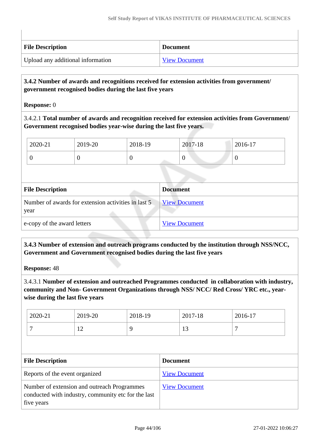| <b>File Description</b>           | <b>Document</b>      |
|-----------------------------------|----------------------|
| Upload any additional information | <b>View Document</b> |

### **3.4.2 Number of awards and recognitions received for extension activities from government/ government recognised bodies during the last five years**

**Response:** 0

3.4.2.1 **Total number of awards and recognition received for extension activities from Government/ Government recognised bodies year-wise during the last five years.**

| 2020-21 | 2019-20 | 2018-19 | 2017-18 | 2016-17 |
|---------|---------|---------|---------|---------|
| U       |         |         | ν       | U       |
|         |         |         |         |         |

| <b>File Description</b>                                     | <b>Document</b>      |
|-------------------------------------------------------------|----------------------|
| Number of awards for extension activities in last 5<br>year | <b>View Document</b> |
| e-copy of the award letters                                 | <b>View Document</b> |
|                                                             |                      |

 **3.4.3 Number of extension and outreach programs conducted by the institution through NSS/NCC, Government and Government recognised bodies during the last five years**

**Response:** 48

3.4.3.1 **Number of extension and outreached Programmes conducted in collaboration with industry, community and Non- Government Organizations through NSS/ NCC/ Red Cross/ YRC etc., yearwise during the last five years**

| 2020-21 | 2019-20        | 2018-19 | 2017-18 | 2016-17 |
|---------|----------------|---------|---------|---------|
| -       | $\overline{1}$ |         | IJ      |         |

| <b>File Description</b>                                                                                          | <b>Document</b>      |
|------------------------------------------------------------------------------------------------------------------|----------------------|
| Reports of the event organized                                                                                   | <b>View Document</b> |
| Number of extension and outreach Programmes<br>conducted with industry, community etc for the last<br>five years | <b>View Document</b> |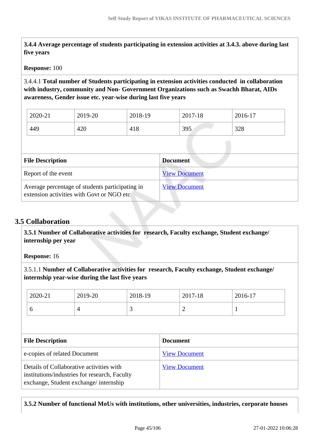**3.4.4 Average percentage of students participating in extension activities at 3.4.3. above during last five years**

#### **Response:** 100

3.4.4.1 **Total number of Students participating in extension activities conducted in collaboration with industry, community and Non- Government Organizations such as Swachh Bharat, AIDs awareness, Gender issue etc. year-wise during last five years**

| 2020-21 | 2019-20 | 2018-19 | 2017-18 | 2016-17 |
|---------|---------|---------|---------|---------|
| 449     | 420     | 418     | 395     | 328     |

| <b>File Description</b>                                                                      | <b>Document</b>      |
|----------------------------------------------------------------------------------------------|----------------------|
| Report of the event                                                                          | <b>View Document</b> |
| Average percentage of students participating in<br>extension activities with Govt or NGO etc | <b>View Document</b> |

### **3.5 Collaboration**

 **3.5.1 Number of Collaborative activities for research, Faculty exchange, Student exchange/ internship per year**

**Response:** 16

3.5.1.1 **Number of Collaborative activities for research, Faculty exchange, Student exchange/ internship year-wise during the last five years**

| a copies of related Document |         |                 | View Document |         |         |  |
|------------------------------|---------|-----------------|---------------|---------|---------|--|
| <b>File Description</b>      |         | <b>Document</b> |               |         |         |  |
| 6                            | 4       | 3               |               | 2       |         |  |
| 2020-21                      | 2019-20 | 2018-19         |               | 2017-18 | 2016-17 |  |

| e-copies of related Document                                                                                                       | <b>VIEW DOCUMENT</b> |
|------------------------------------------------------------------------------------------------------------------------------------|----------------------|
| Details of Collaborative activities with<br>institutions/industries for research, Faculty<br>exchange, Student exchange/internship | <b>View Document</b> |
|                                                                                                                                    |                      |

### **3.5.2 Number of functional MoUs with institutions, other universities, industries, corporate houses**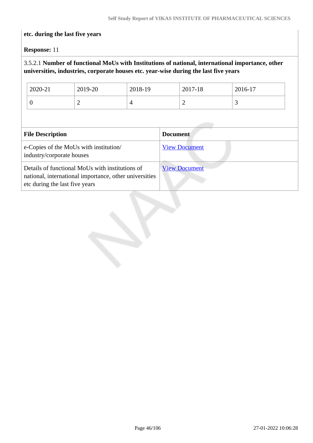### **etc. during the last five years**

**Response:** 11

# 3.5.2.1 **Number of functional MoUs with Institutions of national, international importance, other universities, industries, corporate houses etc. year-wise during the last five years**

| 2020-21 | 2019-20   | 2018-19 | 2017-18 | 2016-17 |
|---------|-----------|---------|---------|---------|
| ◡       | <b>__</b> |         | ∼       | ັ       |

| <b>File Description</b>                                                                                                                     | <b>Document</b>      |
|---------------------------------------------------------------------------------------------------------------------------------------------|----------------------|
| e-Copies of the MoUs with institution/<br>industry/corporate houses                                                                         | <b>View Document</b> |
| Details of functional MoUs with institutions of<br>national, international importance, other universities<br>etc during the last five years | <b>View Document</b> |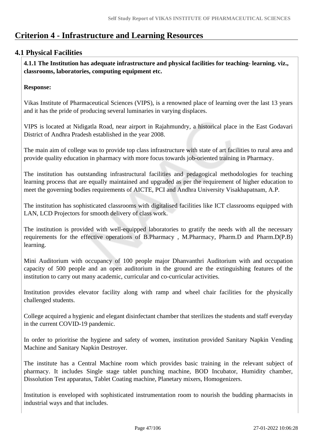# **Criterion 4 - Infrastructure and Learning Resources**

# **4.1 Physical Facilities**

 **4.1.1 The Institution has adequate infrastructure and physical facilities for teaching- learning. viz., classrooms, laboratories, computing equipment etc.** 

### **Response:**

Vikas Institute of Pharmaceutical Sciences (VIPS), is a renowned place of learning over the last 13 years and it has the pride of producing several luminaries in varying displaces.

VIPS is located at Nidigatla Road, near airport in Rajahmundry, a historical place in the East Godavari District of Andhra Pradesh established in the year 2008.

The main aim of college was to provide top class infrastructure with state of art facilities to rural area and provide quality education in pharmacy with more focus towards job-oriented training in Pharmacy.

The institution has outstanding infrastructural facilities and pedagogical methodologies for teaching learning process that are equally maintained and upgraded as per the requirement of higher education to meet the governing bodies requirements of AICTE, PCI and Andhra University Visakhapatnam, A.P.

The institution has sophisticated classrooms with digitalised facilities like ICT classrooms equipped with LAN, LCD Projectors for smooth delivery of class work.

The institution is provided with well-equipped laboratories to gratify the needs with all the necessary requirements for the effective operations of B.Pharmacy , M.Pharmacy, Pharm.D and Pharm.D(P.B) learning.

Mini Auditorium with occupancy of 100 people major Dhanvanthri Auditorium with and occupation capacity of 500 people and an open auditorium in the ground are the extinguishing features of the institution to carry out many academic, curricular and co-curricular activities.

Institution provides elevator facility along with ramp and wheel chair facilities for the physically challenged students.

College acquired a hygienic and elegant disinfectant chamber that sterilizes the students and staff everyday in the current COVID-19 pandemic.

In order to prioritise the hygiene and safety of women, institution provided Sanitary Napkin Vending Machine and Sanitary Napkin Destroyer.

The institute has a Central Machine room which provides basic training in the relevant subject of pharmacy. It includes Single stage tablet punching machine, BOD Incubator, Humidity chamber, Dissolution Test apparatus, Tablet Coating machine, Planetary mixers, Homogenizers.

Institution is enveloped with sophisticated instrumentation room to nourish the budding pharmacists in industrial ways and that includes.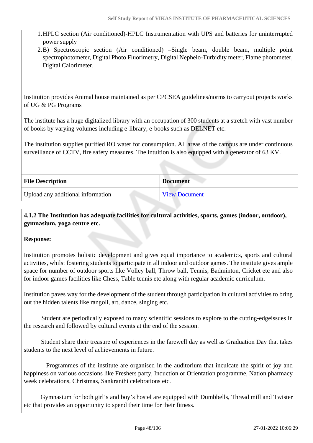- 1.HPLC section (Air conditioned)-HPLC Instrumentation with UPS and batteries for uninterrupted power supply
- 2.B) Spectroscopic section (Air conditioned) –Single beam, double beam, multiple point spectrophotometer, Digital Photo Fluorimetry, Digital Nephelo-Turbidity meter, Flame photometer, Digital Calorimeter.

Institution provides Animal house maintained as per CPCSEA guidelines/norms to carryout projects works of UG & PG Programs

The institute has a huge digitalized library with an occupation of 300 students at a stretch with vast number of books by varying volumes including e-library, e-books such as DELNET etc.

The institution supplies purified RO water for consumption. All areas of the campus are under continuous surveillance of CCTV, fire safety measures. The intuition is also equipped with a generator of 63 KV.

| <b>File Description</b>           | <b>Document</b>      |
|-----------------------------------|----------------------|
| Upload any additional information | <b>View Document</b> |

 **4.1.2 The Institution has adequate facilities for cultural activities, sports, games (indoor, outdoor), gymnasium, yoga centre etc.** 

### **Response:**

Institution promotes holistic development and gives equal importance to academics, sports and cultural activities, whilst fostering students to participate in all indoor and outdoor games. The institute gives ample space for number of outdoor sports like Volley ball, Throw ball, Tennis, Badminton, Cricket etc and also for indoor games facilities like Chess, Table tennis etc along with regular academic curriculum.

Institution paves way for the development of the student through participation in cultural activities to bring out the hidden talents like rangoli, art, dance, singing etc.

 Student are periodically exposed to many scientific sessions to explore to the cutting-edgeissues in the research and followed by cultural events at the end of the session.

 Student share their treasure of experiences in the farewell day as well as Graduation Day that takes students to the next level of achievements in future.

 Programmes of the institute are organised in the auditorium that inculcate the spirit of joy and happiness on various occasions like Freshers party, Induction or Orientation programme, Nation pharmacy week celebrations, Christmas, Sankranthi celebrations etc.

 Gymnasium for both girl's and boy's hostel are equipped with Dumbbells, Thread mill and Twister etc that provides an opportunity to spend their time for their fitness.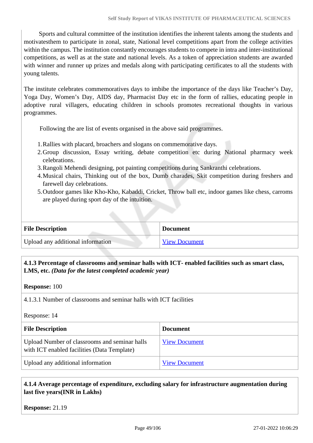Sports and cultural committee of the institution identifies the inherent talents among the students and motivatesthem to participate in zonal, state, National level competitions apart from the college activities within the campus. The institution constantly encourages students to compete in intra and inter-institutional competitions, as well as at the state and national levels. As a token of appreciation students are awarded with winner and runner up prizes and medals along with participating certificates to all the students with young talents.

The institute celebrates commemoratives days to imbibe the importance of the days like Teacher's Day, Yoga Day, Women's Day, AIDS day, Pharmacist Day etc in the form of rallies, educating people in adoptive rural villagers, educating children in schools promotes recreational thoughts in various programmes.

Following the are list of events organised in the above said programmes.

- 1.Rallies with placard, broachers and slogans on commemorative days.
- 2.Group discussion, Essay writing, debate competition etc during National pharmacy week celebrations.
- 3.Rangoli Mehendi designing, pot painting competitions during Sankranthi celebrations.
- 4.Musical chairs, Thinking out of the box, Dumb charades, Skit competition during freshers and farewell day celebrations.
- 5.Outdoor games like Kho-Kho, Kabaddi, Cricket, Throw ball etc, indoor games like chess, carroms are played during sport day of the intuition.

| <b>File Description</b>           | <b>Document</b>      |
|-----------------------------------|----------------------|
| Upload any additional information | <b>View Document</b> |

### **4.1.3 Percentage of classrooms and seminar halls with ICT- enabled facilities such as smart class, LMS, etc.** *(Data for the latest completed academic year)*

#### **Response:** 100

4.1.3.1 Number of classrooms and seminar halls with ICT facilities

Response: 14

| <b>File Description</b>                                                                      | <b>Document</b>      |
|----------------------------------------------------------------------------------------------|----------------------|
| Upload Number of classrooms and seminar halls<br>with ICT enabled facilities (Data Template) | <b>View Document</b> |
| Upload any additional information                                                            | <b>View Document</b> |

### **4.1.4 Average percentage of expenditure, excluding salary for infrastructure augmentation during last five years(INR in Lakhs)**

#### **Response:** 21.19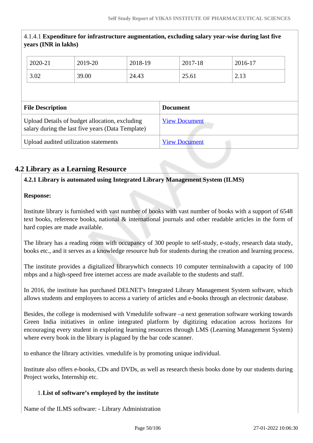| 4.1.4.1 Expenditure for infrastructure augmentation, excluding salary year-wise during last five<br>years (INR in lakhs) |                                            |                      |         |         |         |  |
|--------------------------------------------------------------------------------------------------------------------------|--------------------------------------------|----------------------|---------|---------|---------|--|
|                                                                                                                          | 2020-21                                    | 2019-20              | 2018-19 | 2017-18 | 2016-17 |  |
|                                                                                                                          | 3.02                                       | 39.00                | 24.43   | 25.61   | 2.13    |  |
|                                                                                                                          |                                            |                      |         |         |         |  |
|                                                                                                                          | <b>File Description</b><br><b>Document</b> |                      |         |         |         |  |
| Upload Details of budget allocation, excluding<br>salary during the last five years (Data Template)                      |                                            | <b>View Document</b> |         |         |         |  |
| Upload audited utilization statements                                                                                    |                                            | <b>View Document</b> |         |         |         |  |

# **4.2 Library as a Learning Resource**

### **4.2.1 Library is automated using Integrated Library Management System (ILMS)**

### **Response:**

Institute library is furnished with vast number of books with vast number of books with a support of 6548 text books, reference books, national & international journals and other readable articles in the form of hard copies are made available.

The library has a reading room with occupancy of 300 people to self-study, e-study, research data study, books etc., and it serves as a knowledge resource hub for students during the creation and learning process.

The institute provides a digitalized librarywhich connects 10 computer terminalswith a capacity of 100 mbps and a high-speed free internet access are made available to the students and staff.

In 2016, the institute has purchased DELNET's Integrated Library Management System software, which allows students and employees to access a variety of articles and e-books through an electronic database.

Besides, the college is modernised with Vmedulife software –a next generation software working towards Green India initiatives in online integrated platform by digitizing education across horizons for encouraging every student in exploring learning resources through LMS (Learning Management System) where every book in the library is plagued by the bar code scanner.

to enhance the library activities. vmedulife is by promoting unique individual.

Institute also offers e-books, CDs and DVDs, as well as research thesis books done by our students during Project works, Internship etc.

### 1.**List of software's employed by the institute**

Name of the ILMS software: - Library Administration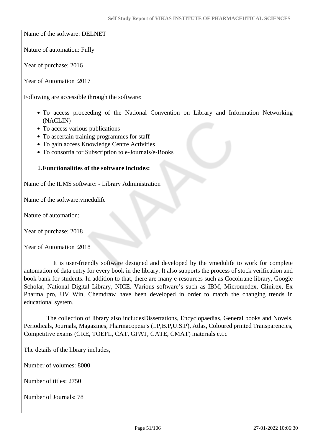Name of the software: DELNET

Nature of automation: Fully

Year of purchase: 2016

Year of Automation :2017

Following are accessible through the software:

- To access proceeding of the National Convention on Library and Information Networking (NACLIN)
- To access various publications
- To ascertain training programmes for staff
- To gain access Knowledge Centre Activities
- To consortia for Subscription to e-Journals/e-Books

#### 1.**Functionalities of the software includes:**

Name of the ILMS software: - Library Administration

Name of the software:vmedulife

Nature of automation:

Year of purchase: 2018

Year of Automation :2018

 It is user-friendly software designed and developed by the vmedulife to work for complete automation of data entry for every book in the library. It also supports the process of stock verification and book bank for students. In addition to that, there are many e-resources such as Cocohrane library, Google Scholar, National Digital Library, NICE. Various software's such as IBM, Micromedex, Clinirex, Ex Pharma pro, UV Win, Chemdraw have been developed in order to match the changing trends in educational system.

 The collection of library also includesDissertations, Encyclopaedias, General books and Novels, Periodicals, Journals, Magazines, Pharmacopeia's (I.P,B.P,U.S.P), Atlas, Coloured printed Transparencies, Competitive exams (GRE, TOEFL, CAT, GPAT, GATE, CMAT) materials e.t.c

The details of the library includes,

Number of volumes: 8000

Number of titles: 2750

Number of Journals: 78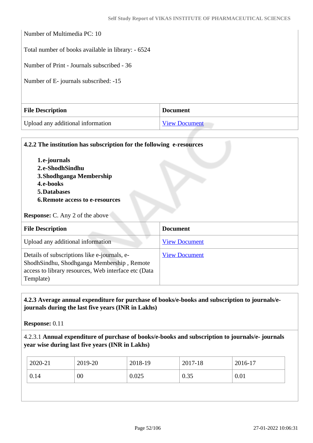| Number of Multimedia PC: 10                        |                      |  |
|----------------------------------------------------|----------------------|--|
| Total number of books available in library: - 6524 |                      |  |
| Number of Print - Journals subscribed - 36         |                      |  |
| Number of E-journals subscribed: -15               |                      |  |
|                                                    |                      |  |
| <b>File Description</b>                            | <b>Document</b>      |  |
| Upload any additional information                  | <b>View Document</b> |  |

| 4.2.2 The institution has subscription for the following e-resources<br>1.e-journals<br>2.e-ShodhSindhu<br>3. Shodhganga Membership<br>4.e-books                |                      |  |  |
|-----------------------------------------------------------------------------------------------------------------------------------------------------------------|----------------------|--|--|
| 5. Databases                                                                                                                                                    |                      |  |  |
| <b>6. Remote access to e-resources</b>                                                                                                                          |                      |  |  |
| <b>Response:</b> C. Any 2 of the above                                                                                                                          |                      |  |  |
| <b>File Description</b>                                                                                                                                         | <b>Document</b>      |  |  |
| Upload any additional information                                                                                                                               | <b>View Document</b> |  |  |
| Details of subscriptions like e-journals, e-<br>ShodhSindhu, Shodhganga Membership, Remote<br>access to library resources, Web interface etc (Data<br>Template) | <b>View Document</b> |  |  |

### **4.2.3 Average annual expenditure for purchase of books/e-books and subscription to journals/ejournals during the last five years (INR in Lakhs)**

**Response:** 0.11

4.2.3.1 **Annual expenditure of purchase of books/e-books and subscription to journals/e- journals year wise during last five years (INR in Lakhs)**

| 2019-20<br>2020-21<br>2017-18<br>2018-19 | 2016-17 |
|------------------------------------------|---------|
| 0.14<br>0.025<br>0.35<br>00              | 0.01    |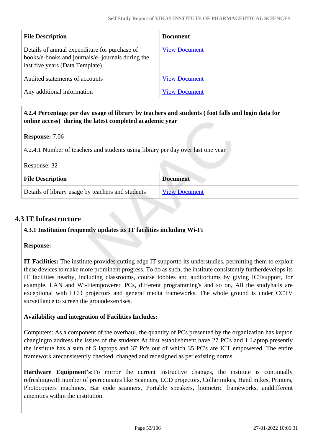| <b>File Description</b>                                                                                                               | <b>Document</b>      |
|---------------------------------------------------------------------------------------------------------------------------------------|----------------------|
| Details of annual expenditure for purchase of<br>books/e-books and journals/e- journals during the<br>last five years (Data Template) | <b>View Document</b> |
| Audited statements of accounts                                                                                                        | <b>View Document</b> |
| Any additional information                                                                                                            | <b>View Document</b> |

 **4.2.4 Percentage per day usage of library by teachers and students ( foot falls and login data for online access) during the latest completed academic year**

### **Response:** 7.06

4.2.4.1 Number of teachers and students using library per day over last one year

| Response: 32                                      |                      |
|---------------------------------------------------|----------------------|
| <b>File Description</b>                           | <b>Document</b>      |
| Details of library usage by teachers and students | <b>View Document</b> |

## **4.3 IT Infrastructure**

**4.3.1 Institution frequently updates its IT facilities including Wi-Fi**

#### **Response:**

**IT Facilities:** The institute provides cutting edge IT supportto its understudies, permitting them to exploit these devices to make more prominent progress. To do as such, the institute consistently furtherdevelops its IT facilities nearby, including classrooms, course lobbies and auditoriums by giving ICTsupport, for example, LAN and Wi-Fiempowered PCs, different programming's and so on, All the studyhalls are exceptional with LCD projectors and general media frameworks. The whole ground is under CCTV surveillance to screen the groundexercises.

### **Availability and integration of Facilities Includes:**

Computers: As a component of the overhaul, the quantity of PCs presented by the organization has kepton changingto address the issues of the students.At first establishment have 27 PC's and 1 Laptop,presently the institute has a sum of 5 laptops and 37 Pc's out of which 35 PC's are ICT empowered. The entire framework areconsistently checked, changed and redesigned as per existing norms.

**Hardware Equipment's:**To mirror the current instructive changes, the institute is continually refreshingwith number of prerequisites like Scanners, LCD projectors, Collar mikes, Hand mikes, Printers, Photocopiers machines, Bar code scanners, Portable speakers, biometric frameworks, anddifferent amenities within the institution.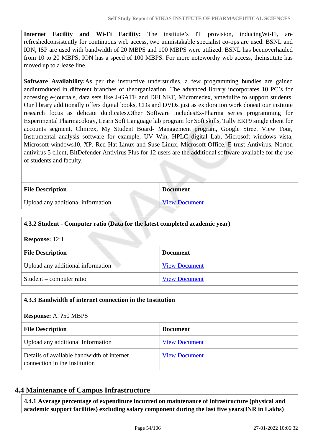**Internet Facility and Wi-Fi Facility:** The institute's IT provision, inducingWi-Fi, are refreshedconsistently for continuous web access, two unmistakable specialist co-ops are used. BSNL and ION, ISP are used with bandwidth of 20 MBPS and 100 MBPS were utilized. BSNL has beenoverhauled from 10 to 20 MBPS; ION has a speed of 100 MBPS. For more noteworthy web access, theinstitute has moved up to a lease line.

**Software Availability:**As per the instructive understudies, a few programming bundles are gained andintroduced in different branches of theorganization. The advanced library incorporates 10 PC's for accessing e-journals, data sets like J-GATE and DELNET, Micromedex, vmedulife to support students. Our library additionally offers digital books, CDs and DVDs just as exploration work doneat our institute research focus as delicate duplicates.Other Software includesEx-Pharma series programming for Experimental Pharmacology, Learn Soft Language lab program for Soft skills, Tally ERP9 single client for accounts segment, Clinirex, My Student Board- Management program, Google Street View Tour, Instrumental analysis software for example, UV Win, HPLC digital Lab, Microsoft windows vista, Microsoft windows10, XP, Red Hat Linux and Suse Linux, Microsoft Office, E trust Antivirus, Norton antivirus 5 client, BitDefender Antivirus Plus for 12 users are the additional software available for the use of students and faculty.

| <b>File Description</b>           | <b>Document</b> |
|-----------------------------------|-----------------|
| Upload any additional information | View Document   |

### **4.3.2 Student - Computer ratio (Data for the latest completed academic year)**

**Response:** 12:1

| <b>File Description</b>           | <b>Document</b>      |
|-----------------------------------|----------------------|
| Upload any additional information | <b>View Document</b> |
| Student – computer ratio          | <b>View Document</b> |

| 4.3.3 Bandwidth of internet connection in the Institution                   |                      |  |
|-----------------------------------------------------------------------------|----------------------|--|
| <b>Response:</b> A. 250 MBPS                                                |                      |  |
| <b>File Description</b><br><b>Document</b>                                  |                      |  |
| Upload any additional Information                                           | <b>View Document</b> |  |
| Details of available bandwidth of internet<br>connection in the Institution | <b>View Document</b> |  |

### **4.4 Maintenance of Campus Infrastructure**

 **4.4.1 Average percentage of expenditure incurred on maintenance of infrastructure (physical and academic support facilities) excluding salary component during the last five years(INR in Lakhs)**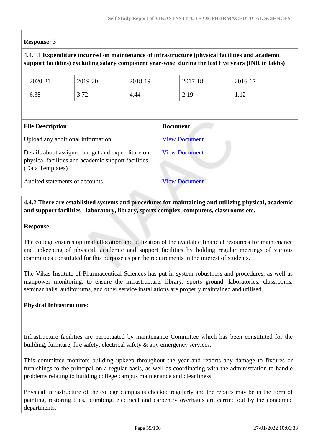### **Response:** 3

### 4.4.1.1 **Expenditure incurred on maintenance of infrastructure (physical facilities and academic support facilities) excluding salary component year-wise during the last five years (INR in lakhs)**

| 2020-21                                                                                                                     | 2019-20 | 2018-19 |                      | 2017-18 | 2016-17 |  |
|-----------------------------------------------------------------------------------------------------------------------------|---------|---------|----------------------|---------|---------|--|
| 6.38                                                                                                                        | 3.72    | 4.44    |                      | 2.19    | 1.12    |  |
|                                                                                                                             |         |         |                      |         |         |  |
| <b>File Description</b>                                                                                                     |         |         | <b>Document</b>      |         |         |  |
| Upload any additional information                                                                                           |         |         | <b>View Document</b> |         |         |  |
| Details about assigned budget and expenditure on<br>physical facilities and academic support facilities<br>(Data Templates) |         |         | <b>View Document</b> |         |         |  |
| Audited statements of accounts                                                                                              |         |         | <b>View Document</b> |         |         |  |

### **4.4.2 There are established systems and procedures for maintaining and utilizing physical, academic and support facilities - laboratory, library, sports complex, computers, classrooms etc.**

#### **Response:**

The college ensures optimal allocation and utilization of the available financial resources for maintenance and upkeeping of physical, academic and support facilities by holding regular meetings of various committees constituted for this purpose as per the requirements in the interest of students.

The Vikas Institute of Pharmaceutical Sciences has put in system robustness and procedures, as well as manpower monitoring, to ensure the infrastructure, library, sports ground, laboratories, classrooms, seminar halls, auditoriums, and other service installations are properly maintained and utilised.

### **Physical Infrastructure:**

Infrastructure facilities are perpetuated by maintenance Committee which has been constituted for the building, furniture, fire safety, electrical safety & any emergency services.

This committee monitors building upkeep throughout the year and reports any damage to fixtures or furnishings to the principal on a regular basis, as well as coordinating with the administration to handle problems relating to building college campus maintenance and cleanliness.

Physical infrastructure of the college campus is checked regularly and the repairs may be in the form of painting, restoring tiles, plumbing, electrical and carpentry overhauls are carried out by the concerned departments.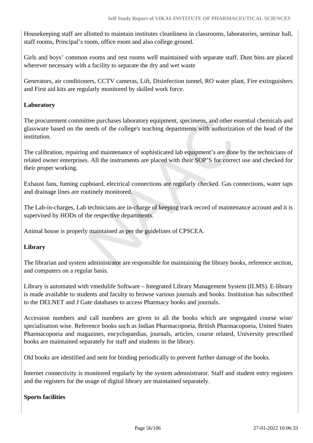Housekeeping staff are allotted to maintain institutes cleanliness in classrooms, laboratories, seminar hall, staff rooms, Principal's room, office room and also college ground.

Girls and boys' common rooms and rest rooms well maintained with separate staff. Dust bins are placed wherever necessary with a facility to separate the dry and wet waste

Generators, air conditioners, CCTV cameras, Lift, Disinfection tunnel, RO water plant, Fire extinguishers and First aid kits are regularly monitored by skilled work force.

### **Laboratory**

The procurement committee purchases laboratory equipment, specimens, and other essential chemicals and glassware based on the needs of the college's teaching departments with authorization of the head of the institution.

The calibration, repairing and maintenance of sophisticated lab equipment's are done by the technicians of related owner enterprises. All the instruments are placed with their SOP'S for correct use and checked for their proper working.

Exhaust fans, fuming cupboard, electrical connections are regularly checked. Gas connections, water taps and drainage lines are routinely monitored.

The Lab-in-charges, Lab technicians are in-charge of keeping track record of maintenance account and it is supervised by HODs of the respective departments.

Animal house is properly maintained as per the guidelines of CPSCEA.

### **Library**

The librarian and system administrator are responsible for maintaining the library books, reference section, and computers on a regular basis.

Library is automated with vmedulife Software – Integrated Library Management System (ILMS). E-library is made available to students and faculty to browse various journals and books. Institution has subscribed to the DELNET and J Gate databases to access Pharmacy books and journals.

Accession numbers and call numbers are given to all the books which are segregated course wise/ specialisation wise. Reference books such as Indian Pharmacopoeia, British Pharmacopoeia, United States Pharmacopoeia and magazines, encyclopaedias, journals, articles, course related, University prescribed books are maintained separately for staff and students in the library.

Old books are identified and sent for binding periodically to prevent further damage of the books.

Internet connectivity is monitored regularly by the system administrator. Staff and student entry registers and the registers for the usage of digital library are maintained separately.

### **Sports facilities**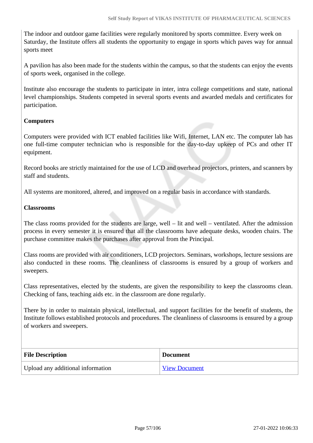The indoor and outdoor game facilities were regularly monitored by sports committee. Every week on Saturday, the Institute offers all students the opportunity to engage in sports which paves way for annual sports meet

A pavilion has also been made for the students within the campus, so that the students can enjoy the events of sports week, organised in the college.

Institute also encourage the students to participate in inter, intra college competitions and state, national level championships. Students competed in several sports events and awarded medals and certificates for participation.

### **Computers**

Computers were provided with ICT enabled facilities like Wifi, Internet, LAN etc. The computer lab has one full-time computer technician who is responsible for the day-to-day upkeep of PCs and other IT equipment.

Record books are strictly maintained for the use of LCD and overhead projectors, printers, and scanners by staff and students.

All systems are monitored, altered, and improved on a regular basis in accordance with standards.

#### **Classrooms**

The class rooms provided for the students are large, well – lit and well – ventilated. After the admission process in every semester it is ensured that all the classrooms have adequate desks, wooden chairs. The purchase committee makes the purchases after approval from the Principal.

Class rooms are provided with air conditioners, LCD projectors. Seminars, workshops, lecture sessions are also conducted in these rooms. The cleanliness of classrooms is ensured by a group of workers and sweepers.

Class representatives, elected by the students, are given the responsibility to keep the classrooms clean. Checking of fans, teaching aids etc. in the classroom are done regularly.

There by in order to maintain physical, intellectual, and support facilities for the benefit of students, the Institute follows established protocols and procedures. The cleanliness of classrooms is ensured by a group of workers and sweepers.

| <b>File Description</b>           | <b>Document</b>      |
|-----------------------------------|----------------------|
| Upload any additional information | <b>View Document</b> |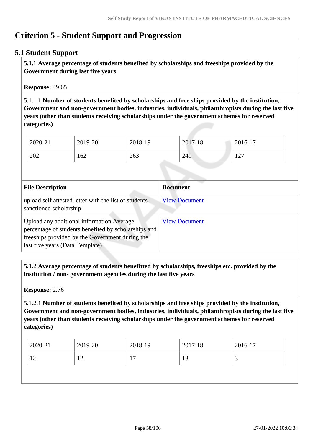# **Criterion 5 - Student Support and Progression**

### **5.1 Student Support**

 **5.1.1 Average percentage of students benefited by scholarships and freeships provided by the Government during last five years** 

**Response:** 49.65

5.1.1.1 **Number of students benefited by scholarships and free ships provided by the institution, Government and non-government bodies, industries, individuals, philanthropists during the last five years (other than students receiving scholarships under the government schemes for reserved categories)** 

| 2020-21 | 2019-20 | 2018-19 | 2017-18 | 2016-17               |
|---------|---------|---------|---------|-----------------------|
| 202     | 162     | 263     | 249     | $1 \cap 7$<br>$\perp$ |

| <b>File Description</b>                                                                                                                                                                 | <b>Document</b>      |
|-----------------------------------------------------------------------------------------------------------------------------------------------------------------------------------------|----------------------|
| upload self attested letter with the list of students<br>sanctioned scholarship                                                                                                         | <b>View Document</b> |
| Upload any additional information Average<br>percentage of students benefited by scholarships and<br>freeships provided by the Government during the<br>last five years (Data Template) | <b>View Document</b> |

 **5.1.2 Average percentage of students benefitted by scholarships, freeships etc. provided by the institution / non- government agencies during the last five years**

**Response:** 2.76

5.1.2.1 **Number of students benefited by scholarships and free ships provided by the institution, Government and non-government bodies, industries, individuals, philanthropists during the last five years (other than students receiving scholarships under the government schemes for reserved categories)** 

| 2020-21     | 2019-20          | 2018-19       | 2017-18 | 2016-17 |
|-------------|------------------|---------------|---------|---------|
| $\sim$<br>┸ | $\sqrt{2}$<br>∸∸ | -<br><u>д</u> | ιJ      | ້       |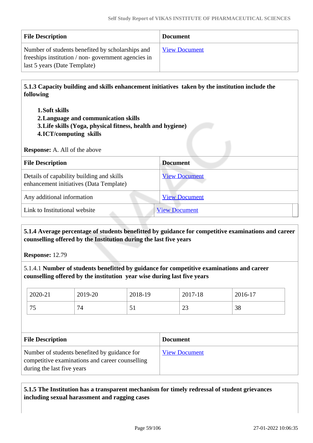| <b>File Description</b>                                                                                                                | <b>Document</b>      |
|----------------------------------------------------------------------------------------------------------------------------------------|----------------------|
| Number of students benefited by scholarships and<br>freeships institution / non-government agencies in<br>last 5 years (Date Template) | <b>View Document</b> |

 **5.1.3 Capacity building and skills enhancement initiatives taken by the institution include the following**

- **1.Soft skills**
- **2.Language and communication skills**
- **3.Life skills (Yoga, physical fitness, health and hygiene)**
- **4.ICT/computing skills**

**Response:** A. All of the above

| <b>File Description</b>                                                              | <b>Document</b>      |
|--------------------------------------------------------------------------------------|----------------------|
| Details of capability building and skills<br>enhancement initiatives (Data Template) | <b>View Document</b> |
| Any additional information                                                           | <b>View Document</b> |
| Link to Institutional website                                                        | <b>View Document</b> |

### **5.1.4 Average percentage of students benefitted by guidance for competitive examinations and career counselling offered by the Institution during the last five years**

**Response:** 12.79

5.1.4.1 **Number of students benefitted by guidance for competitive examinations and career counselling offered by the institution year wise during last five years**

| 2020-21   | 2019-20                  | 2018-19 | 2017-18  | $2016-17$ |
|-----------|--------------------------|---------|----------|-----------|
| ワミ<br>ر ، | $\overline{\phantom{0}}$ | ◡       | ΩΩ<br>رے | 38        |

| <b>File Description</b>                                                                                                       | <b>Document</b>      |
|-------------------------------------------------------------------------------------------------------------------------------|----------------------|
| Number of students benefited by guidance for<br>competitive examinations and career counselling<br>during the last five years | <b>View Document</b> |

### **5.1.5 The Institution has a transparent mechanism for timely redressal of student grievances including sexual harassment and ragging cases**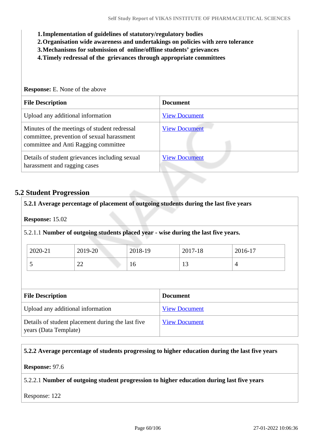- **1.Implementation of guidelines of statutory/regulatory bodies**
- **2.Organisation wide awareness and undertakings on policies with zero tolerance**
- **3.Mechanisms for submission of online/offline students' grievances**
- **4.Timely redressal of the grievances through appropriate committees**

| <b>Response:</b> E. None of the above                                                                                              |                      |  |  |
|------------------------------------------------------------------------------------------------------------------------------------|----------------------|--|--|
| <b>File Description</b>                                                                                                            | <b>Document</b>      |  |  |
| Upload any additional information                                                                                                  | <b>View Document</b> |  |  |
| Minutes of the meetings of student redressal<br>committee, prevention of sexual harassment<br>committee and Anti Ragging committee | <b>View Document</b> |  |  |
| Details of student grievances including sexual<br>harassment and ragging cases                                                     | <b>View Document</b> |  |  |

### **5.2 Student Progression**

| 2019-20 | 2018-19 | 2017-18 | 2016-17                                                                            |
|---------|---------|---------|------------------------------------------------------------------------------------|
| 22      | 16      | 13      | $\overline{4}$                                                                     |
|         |         |         | 5.2.1.1 Number of outgoing students placed year - wise during the last five years. |

Details of student placement during the last five years (Data Template) [View Document](https://assessmentonline.naac.gov.in/storage/app/hei/SSR/110409/5.2.1_1632483964_6821.xlsx)

#### **5.2.2 Average percentage of students progressing to higher education during the last five years**

**Response:** 97.6

#### 5.2.2.1 **Number of outgoing student progression to higher education during last five years**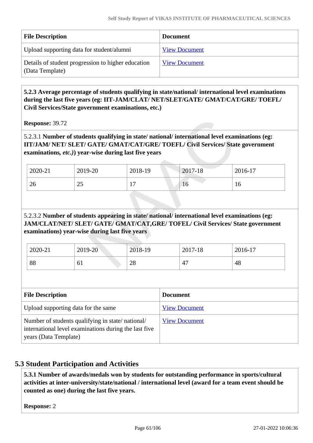| <b>File Description</b>                                               | <b>Document</b>      |
|-----------------------------------------------------------------------|----------------------|
| Upload supporting data for student/alumni                             | <b>View Document</b> |
| Details of student progression to higher education<br>(Data Template) | <b>View Document</b> |

### **5.2.3 Average percentage of students qualifying in state/national/ international level examinations during the last five years (eg: IIT-JAM/CLAT/ NET/SLET/GATE/ GMAT/CAT/GRE/ TOEFL/ Civil Services/State government examinations, etc.)**

**Response:** 39.72

5.2.3.1 **Number of students qualifying in state/ national/ international level examinations (eg: IIT/JAM/ NET/ SLET/ GATE/ GMAT/CAT/GRE/ TOEFL/ Civil Services/ State government examinations***, etc.)***) year-wise during last five years**

| 2020-21 | 2019-20        | 2018-19  | 2017-18 | 2016-17 |
|---------|----------------|----------|---------|---------|
| 26      | $\gamma$<br>رے | -<br>. . | 10      | 10      |

### 5.2.3.2 **Number of students appearing in state/ national/ international level examinations (eg: JAM/CLAT/NET/ SLET/ GATE/ GMAT/CAT,GRE/ TOFEL/ Civil Services/ State government examinations) year-wise during last five years**

| 2020-21 | 2019-20 | 2018-19                | 2017-18  | 2016-17 |
|---------|---------|------------------------|----------|---------|
| 88      | 01      | $\Omega$<br>$\angle$ 0 | . .<br>∸ | 48      |

| <b>File Description</b>                                                                                                            | <b>Document</b>      |
|------------------------------------------------------------------------------------------------------------------------------------|----------------------|
| Upload supporting data for the same                                                                                                | <b>View Document</b> |
| Number of students qualifying in state/national/<br>international level examinations during the last five<br>years (Data Template) | <b>View Document</b> |

# **5.3 Student Participation and Activities**

 **5.3.1 Number of awards/medals won by students for outstanding performance in sports/cultural activities at inter-university/state/national / international level (award for a team event should be counted as one) during the last five years.**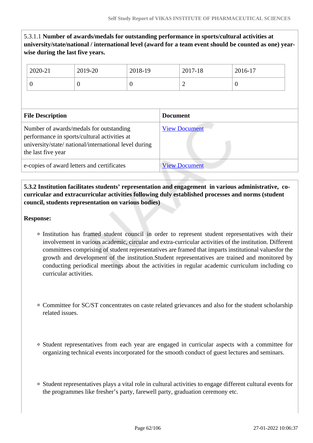|                                                                                                                                                                        | 5.3.1.1 Number of awards/medals for outstanding performance in sports/cultural activities at<br>university/state/national / international level (award for a team event should be counted as one) year-<br>wise during the last five years. |                |                      |                      |         |          |  |
|------------------------------------------------------------------------------------------------------------------------------------------------------------------------|---------------------------------------------------------------------------------------------------------------------------------------------------------------------------------------------------------------------------------------------|----------------|----------------------|----------------------|---------|----------|--|
|                                                                                                                                                                        | 2020-21                                                                                                                                                                                                                                     | 2019-20        | 2018-19              |                      | 2017-18 | 2016-17  |  |
|                                                                                                                                                                        | $\overline{0}$                                                                                                                                                                                                                              | $\overline{0}$ | $\theta$             |                      | 2       | $\Omega$ |  |
| <b>File Description</b><br><b>Document</b>                                                                                                                             |                                                                                                                                                                                                                                             |                |                      |                      |         |          |  |
| Number of awards/medals for outstanding<br>performance in sports/cultural activities at<br>university/state/ national/international level during<br>the last five year |                                                                                                                                                                                                                                             |                | <b>View Document</b> |                      |         |          |  |
| e-copies of award letters and certificates                                                                                                                             |                                                                                                                                                                                                                                             |                |                      | <b>View Document</b> |         |          |  |

 **5.3.2 Institution facilitates students' representation and engagement in various administrative, cocurricular and extracurricular activities following duly established processes and norms (student council, students representation on various bodies)** 

- Institution has framed student council in order to represent student representatives with their involvement in various academic, circular and extra-curricular activities of the institution. Different committees comprising of student representatives are framed that imparts institutional valuesfor the growth and development of the institution.Student representatives are trained and monitored by conducting periodical meetings about the activities in regular academic curriculum including co curricular activities.
- Committee for SC/ST concentrates on caste related grievances and also for the student scholarship related issues.
- Student representatives from each year are engaged in curricular aspects with a committee for organizing technical events incorporated for the smooth conduct of guest lectures and seminars.
- Student representatives plays a vital role in cultural activities to engage different cultural events for the programmes like fresher's party, farewell party, graduation ceremony etc.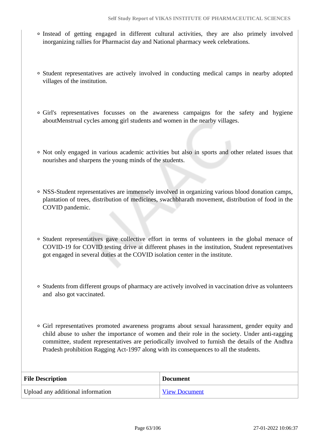- Instead of getting engaged in different cultural activities, they are also primely involved inorganizing rallies for Pharmacist day and National pharmacy week celebrations.
- Student representatives are actively involved in conducting medical camps in nearby adopted villages of the institution.
- Girl's representatives focusses on the awareness campaigns for the safety and hygiene aboutMenstrual cycles among girl students and women in the nearby villages.
- Not only engaged in various academic activities but also in sports and other related issues that nourishes and sharpens the young minds of the students.
- NSS-Student representatives are immensely involved in organizing various blood donation camps, plantation of trees, distribution of medicines, swachbharath movement, distribution of food in the COVID pandemic.
- Student representatives gave collective effort in terms of volunteers in the global menace of COVID-19 for COVID testing drive at different phases in the institution, Student representatives got engaged in several duties at the COVID isolation center in the institute.
- Students from different groups of pharmacy are actively involved in vaccination drive as volunteers and also got vaccinated.
- Girl representatives promoted awareness programs about sexual harassment, gender equity and child abuse to usher the importance of women and their role in the society. Under anti-ragging committee, student representatives are periodically involved to furnish the details of the Andhra Pradesh prohibition Ragging Act-1997 along with its consequences to all the students.

| <b>File Description</b>           | <b>Document</b>      |
|-----------------------------------|----------------------|
| Upload any additional information | <b>View Document</b> |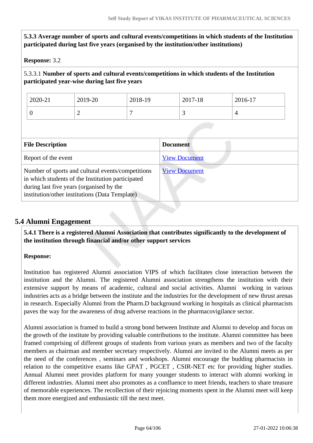| 5.3.3 Average number of sports and cultural events/competitions in which students of the Institution<br>participated during last five years (organised by the institution/other institutions)        |                                               |                      |                                                                                                |         |  |
|------------------------------------------------------------------------------------------------------------------------------------------------------------------------------------------------------|-----------------------------------------------|----------------------|------------------------------------------------------------------------------------------------|---------|--|
| <b>Response: 3.2</b>                                                                                                                                                                                 |                                               |                      |                                                                                                |         |  |
|                                                                                                                                                                                                      | participated year-wise during last five years |                      | 5.3.3.1 Number of sports and cultural events/competitions in which students of the Institution |         |  |
| 2020-21                                                                                                                                                                                              | 2019-20                                       | 2018-19              | 2017-18                                                                                        | 2016-17 |  |
| $\theta$                                                                                                                                                                                             | $\overline{2}$                                | $\overline{7}$       | 3                                                                                              | 4       |  |
|                                                                                                                                                                                                      |                                               |                      |                                                                                                |         |  |
| <b>File Description</b>                                                                                                                                                                              |                                               |                      | <b>Document</b>                                                                                |         |  |
| Report of the event                                                                                                                                                                                  |                                               | <b>View Document</b> |                                                                                                |         |  |
| Number of sports and cultural events/competitions<br>in which students of the Institution participated<br>during last five years (organised by the<br>institution/other institutions (Data Template) |                                               | <b>View Document</b> |                                                                                                |         |  |

# **5.4 Alumni Engagement**

 **5.4.1 There is a registered Alumni Association that contributes significantly to the development of the institution through financial and/or other support services**

### **Response:**

Institution has registered Alumni association VIPS of which facilitates close interaction between the institution and the Alumni. The registered Alumni association strengthens the institution with their extensive support by means of academic, cultural and social activities. Alumni working in various industries acts as a bridge between the institute and the industries for the development of new thrust arenas in research. Especially Alumni from the Pharm.D background working in hospitals as clinical pharmacists paves the way for the awareness of drug adverse reactions in the pharmacovigilance sector.

Alumni association is framed to build a strong bond between Institute and Alumni to develop and focus on the growth of the institute by providing valuable contributions to the institute. Alumni committee has been framed comprising of different groups of students from various years as members and two of the faculty members as chairman and member secretary respectively. Alumni are invited to the Alumni meets as per the need of the conferences , seminars and workshops. Alumni encourage the budding pharmacists in relation to the competitive exams like GPAT , PGCET , CSIR-NET etc for providing higher studies. Annual Alumni meet provides platform for many younger students to interact with alumni working in different industries. Alumni meet also promotes as a confluence to meet friends, teachers to share treasure of memorable experiences. The recollection of their rejoicing moments spent in the Alumni meet will keep them more energized and enthusiastic till the next meet.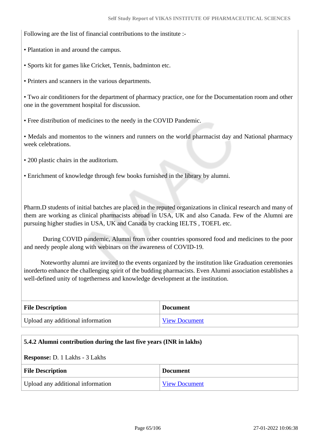Following are the list of financial contributions to the institute :-

- Plantation in and around the campus.
- Sports kit for games like Cricket, Tennis, badminton etc.
- Printers and scanners in the various departments.

• Two air conditioners for the department of pharmacy practice, one for the Documentation room and other one in the government hospital for discussion.

• Free distribution of medicines to the needy in the COVID Pandemic.

• Medals and momentos to the winners and runners on the world pharmacist day and National pharmacy week celebrations.

- 200 plastic chairs in the auditorium.
- Enrichment of knowledge through few books furnished in the library by alumni.

Pharm.D students of initial batches are placed in the reputed organizations in clinical research and many of them are working as clinical pharmacists abroad in USA, UK and also Canada. Few of the Alumni are pursuing higher studies in USA, UK and Canada by cracking IELTS , TOEFL etc.

 During COVID pandemic, Alumni from other countries sponsored food and medicines to the poor and needy people along with webinars on the awareness of COVID-19.

 Noteworthy alumni are invited to the events organized by the institution like Graduation ceremonies inorderto enhance the challenging spirit of the budding pharmacists. Even Alumni association establishes a well-defined unity of togetherness and knowledge development at the institution.

| <b>File Description</b>           | <b>Document</b>      |
|-----------------------------------|----------------------|
| Upload any additional information | <b>View Document</b> |

### **5.4.2 Alumni contribution during the last five years (INR in lakhs)**

#### **Response:** D. 1 Lakhs - 3 Lakhs

| <b>File Description</b>           | <b>Document</b>      |
|-----------------------------------|----------------------|
| Upload any additional information | <b>View Document</b> |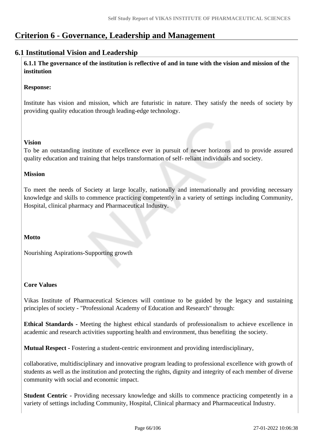# **Criterion 6 - Governance, Leadership and Management**

### **6.1 Institutional Vision and Leadership**

 **6.1.1 The governance of the institution is reflective of and in tune with the vision and mission of the institution**

### **Response:**

Institute has vision and mission, which are futuristic in nature. They satisfy the needs of society by providing quality education through leading-edge technology.

### **Vision**

To be an outstanding institute of excellence ever in pursuit of newer horizons and to provide assured quality education and training that helps transformation of self- reliant individuals and society.

### **Mission**

To meet the needs of Society at large locally, nationally and internationally and providing necessary knowledge and skills to commence practicing competently in a variety of settings including Community, Hospital, clinical pharmacy and Pharmaceutical Industry.

### **Motto**

Nourishing Aspirations-Supporting growth

### **Core Values**

Vikas Institute of Pharmaceutical Sciences will continue to be guided by the legacy and sustaining principles of society - "Professional Academy of Education and Research" through:

**Ethical Standards -** Meeting the highest ethical standards of professionalism to achieve excellence in academic and research activities supporting health and environment, thus benefiting the society.

**Mutual Respect -** Fostering a student-centric environment and providing interdisciplinary,

collaborative, multidisciplinary and innovative program leading to professional excellence with growth of students as well as the institution and protecting the rights, dignity and integrity of each member of diverse community with social and economic impact.

**Student Centric -** Providing necessary knowledge and skills to commence practicing competently in a variety of settings including Community, Hospital, Clinical pharmacy and Pharmaceutical Industry.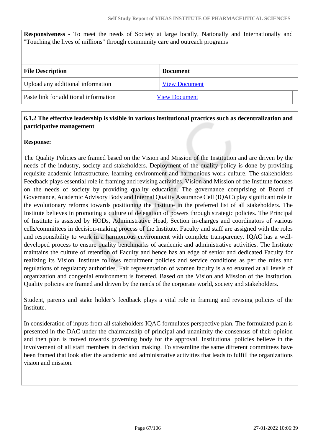**Responsiveness -** To meet the needs of Society at large locally, Nationally and Internationally and "Touching the lives of millions" through community care and outreach programs

| <b>File Description</b>               | <b>Document</b>      |
|---------------------------------------|----------------------|
| Upload any additional information     | <b>View Document</b> |
| Paste link for additional information | <b>View Document</b> |

### **6.1.2 The effective leadership is visible in various institutional practices such as decentralization and participative management**

#### **Response:**

The Quality Policies are framed based on the Vision and Mission of the Institution and are driven by the needs of the industry, society and stakeholders. Deployment of the quality policy is done by providing requisite academic infrastructure, learning environment and harmonious work culture. The stakeholders Feedback plays essential role in framing and revising activities. Vision and Mission of the Institute focuses on the needs of society by providing quality education. The governance comprising of Board of Governance, Academic Advisory Body and Internal Quality Assurance Cell (IQAC) play significant role in the evolutionary reforms towards positioning the Institute in the preferred list of all stakeholders. The Institute believes in promoting a culture of delegation of powers through strategic policies. The Principal of Institute is assisted by HODs, Administrative Head, Section in-charges and coordinators of various cells/committees in decision-making process of the Institute. Faculty and staff are assigned with the roles and responsibility to work in a harmonious environment with complete transparency. IQAC has a welldeveloped process to ensure quality benchmarks of academic and administrative activities. The Institute maintains the culture of retention of Faculty and hence has an edge of senior and dedicated Faculty for realizing its Vision. Institute follows recruitment policies and service conditions as per the rules and regulations of regulatory authorities. Fair representation of women faculty is also ensured at all levels of organization and congenial environment is fostered. Based on the Vision and Mission of the Institution, Quality policies are framed and driven by the needs of the corporate world, society and stakeholders.

Student, parents and stake holder's feedback plays a vital role in framing and revising policies of the Institute.

In consideration of inputs from all stakeholders IQAC formulates perspective plan. The formulated plan is presented in the DAC under the chairmanship of principal and unanimity the consensus of their opinion and then plan is moved towards governing body for the approval. Institutional policies believe in the involvement of all staff members in decision making. To streamline the same different committees have been framed that look after the academic and administrative activities that leads to fulfill the organizations vision and mission.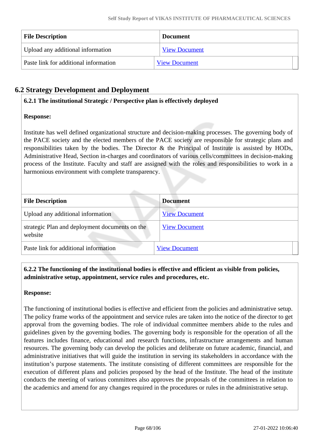| <b>File Description</b>               | Document             |
|---------------------------------------|----------------------|
| Upload any additional information     | <b>View Document</b> |
| Paste link for additional information | <b>View Document</b> |

# **6.2 Strategy Development and Deployment**

### **6.2.1 The institutional Strategic / Perspective plan is effectively deployed**

### **Response:**

Institute has well defined organizational structure and decision-making processes. The governing body of the PACE society and the elected members of the PACE society are responsible for strategic plans and responsibilities taken by the bodies. The Director & the Principal of Institute is assisted by HODs, Administrative Head, Section in-charges and coordinators of various cells/committees in decision-making process of the Institute. Faculty and staff are assigned with the roles and responsibilities to work in a harmonious environment with complete transparency.

| <b>File Description</b>                                   | <b>Document</b>      |
|-----------------------------------------------------------|----------------------|
| Upload any additional information                         | <b>View Document</b> |
| strategic Plan and deployment documents on the<br>website | <b>View Document</b> |
| Paste link for additional information                     | <b>View Document</b> |

### **6.2.2 The functioning of the institutional bodies is effective and efficient as visible from policies, administrative setup, appointment, service rules and procedures, etc.**

### **Response:**

The functioning of institutional bodies is effective and efficient from the policies and administrative setup. The policy frame works of the appointment and service rules are taken into the notice of the director to get approval from the governing bodies. The role of individual committee members abide to the rules and guidelines given by the governing bodies. The governing body is responsible for the operation of all the features includes finance, educational and research functions, infrastructure arrangements and human resources. The governing body can develop the policies and deliberate on future academic, financial, and administrative initiatives that will guide the institution in serving its stakeholders in accordance with the institution's purpose statements. The institute consisting of different committees are responsible for the execution of different plans and policies proposed by the head of the Institute. The head of the institute conducts the meeting of various committees also approves the proposals of the committees in relation to the academics and amend for any changes required in the procedures or rules in the administrative setup.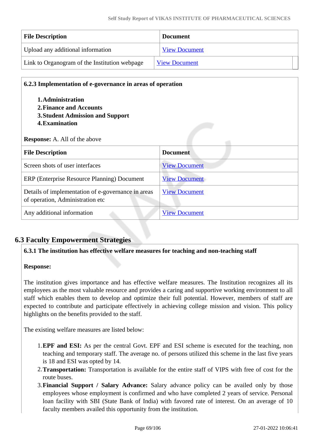| <b>File Description</b>                       | <b>Document</b>      |  |
|-----------------------------------------------|----------------------|--|
| Upload any additional information             | <b>View Document</b> |  |
| Link to Organogram of the Institution webpage | <b>View Document</b> |  |

| 6.2.3 Implementation of e-governance in areas of operation                             |                      |  |
|----------------------------------------------------------------------------------------|----------------------|--|
| 1. Administration                                                                      |                      |  |
| 2. Finance and Accounts                                                                |                      |  |
| <b>3. Student Admission and Support</b>                                                |                      |  |
| 4. Examination                                                                         |                      |  |
| <b>Response:</b> A. All of the above                                                   |                      |  |
| <b>File Description</b>                                                                | <b>Document</b>      |  |
| Screen shots of user interfaces                                                        | <b>View Document</b> |  |
| ERP (Enterprise Resource Planning) Document                                            | <b>View Document</b> |  |
| Details of implementation of e-governance in areas<br>of operation, Administration etc | <b>View Document</b> |  |
| Any additional information                                                             | <b>View Document</b> |  |

# **6.3 Faculty Empowerment Strategies**

### **6.3.1 The institution has effective welfare measures for teaching and non-teaching staff**

### **Response:**

The institution gives importance and has effective welfare measures. The Institution recognizes all its employees as the most valuable resource and provides a caring and supportive working environment to all staff which enables them to develop and optimize their full potential. However, members of staff are expected to contribute and participate effectively in achieving college mission and vision. This policy highlights on the benefits provided to the staff.

The existing welfare measures are listed below:

- 1.**EPF and ESI:** As per the central Govt. EPF and ESI scheme is executed for the teaching, non teaching and temporary staff. The average no. of persons utilized this scheme in the last five years is 18 and ESI was opted by 14.
- 2.**Transportation:** Transportation is available for the entire staff of VIPS with free of cost for the route buses.
- 3.**Financial Support / Salary Advance:** Salary advance policy can be availed only by those employees whose employment is confirmed and who have completed 2 years of service. Personal loan facility with SBI (State Bank of India) with favored rate of interest. On an average of 10 faculty members availed this opportunity from the institution.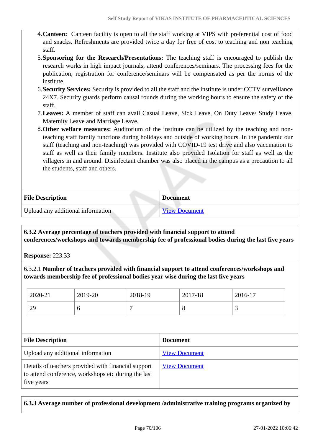- 4.**Canteen:** Canteen facility is open to all the staff working at VIPS with preferential cost of food and snacks. Refreshments are provided twice a day for free of cost to teaching and non teaching staff.
- 5.**Sponsoring for the Research/Presentations:** The teaching staff is encouraged to publish the research works in high impact journals, attend conferences/seminars. The processing fees for the publication, registration for conference/seminars will be compensated as per the norms of the institute.
- 6.**Security Services:** Security is provided to all the staff and the institute is under CCTV surveillance 24X7. Security guards perform causal rounds during the working hours to ensure the safety of the staff.
- 7.**Leaves:** A member of staff can avail Casual Leave, Sick Leave, On Duty Leave/ Study Leave, Maternity Leave and Marriage Leave.
- 8.**Other welfare measures:** Auditorium of the institute can be utilized by the teaching and nonteaching staff family functions during holidays and outside of working hours. In the pandemic our staff (teaching and non-teaching) was provided with COVID-19 test drive and also vaccination to staff as well as their family members. Institute also provided Isolation for staff as well as the villagers in and around. Disinfectant chamber was also placed in the campus as a precaution to all the students, staff and others.

| <b>File Description</b>           | <b>Document</b>      |
|-----------------------------------|----------------------|
| Upload any additional information | <b>View Document</b> |

 **6.3.2 Average percentage of teachers provided with financial support to attend conferences/workshops and towards membership fee of professional bodies during the last five years**

**Response:** 223.33

6.3.2.1 **Number of teachers provided with financial support to attend conferences/workshops and towards membership fee of professional bodies year wise during the last five years**

| $E1. \nD 41.$ |         | $\mathbf{D}$ - $\cdots$ $\cdots$ |         |         |
|---------------|---------|----------------------------------|---------|---------|
|               |         |                                  |         |         |
|               |         |                                  |         |         |
| 29            | O       |                                  | $\circ$ | ⌒       |
| 2020-21       | 2019-20 | 2018-19                          | 2017-18 | 2016-17 |

| <b>File Description</b>                                                                                                  | <b>Document</b>      |
|--------------------------------------------------------------------------------------------------------------------------|----------------------|
| Upload any additional information                                                                                        | <b>View Document</b> |
| Details of teachers provided with financial support<br>to attend conference, workshops etc during the last<br>five years | <b>View Document</b> |

### **6.3.3 Average number of professional development /administrative training programs organized by**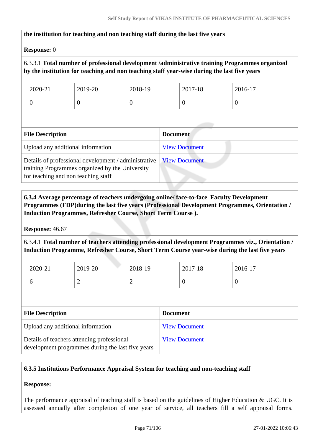### **the institution for teaching and non teaching staff during the last five years**

### **Response:** 0

### 6.3.3.1 **Total number of professional development /administrative training Programmes organized by the institution for teaching and non teaching staff year-wise during the last five years**

| 2020-21 | 2019-20 | 2018-19 | 2017-18 | 2016-17 |
|---------|---------|---------|---------|---------|
| ◡       |         | ν       |         | υ       |

| <b>File Description</b>                                                                                                                        | <b>Document</b>      |
|------------------------------------------------------------------------------------------------------------------------------------------------|----------------------|
| Upload any additional information                                                                                                              | <b>View Document</b> |
| Details of professional development / administrative<br>training Programmes organized by the University<br>for teaching and non teaching staff | <b>View Document</b> |

 **6.3.4 Average percentage of teachers undergoing online/ face-to-face Faculty Development Programmes (FDP)during the last five years (Professional Development Programmes, Orientation / Induction Programmes, Refresher Course, Short Term Course ).**

**Response:** 46.67

6.3.4.1 **Total number of teachers attending professional development Programmes viz., Orientation / Induction Programme, Refresher Course, Short Term Course year-wise during the last five years**

| 2020-21 | 2019-20 | 2018-19 | 2017-18 | 2016-17 |
|---------|---------|---------|---------|---------|
|         | -       | -       |         | ν       |

| <b>File Description</b>                                                                         | <b>Document</b>      |
|-------------------------------------------------------------------------------------------------|----------------------|
| Upload any additional information                                                               | <b>View Document</b> |
| Details of teachers attending professional<br>development programmes during the last five years | <b>View Document</b> |

### **6.3.5 Institutions Performance Appraisal System for teaching and non-teaching staff**

# **Response:**

The performance appraisal of teaching staff is based on the guidelines of Higher Education & UGC. It is assessed annually after completion of one year of service, all teachers fill a self appraisal forms.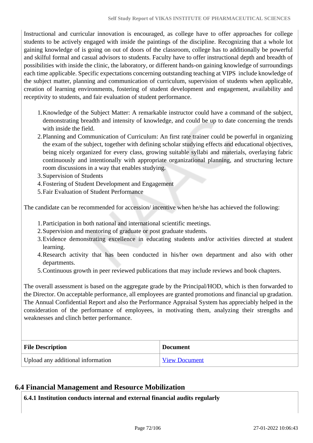Instructional and curricular innovation is encouraged, as college have to offer approaches for college students to be actively engaged with inside the paintings of the discipline. Recognizing that a whole lot gaining knowledge of is going on out of doors of the classroom, college has to additionally be powerful and skilful formal and casual advisors to students. Faculty have to offer instructional depth and breadth of possibilities with inside the clinic, the laboratory, or different hands-on gaining knowledge of surroundings each time applicable. Specific expectations concerning outstanding teaching at VIPS include knowledge of the subject matter, planning and communication of curriculum, supervision of students when applicable, creation of learning environments, fostering of student development and engagement, availability and receptivity to students, and fair evaluation of student performance.

- 1.Knowledge of the Subject Matter: A remarkable instructor could have a command of the subject, demonstrating breadth and intensity of knowledge, and could be up to date concerning the trends with inside the field.
- 2.Planning and Communication of Curriculum: An first rate trainer could be powerful in organizing the exam of the subject, together with defining scholar studying effects and educational objectives, being nicely organized for every class, growing suitable syllabi and materials, overlaying fabric continuously and intentionally with appropriate organizational planning, and structuring lecture room discussions in a way that enables studying.
- 3.Supervision of Students
- 4.Fostering of Student Development and Engagement
- 5.Fair Evaluation of Student Performance

The candidate can be recommended for accession/ incentive when he/she has achieved the following:

- 1.Participation in both national and international scientific meetings.
- 2.Supervision and mentoring of graduate or post graduate students.
- 3.Evidence demonstrating excellence in educating students and/or activities directed at student learning.
- 4.Research activity that has been conducted in his/her own department and also with other departments.
- 5.Continuous growth in peer reviewed publications that may include reviews and book chapters.

The overall assessment is based on the aggregate grade by the Principal/HOD, which is then forwarded to the Director. On acceptable performance, all employees are granted promotions and financial up gradation. The Annual Confidential Report and also the Performance Appraisal System has appreciably helped in the consideration of the performance of employees, in motivating them, analyzing their strengths and weaknesses and clinch better performance.

| <b>File Description</b>           | <b>Document</b>      |
|-----------------------------------|----------------------|
| Upload any additional information | <b>View Document</b> |

### **6.4 Financial Management and Resource Mobilization**

**6.4.1 Institution conducts internal and external financial audits regularly**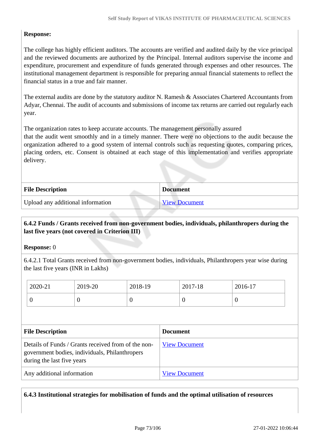## **Response:**

The college has highly efficient auditors. The accounts are verified and audited daily by the vice principal and the reviewed documents are authorized by the Principal. Internal auditors supervise the income and expenditure, procurement and expenditure of funds generated through expenses and other resources. The institutional management department is responsible for preparing annual financial statements to reflect the financial status in a true and fair manner.

The external audits are done by the statutory auditor N. Ramesh & Associates Chartered Accountants from Adyar, Chennai. The audit of accounts and submissions of income tax returns are carried out regularly each year.

The organization rates to keep accurate accounts. The management personally assured

that the audit went smoothly and in a timely manner. There were no objections to the audit because the organization adhered to a good system of internal controls such as requesting quotes, comparing prices, placing orders, etc. Consent is obtained at each stage of this implementation and verifies appropriate delivery.

| <b>File Description</b>           | <b>Document</b> |
|-----------------------------------|-----------------|
| Upload any additional information | View Document   |

## **6.4.2 Funds / Grants received from non-government bodies, individuals, philanthropers during the last five years (not covered in Criterion III)**

## **Response:** 0

6.4.2.1 Total Grants received from non-government bodies, individuals, Philanthropers year wise during the last five years (INR in Lakhs)

|                            | 2020-21                                                                                                                             | 2019-20         | 2018-19              |  | 2017-18          | 2016-17  |  |
|----------------------------|-------------------------------------------------------------------------------------------------------------------------------------|-----------------|----------------------|--|------------------|----------|--|
|                            | $\theta$                                                                                                                            | $\theta$        | $\theta$             |  | $\boldsymbol{0}$ | $\theta$ |  |
|                            |                                                                                                                                     |                 |                      |  |                  |          |  |
| <b>File Description</b>    |                                                                                                                                     | <b>Document</b> |                      |  |                  |          |  |
|                            | Details of Funds / Grants received from of the non-<br>government bodies, individuals, Philanthropers<br>during the last five years |                 | <b>View Document</b> |  |                  |          |  |
| Any additional information |                                                                                                                                     |                 |                      |  |                  |          |  |

**6.4.3 Institutional strategies for mobilisation of funds and the optimal utilisation of resources**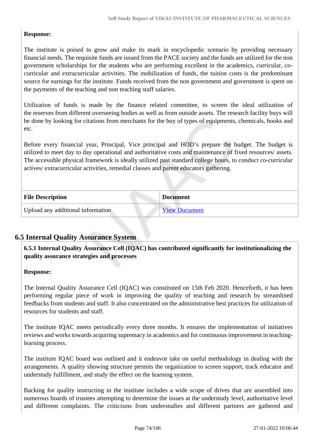## **Response:**

The institute is poised to grow and make its mark in encyclopedic scenario by providing necessary financial needs. The requisite funds are issued from the PACE society and the funds are utilized for the non government scholarships for the students who are performing excellent in the academics, curricular, cocurricular and extracurricular activities. The mobilization of funds, the tuition costs is the predominant source for earnings for the institute. Funds received from the non government and government is spent on the payments of the teaching and non teaching staff salaries.

Utilization of funds is made by the finance related committee, to screen the ideal utilization of the reserves from different overseeing bodies as well as from outside assets. The research facility buys will be done by looking for citations from merchants for the buy of types of equipments, chemicals, books and etc.

Before every financial year, Principal, Vice principal and HOD's prepare the budget. The budget is utilized to meet day to day operational and authoritative costs and maintenance of fixed resources/ assets. The accessible physical framework is ideally utilized past standard college hours, to conduct co-curricular actives/ extracurricular activities, remedial classes and parent educators gathering.

| <b>File Description</b>           | <b>Document</b>      |
|-----------------------------------|----------------------|
| Upload any additional information | <b>View Document</b> |

## **6.5 Internal Quality Assurance System**

 **6.5.1 Internal Quality Assurance Cell (IQAC) has contributed significantly for institutionalizing the quality assurance strategies and processes**

## **Response:**

The Internal Quality Assurance Cell (IQAC) was constituted on 15th Feb 2020. Henceforth, it has been performing regular piece of work in improving the quality of teaching and research by streamlined feedbacks from students and staff. It also concentrated on the administrative best practices for utilization of resources for students and staff.

The institute IQAC meets periodically every three months. It ensures the implementation of initiatives reviews and works towards acquiring supremacy in academics and for continuous improvement in teachinglearning process.

The institute IQAC board was outlined and it endeavor take on useful methodology in dealing with the arrangements. A quality showing structure permits the organization to screen support, track educator and understudy fulfillment, and study the effect on the learning system.

Backing for quality instructing in the institute includes a wide scope of drives that are assembled into numerous boards of trustees attempting to determine the issues at the understudy level, authoritative level and different complaints. The criticisms from understudies and different partners are gathered and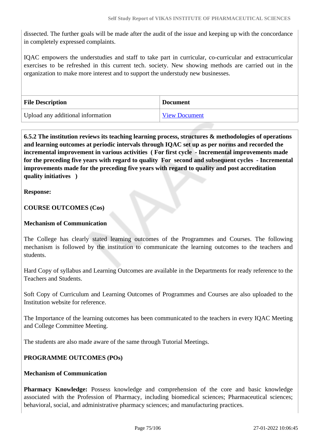dissected. The further goals will be made after the audit of the issue and keeping up with the concordance in completely expressed complaints.

IQAC empowers the understudies and staff to take part in curricular, co-curricular and extracurricular exercises to be refreshed in this current tech. society. New showing methods are carried out in the organization to make more interest and to support the understudy new businesses.

| <b>File Description</b>           | <b>Document</b>      |
|-----------------------------------|----------------------|
| Upload any additional information | <b>View Document</b> |

 **6.5.2 The institution reviews its teaching learning process, structures & methodologies of operations and learning outcomes at periodic intervals through IQAC set up as per norms and recorded the incremental improvement in various activities ( For first cycle - Incremental improvements made for the preceding five years with regard to quality For second and subsequent cycles - Incremental improvements made for the preceding five years with regard to quality and post accreditation quality initiatives )** 

**Response:** 

**COURSE OUTCOMES (Cos)**

## **Mechanism of Communication**

The College has clearly stated learning outcomes of the Programmes and Courses. The following mechanism is followed by the institution to communicate the learning outcomes to the teachers and students.

Hard Copy of syllabus and Learning Outcomes are available in the Departments for ready reference to the Teachers and Students.

Soft Copy of Curriculum and Learning Outcomes of Programmes and Courses are also uploaded to the Institution website for reference.

The Importance of the learning outcomes has been communicated to the teachers in every IQAC Meeting and College Committee Meeting.

The students are also made aware of the same through Tutorial Meetings.

## **PROGRAMME OUTCOMES (POs)**

## **Mechanism of Communication**

**Pharmacy Knowledge:** Possess knowledge and comprehension of the core and basic knowledge associated with the Profession of Pharmacy, including biomedical sciences; Pharmaceutical sciences; behavioral, social, and administrative pharmacy sciences; and manufacturing practices.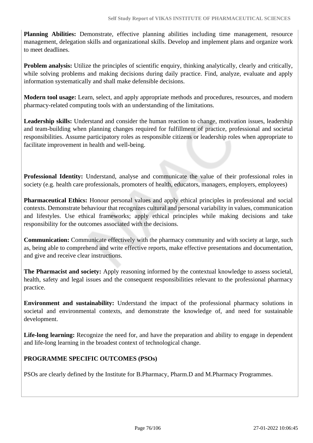**Planning Abilities:** Demonstrate, effective planning abilities including time management, resource management, delegation skills and organizational skills. Develop and implement plans and organize work to meet deadlines.

**Problem analysis:** Utilize the principles of scientific enquiry, thinking analytically, clearly and critically, while solving problems and making decisions during daily practice. Find, analyze, evaluate and apply information systematically and shall make defensible decisions.

**Modern tool usage:** Learn, select, and apply appropriate methods and procedures, resources, and modern pharmacy-related computing tools with an understanding of the limitations.

**Leadership skills:** Understand and consider the human reaction to change, motivation issues, leadership and team-building when planning changes required for fulfillment of practice, professional and societal responsibilities. Assume participatory roles as responsible citizens or leadership roles when appropriate to facilitate improvement in health and well-being.

**Professional Identity:** Understand, analyse and communicate the value of their professional roles in society (e.g. health care professionals, promoters of health, educators, managers, employers, employees)

**Pharmaceutical Ethics:** Honour personal values and apply ethical principles in professional and social contexts. Demonstrate behaviour that recognizes cultural and personal variability in values, communication and lifestyles. Use ethical frameworks; apply ethical principles while making decisions and take responsibility for the outcomes associated with the decisions.

**Communication:** Communicate effectively with the pharmacy community and with society at large, such as, being able to comprehend and write effective reports, make effective presentations and documentation, and give and receive clear instructions.

**The Pharmacist and society:** Apply reasoning informed by the contextual knowledge to assess societal, health, safety and legal issues and the consequent responsibilities relevant to the professional pharmacy practice.

**Environment and sustainability:** Understand the impact of the professional pharmacy solutions in societal and environmental contexts, and demonstrate the knowledge of, and need for sustainable development.

**Life-long learning:** Recognize the need for, and have the preparation and ability to engage in dependent and life-long learning in the broadest context of technological change.

## **PROGRAMME SPECIFIC OUTCOMES (PSOs)**

PSOs are clearly defined by the Institute for B.Pharmacy, Pharm.D and M.Pharmacy Programmes.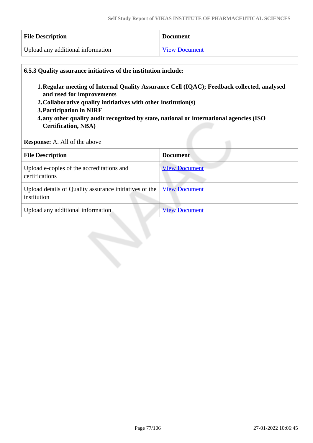| <b>File Description</b>           | <b>Document</b>      |
|-----------------------------------|----------------------|
| Upload any additional information | <b>View Document</b> |

| 6.5.3 Quality assurance initiatives of the institution include:<br>1. Regular meeting of Internal Quality Assurance Cell (IQAC); Feedback collected, analysed<br>and used for improvements<br>2. Collaborative quality intitiatives with other institution(s)<br>3. Participation in NIRF<br>4.any other quality audit recognized by state, national or international agencies (ISO<br><b>Certification, NBA)</b><br><b>Response:</b> A. All of the above |                      |  |
|-----------------------------------------------------------------------------------------------------------------------------------------------------------------------------------------------------------------------------------------------------------------------------------------------------------------------------------------------------------------------------------------------------------------------------------------------------------|----------------------|--|
| <b>File Description</b>                                                                                                                                                                                                                                                                                                                                                                                                                                   | <b>Document</b>      |  |
| Upload e-copies of the accreditations and<br>certifications                                                                                                                                                                                                                                                                                                                                                                                               | <b>View Document</b> |  |
| Upload details of Quality assurance initiatives of the<br>institution                                                                                                                                                                                                                                                                                                                                                                                     | <b>View Document</b> |  |
| Upload any additional information                                                                                                                                                                                                                                                                                                                                                                                                                         | <b>View Document</b> |  |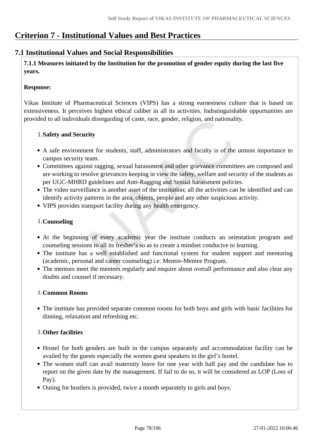# **Criterion 7 - Institutional Values and Best Practices**

## **7.1 Institutional Values and Social Responsibilities**

 **7.1.1 Measures initiated by the Institution for the promotion of gender equity during the last five years.**

## **Response:**

Vikas Institute of Pharmaceutical Sciences (VIPS) has a strong earnestness culture that is based on extensiveness. It perceives highest ethical caliber in all its activities. Indistinguishable opportunities are provided to all individuals disregarding of caste, race, gender, religion, and nationality.

## 1.**Safety and Security**

- A safe environment for students, staff, administrators and faculty is of the utmost importance to campus security team.
- Committees against ragging, sexual harassment and other grievance committees are composed and are working to resolve grievances keeping in view the safety, welfare and security of the students as per UGC-MHRD guidelines and Anti-Ragging and Sexual harassment policies.
- The video surveillance is another asset of the institution; all the activities can be identified and can identify activity patterns in the area, objects, people and any other suspicious activity.
- VIPS provides transport facility during any health emergency.

## 1.**Counseling**

- At the beginning of every academic year the institute conducts an orientation program and counseling sessions to all its fresher's so as to create a mindset conducive to learning.
- The institute has a well established and functional system for student support and mentoring (academic, personal and career counseling) i.e. Mentor-Mentee Program.
- The mentors meet the mentees regularly and enquire about overall performance and also clear any doubts and counsel if necessary.

## 1.**Common Rooms**

The institute has provided separate common rooms for both boys and girls with basic facilities for dinning, relaxation and refreshing etc.

## 1.**Other facilities**

- Hostel for both genders are built in the campus separately and accommodation facility can be availed by the guests especially the women guest speakers in the girl's hostel.
- The women staff can avail maternity leave for one year with half pay and the candidate has to report on the given date by the management. If fail to do so, it will be considered as LOP (Loss of Pay).
- Outing for hostlers is provided, twice a month separately to girls and boys.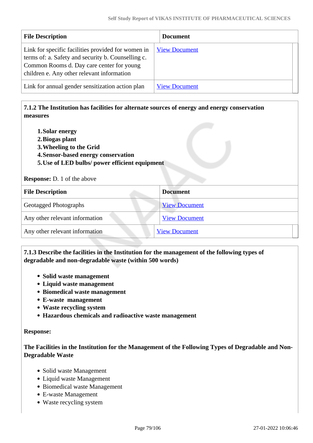| <b>File Description</b>                                                                                                                                                                             | <b>Document</b>      |
|-----------------------------------------------------------------------------------------------------------------------------------------------------------------------------------------------------|----------------------|
| Link for specific facilities provided for women in<br>terms of: a. Safety and security b. Counselling c.<br>Common Rooms d. Day care center for young<br>children e. Any other relevant information | <b>View Document</b> |
| Link for annual gender sensitization action plan                                                                                                                                                    | <b>View Document</b> |

## **7.1.2 The Institution has facilities for alternate sources of energy and energy conservation measures**

- **1.Solar energy**
- **2.Biogas plant**
- **3.Wheeling to the Grid**
- **4.Sensor-based energy conservation**
- **5.Use of LED bulbs/ power efficient equipment**

**Response:** D. 1 of the above

| <b>File Description</b>        | <b>Document</b>      |
|--------------------------------|----------------------|
| <b>Geotagged Photographs</b>   | <b>View Document</b> |
| Any other relevant information | <b>View Document</b> |
| Any other relevant information | <b>View Document</b> |

## **7.1.3 Describe the facilities in the Institution for the management of the following types of degradable and non-degradable waste (within 500 words)**

- **Solid waste management**
- **Liquid waste management**
- **Biomedical waste management**
- **E-waste management**
- **Waste recycling system**
- **Hazardous chemicals and radioactive waste management**

#### **Response:**

**The Facilities in the Institution for the Management of the Following Types of Degradable and Non-Degradable Waste**

- Solid waste Management
- Liquid waste Management
- Biomedical waste Management
- E-waste Management
- Waste recycling system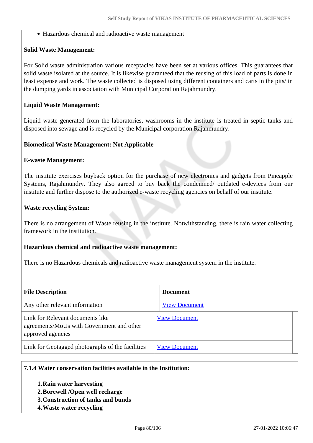Hazardous chemical and radioactive waste management

#### **Solid Waste Management:**

For Solid waste administration various receptacles have been set at various offices. This guarantees that solid waste isolated at the source. It is likewise guaranteed that the reusing of this load of parts is done in least expense and work. The waste collected is disposed using different containers and carts in the pits/ in the dumping yards in association with Municipal Corporation Rajahmundry.

#### **Liquid Waste Management:**

Liquid waste generated from the laboratories, washrooms in the institute is treated in septic tanks and disposed into sewage and is recycled by the Municipal corporation Rajahmundry.

#### **Biomedical Waste Management: Not Applicable**

#### **E-waste Management:**

The institute exercises buyback option for the purchase of new electronics and gadgets from Pineapple Systems, Rajahmundry. They also agreed to buy back the condemned/ outdated e-devices from our institute and further dispose to the authorized e-waste recycling agencies on behalf of our institute.

#### **Waste recycling System:**

There is no arrangement of Waste reusing in the institute. Notwithstanding, there is rain water collecting framework in the institution.

#### **Hazardous chemical and radioactive waste management:**

There is no Hazardous chemicals and radioactive waste management system in the institute.

| <b>File Description</b>                                                                            | <b>Document</b>      |  |
|----------------------------------------------------------------------------------------------------|----------------------|--|
| Any other relevant information                                                                     | <b>View Document</b> |  |
| Link for Relevant documents like<br>agreements/MoUs with Government and other<br>approved agencies | <b>View Document</b> |  |
| Link for Geotagged photographs of the facilities                                                   | <b>View Document</b> |  |

## **7.1.4 Water conservation facilities available in the Institution:**

- **1.Rain water harvesting**
- **2.Borewell /Open well recharge**
- **3.Construction of tanks and bunds**
- **4.Waste water recycling**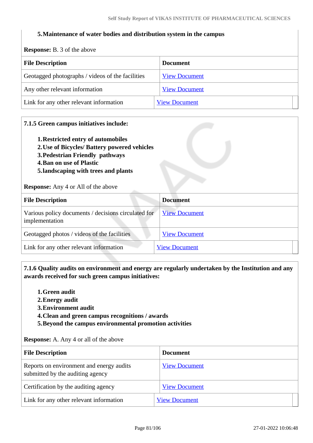#### **5.Maintenance of water bodies and distribution system in the campus**

**Response:** B. 3 of the above

| $\mathbf{A}$                                     |                      |  |
|--------------------------------------------------|----------------------|--|
| <b>File Description</b>                          | <b>Document</b>      |  |
| Geotagged photographs / videos of the facilities | <b>View Document</b> |  |
| Any other relevant information                   | <b>View Document</b> |  |
| Link for any other relevant information          | <b>View Document</b> |  |

#### **7.1.5 Green campus initiatives include:**

- **1.Restricted entry of automobiles**
- **2.Use of Bicycles/ Battery powered vehicles**
- **3.Pedestrian Friendly pathways**
- **4.Ban on use of Plastic**
- **5.landscaping with trees and plants**

**Response:** Any 4 or All of the above

| <b>File Description</b>                                               | <b>Document</b>      |
|-----------------------------------------------------------------------|----------------------|
| Various policy documents / decisions circulated for<br>implementation | <b>View Document</b> |
| Geotagged photos / videos of the facilities                           | <b>View Document</b> |
| Link for any other relevant information                               | <b>View Document</b> |

 **7.1.6 Quality audits on environment and energy are regularly undertaken by the Institution and any awards received for such green campus initiatives:**

- **1.Green audit**
- **2.Energy audit**
- **3.Environment audit**
- **4.Clean and green campus recognitions / awards**
- **5.Beyond the campus environmental promotion activities**

**Response:** A. Any 4 or all of the above

| <b>File Description</b>                                                      | <b>Document</b>      |
|------------------------------------------------------------------------------|----------------------|
| Reports on environment and energy audits<br>submitted by the auditing agency | <b>View Document</b> |
| Certification by the auditing agency                                         | <b>View Document</b> |
| Link for any other relevant information                                      | <b>View Document</b> |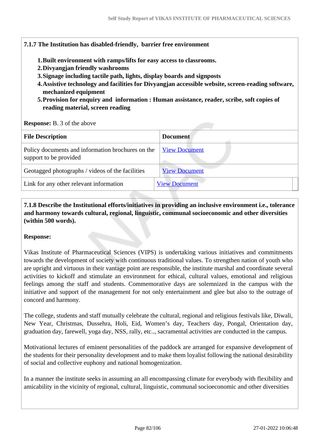#### **7.1.7 The Institution has disabled-friendly, barrier free environment**

- **1.Built environment with ramps/lifts for easy access to classrooms.**
- **2.Divyangjan friendly washrooms**
- **3.Signage including tactile path, lights, display boards and signposts**
- **4.Assistive technology and facilities for Divyangjan accessible website, screen-reading software, mechanized equipment**
- **5.Provision for enquiry and information : Human assistance, reader, scribe, soft copies of reading material, screen reading**

#### **Response:** B. 3 of the above

| <b>File Description</b>                                                     | <b>Document</b>      |
|-----------------------------------------------------------------------------|----------------------|
| Policy documents and information brochures on the<br>support to be provided | <b>View Document</b> |
| Geotagged photographs / videos of the facilities                            | <b>View Document</b> |
| Link for any other relevant information                                     | <b>View Document</b> |
|                                                                             |                      |

 **7.1.8 Describe the Institutional efforts/initiatives in providing an inclusive environment i.e., tolerance and harmony towards cultural, regional, linguistic, communal socioeconomic and other diversities (within 500 words).**

#### **Response:**

Vikas Institute of Pharmaceutical Sciences (VIPS) is undertaking various initiatives and commitments towards the development of society with continuous traditional values. To strengthen nation of youth who are upright and virtuous in their vantage point are responsible, the institute marshal and coordinate several activities to kickoff and stimulate an environment for ethical, cultural values, emotional and religious feelings among the staff and students. Commemorative days are solemnized in the campus with the initiative and support of the management for not only entertainment and glee but also to the outrage of concord and harmony.

The college, students and staff mutually celebrate the cultural, regional and religious festivals like, Diwali, New Year, Christmas, Dussehra, Holi, Eid, Women's day, Teachers day, Pongal, Orientation day, graduation day, farewell, yoga day, NSS, rally, etc.., sacramental activities are conducted in the campus.

Motivational lectures of eminent personalities of the paddock are arranged for expansive development of the students for their personality development and to make them loyalist following the national desirability of social and collective euphony and national homogenization.

In a manner the institute seeks in assuming an all encompassing climate for everybody with flexibility and amicability in the vicinity of regional, cultural, linguistic, communal socioeconomic and other diversities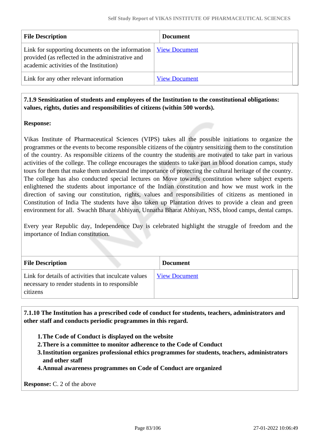| <b>File Description</b>                                                                                                                                     | <b>Document</b>      |
|-------------------------------------------------------------------------------------------------------------------------------------------------------------|----------------------|
| Link for supporting documents on the information $\parallel$<br>provided (as reflected in the administrative and<br>academic activities of the Institution) | <b>View Document</b> |
| Link for any other relevant information                                                                                                                     | <b>View Document</b> |

## **7.1.9 Sensitization of students and employees of the Institution to the constitutional obligations: values, rights, duties and responsibilities of citizens (within 500 words).**

## **Response:**

Vikas Institute of Pharmaceutical Sciences (VIPS) takes all the possible initiations to organize the programmes or the events to become responsible citizens of the country sensitizing them to the constitution of the country. As responsible citizens of the country the students are motivated to take part in various activities of the college. The college encourages the students to take part in blood donation camps, study tours for them that make them understand the importance of protecting the cultural heritage of the country. The college has also conducted special lectures on Move towards constitution where subject experts enlightened the students about importance of the Indian constitution and how we must work in the direction of saving our constitution, rights, values and responsibilities of citizens as mentioned in Constitution of India The students have also taken up Plantation drives to provide a clean and green environment for all. Swachh Bharat Abhiyan, Unnatha Bharat Abhiyan, NSS, blood camps, dental camps.

Every year Republic day, Independence Day is celebrated highlight the struggle of freedom and the importance of Indian constitution.

| <b>File Description</b>                                                                                            | <b>Document</b>      |
|--------------------------------------------------------------------------------------------------------------------|----------------------|
| Link for details of activities that inculcate values<br>necessary to render students in to responsible<br>citizens | <b>View Document</b> |

 **7.1.10 The Institution has a prescribed code of conduct for students, teachers, administrators and other staff and conducts periodic programmes in this regard.** 

- **1.The Code of Conduct is displayed on the website**
- **2.There is a committee to monitor adherence to the Code of Conduct**
- **3.Institution organizes professional ethics programmes for students, teachers, administrators and other staff**
- **4.Annual awareness programmes on Code of Conduct are organized**

**Response:** C. 2 of the above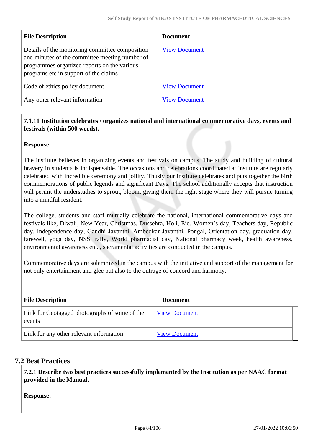| <b>File Description</b>                                                                                                                                                                   | <b>Document</b>      |
|-------------------------------------------------------------------------------------------------------------------------------------------------------------------------------------------|----------------------|
| Details of the monitoring committee composition<br>and minutes of the committee meeting number of<br>programmes organized reports on the various<br>programs etc in support of the claims | <b>View Document</b> |
| Code of ethics policy document                                                                                                                                                            | <b>View Document</b> |
| Any other relevant information                                                                                                                                                            | <b>View Document</b> |

## **7.1.11 Institution celebrates / organizes national and international commemorative days, events and festivals (within 500 words).**

## **Response:**

The institute believes in organizing events and festivals on campus. The study and building of cultural bravery in students is indispensable. The occasions and celebrations coordinated at institute are regularly celebrated with incredible ceremony and jollity. Thusly our institute celebrates and puts together the birth commemorations of public legends and significant Days. The school additionally accepts that instruction will permit the understudies to sprout, bloom, giving them the right stage where they will pursue turning into a mindful resident.

The college, students and staff mutually celebrate the national, international commemorative days and festivals like, Diwali, New Year, Christmas, Dussehra, Holi, Eid, Women's day, Teachers day, Republic day, Independence day, Gandhi Jayanthi, Ambedkar Jayanthi, Pongal, Orientation day, graduation day, farewell, yoga day, NSS, rally, World pharmacist day, National pharmacy week, health awareness, environmental awareness etc.., sacramental activities are conducted in the campus.

Commemorative days are solemnized in the campus with the initiative and support of the management for not only entertainment and glee but also to the outrage of concord and harmony.

| <b>File Description</b>                                 | <b>Document</b>      |  |  |  |  |
|---------------------------------------------------------|----------------------|--|--|--|--|
| Link for Geotagged photographs of some of the<br>events | <b>View Document</b> |  |  |  |  |
| Link for any other relevant information                 | <b>View Document</b> |  |  |  |  |

## **7.2 Best Practices**

 **7.2.1 Describe two best practices successfully implemented by the Institution as per NAAC format provided in the Manual.**

**Response:**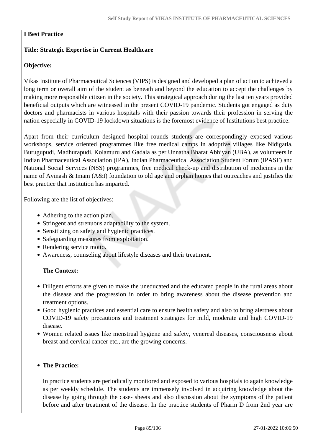## **I Best Practice**

## **Title: Strategic Expertise in Current Healthcare**

## **Objective:**

Vikas Institute of Pharmaceutical Sciences (VIPS) is designed and developed a plan of action to achieved a long term or overall aim of the student as beneath and beyond the education to accept the challenges by making more responsible citizen in the society. This strategical approach during the last ten years provided beneficial outputs which are witnessed in the present COVID-19 pandemic. Students got engaged as duty doctors and pharmacists in various hospitals with their passion towards their profession in serving the nation especially in COVID-19 lockdown situations is the foremost evidence of Institutions best practice.

Apart from their curriculum designed hospital rounds students are correspondingly exposed various workshops, service oriented programmes like free medical camps in adoptive villages like Nidigatla, Burugupudi, Madhurapudi, Kolamuru and Gadala as per Unnatha Bharat Abhiyan (UBA), as volunteers in Indian Pharmaceutical Association (IPA), Indian Pharmaceutical Association Student Forum (IPASF) and National Social Services (NSS) programmes, free medical check-up and distribution of medicines in the name of Avinash & Imam (A&I) foundation to old age and orphan homes that outreaches and justifies the best practice that institution has imparted.

Following are the list of objectives:

- Adhering to the action plan.
- Stringent and strenuous adaptability to the system.
- Sensitizing on safety and hygienic practices.
- Safeguarding measures from exploitation.
- Rendering service motto.
- Awareness, counseling about lifestyle diseases and their treatment.

#### **The Context:**

- Diligent efforts are given to make the uneducated and the educated people in the rural areas about the disease and the progression in order to bring awareness about the disease prevention and treatment options.
- Good hygienic practices and essential care to ensure health safety and also to bring alertness about COVID-19 safety precautions and treatment strategies for mild, moderate and high COVID-19 disease.
- Women related issues like menstrual hygiene and safety, venereal diseases, consciousness about breast and cervical cancer etc., are the growing concerns.

#### **The Practice:**

In practice students are periodically monitored and exposed to various hospitals to again knowledge as per weekly schedule. The students are immensely involved in acquiring knowledge about the disease by going through the case- sheets and also discussion about the symptoms of the patient before and after treatment of the disease. In the practice students of Pharm D from 2nd year are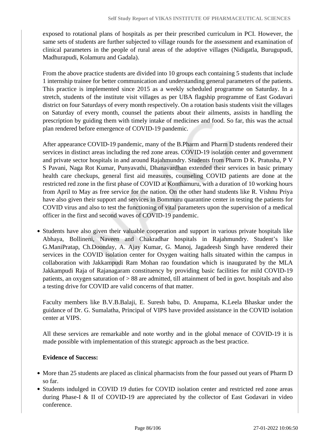exposed to rotational plans of hospitals as per their prescribed curriculum in PCI. However, the same sets of students are further subjected to village rounds for the assessment and examination of clinical parameters in the people of rural areas of the adoptive villages (Nidigatla, Burugupudi, Madhurapudi, Kolamuru and Gadala).

From the above practice students are divided into 10 groups each containing 5 students that include 1 internship trainee for better communication and understanding general parameters of the patients. This practice is implemented since 2015 as a weekly scheduled programme on Saturday. In a stretch, students of the institute visit villages as per UBA flagship programme of East Godavari district on four Saturdays of every month respectively. On a rotation basis students visit the villages on Saturday of every month, counsel the patients about their ailments, assists in handling the prescription by guiding them with timely intake of medicines and food. So far, this was the actual plan rendered before emergence of COVID-19 pandemic.

After appearance COVID-19 pandemic, many of the B.Pharm and Pharm D students rendered their services in distinct areas including the red zone areas. COVID-19 isolation center and government and private sector hospitals in and around Rajahmundry. Students from Pharm D K. Pratusha, P V S Pavani, Naga Rot Kumar, Punyavathi, Dhanavardhan extended their services in basic primary health care checkups, general first aid measures, counseling COVID patients are done at the restricted red zone in the first phase of COVID at Konthamuru, with a duration of 10 working hours from April to May as free service for the nation. On the other hand students like R. Vishnu Priya have also given their support and services in Bommuru quarantine center in testing the patients for COVID virus and also to test the functioning of vital parameters upon the supervision of a medical officer in the first and second waves of COVID-19 pandemic.

• Students have also given their valuable cooperation and support in various private hospitals like Abhaya, Bollineni, Naveen and Chakradhar hospitals in Rajahmundry. Student's like G.ManiPratap, Ch.Doonday, A. Ajay Kumar, G. Manoj, Jagadeesh Singh have rendered their services in the COVID isolation center for Oxygen waiting halls situated within the campus in collaboration with Jakkampudi Ram Mohan rao foundation which is inaugurated by the MLA Jakkampudi Raja of Rajanagaram constituency by providing basic facilities for mild COVID-19 patients, an oxygen saturation of > 88 are admitted, till attainment of bed in govt. hospitals and also a testing drive for COVID are valid concerns of that matter.

Faculty members like B.V.B.Balaji, E. Suresh babu, D. Anupama, K.Leela Bhaskar under the guidance of Dr. G. Sumalatha, Principal of VIPS have provided assistance in the COVID isolation center at VIPS.

All these services are remarkable and note worthy and in the global menace of COVID-19 it is made possible with implementation of this strategic approach as the best practice.

#### **Evidence of Success:**

- More than 25 students are placed as clinical pharmacists from the four passed out years of Pharm D so far.
- Students indulged in COVID 19 duties for COVID isolation center and restricted red zone areas during Phase-I & II of COVID-19 are appreciated by the collector of East Godavari in video conference.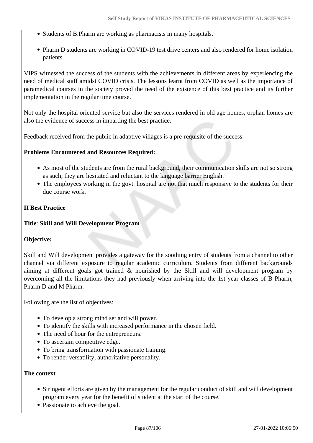- Students of B.Pharm are working as pharmacists in many hospitals.
- Pharm D students are working in COVID-19 test drive centers and also rendered for home isolation patients.

VIPS witnessed the success of the students with the achievements in different areas by experiencing the need of medical staff amidst COVID crisis. The lessons learnt from COVID as well as the importance of paramedical courses in the society proved the need of the existence of this best practice and its further implementation in the regular time course.

Not only the hospital oriented service but also the services rendered in old age homes, orphan homes are also the evidence of success in imparting the best practice.

Feedback received from the public in adaptive villages is a pre-requisite of the success.

#### **Problems Encountered and Resources Required:**

- As most of the students are from the rural background, their communication skills are not so strong as such; they are hesitated and reluctant to the language barrier English.
- The employees working in the govt. hospital are not that much responsive to the students for their due course work.

#### **II Best Practice**

#### **Title**: **Skill and Will Development Program**

## **Objective:**

Skill and Will development provides a gateway for the soothing entry of students from a channel to other channel via different exposure to regular academic curriculum. Students from different backgrounds aiming at different goals got trained & nourished by the Skill and will development program by overcoming all the limitations they had previously when arriving into the 1st year classes of B Pharm, Pharm D and M Pharm.

Following are the list of objectives:

- To develop a strong mind set and will power.
- To identify the skills with increased performance in the chosen field.
- The need of hour for the entrepreneurs.
- To ascertain competitive edge.
- To bring transformation with passionate training.
- To render versatility, authoritative personality.

#### **The context**

- Stringent efforts are given by the management for the regular conduct of skill and will development program every year for the benefit of student at the start of the course.
- Passionate to achieve the goal.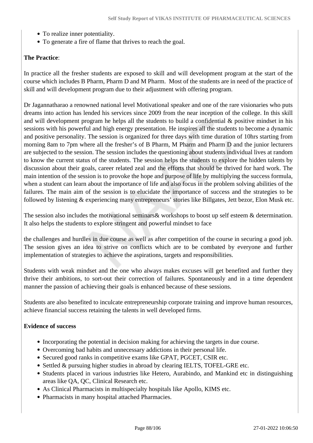- To realize inner potentiality.
- To generate a fire of flame that thrives to reach the goal.

## **The Practice**:

In practice all the fresher students are exposed to skill and will development program at the start of the course which includes B Pharm, Pharm D and M Pharm. Most of the students are in need of the practice of skill and will development program due to their adjustment with offering program.

Dr Jagannatharao a renowned national level Motivational speaker and one of the rare visionaries who puts dreams into action has lended his services since 2009 from the near inception of the college. In this skill and will development program he helps all the students to build a confidential & positive mindset in his sessions with his powerful and high energy presentation. He inspires all the students to become a dynamic and positive personality. The session is organized for three days with time duration of 10hrs starting from morning 8am to 7pm where all the fresher's of B Pharm, M Pharm and Pharm D and the junior lecturers are subjected to the session. The session includes the questioning about students individual lives at random to know the current status of the students. The session helps the students to explore the hidden talents by discussion about their goals, career related zeal and the efforts that should be thrived for hard work. The main intention of the session is to provoke the hope and purpose of life by multiplying the success formula, when a student can learn about the importance of life and also focus in the problem solving abilities of the failures. The main aim of the session is to elucidate the importance of success and the strategies to be followed by listening & experiencing many entrepreneurs' stories like Billgates, Jett bezor, Elon Musk etc.

The session also includes the motivational seminars & workshops to boost up self esteem & determination. It also helps the students to explore stringent and powerful mindset to face

the challenges and hurdles in due course as well as after competition of the course in securing a good job. The session gives an idea to strive on conflicts which are to be combated by everyone and further implementation of strategies to achieve the aspirations, targets and responsibilities.

Students with weak mindset and the one who always makes excuses will get benefited and further they thrive their ambitions, to sort-out their correction of failures. Spontaneously and in a time dependent manner the passion of achieving their goals is enhanced because of these sessions.

Students are also benefited to inculcate entrepreneurship corporate training and improve human resources, achieve financial success retaining the talents in well developed firms.

## **Evidence of success**

- Incorporating the potential in decision making for achieving the targets in due course.
- Overcoming bad habits and unnecessary addictions in their personal life.
- Secured good ranks in competitive exams like GPAT, PGCET, CSIR etc.
- Settled & pursuing higher studies in abroad by clearing IELTS, TOFEL-GRE etc.
- Students placed in various industries like Hetero, Aurabindo, and Mankind etc in distinguishing areas like QA, QC, Clinical Research etc.
- As Clinical Pharmacists in multispecialty hospitals like Apollo, KIMS etc.
- Pharmacists in many hospital attached Pharmacies.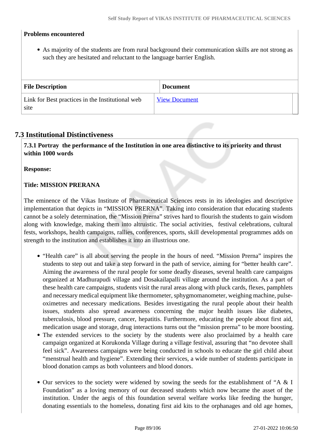## **Problems encountered**

As majority of the students are from rural background their communication skills are not strong as such they are hesitated and reluctant to the language barrier English.

| <b>File Description</b>                                  | <b>Document</b>      |
|----------------------------------------------------------|----------------------|
| Link for Best practices in the Institutional web<br>site | <b>View Document</b> |

## **7.3 Institutional Distinctiveness**

 **7.3.1 Portray the performance of the Institution in one area distinctive to its priority and thrust within 1000 words**

#### **Response:**

#### **Title: MISSION PRERANA**

The eminence of the Vikas Institute of Pharmaceutical Sciences rests in its ideologies and descriptive implementation that depicts in "MISSION PRERNA". Taking into consideration that educating students cannot be a solely determination, the "Mission Prerna" strives hard to flourish the students to gain wisdom along with knowledge, making them into altruistic. The social activities, festival celebrations, cultural fests, workshops, health campaigns, rallies, conferences, sports, skill developmental programmes adds on strength to the institution and establishes it into an illustrious one.

- "Health care" is all about serving the people in the hours of need. "Mission Prerna" inspires the students to step out and take a step forward in the path of service, aiming for "better health care". Aiming the awareness of the rural people for some deadly diseases, several health care campaigns organized at Madhurapudi village and Dosakailapalli village around the institution. As a part of these health care campaigns, students visit the rural areas along with pluck cards, flexes, pamphlets and necessary medical equipment like thermometer, sphygmomanometer, weighing machine, pulseoximetres and necessary medications. Besides investigating the rural people about their health issues, students also spread awareness concerning the major health issues like diabetes, tuberculosis, blood pressure, cancer, hepatitis. Furthermore, educating the people about first aid, medication usage and storage, drug interactions turns out the "mission prerna" to be more boosting.
- The extended services to the society by the students were also proclaimed by a health care campaign organized at Korukonda Village during a village festival, assuring that "no devotee shall feel sick". Awareness campaigns were being conducted in schools to educate the girl child about "menstrual health and hygiene". Extending their services, a wide number of students participate in blood donation camps as both volunteers and blood donors.
- Our services to the society were widened by sowing the seeds for the establishment of "A & I Foundation" as a loving memory of our deceased students which now became the asset of the institution. Under the aegis of this foundation several welfare works like feeding the hunger, donating essentials to the homeless, donating first aid kits to the orphanages and old age homes,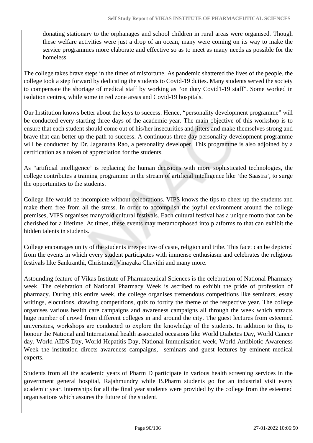donating stationary to the orphanages and school children in rural areas were organised. Though these welfare activities were just a drop of an ocean, many were coming on its way to make the service programmes more elaborate and effective so as to meet as many needs as possible for the homeless.

The college takes brave steps in the times of misfortune. As pandemic shattered the lives of the people, the college took a step forward by dedicating the students to Covid-19 duties. Many students served the society to compensate the shortage of medical staff by working as "on duty Covid1-19 staff". Some worked in isolation centres, while some in red zone areas and Covid-19 hospitals.

Our Institution knows better about the keys to success. Hence, "personality development programme" will be conducted every starting three days of the academic year. The main objective of this workshop is to ensure that each student should come out of his/her insecurities and jitters and make themselves strong and brave that can better up the path to success. A continuous three day personality development programme will be conducted by Dr. Jaganatha Rao, a personality developer. This programme is also adjoined by a certification as a token of appreciation for the students.

As "artificial intelligence' is replacing the human decisions with more sophisticated technologies, the college contributes a training programme in the stream of artificial intelligence like 'the Saastra', to surge the opportunities to the students.

College life would be incomplete without celebrations. VIPS knows the tips to cheer up the students and make them free from all the stress. In order to accomplish the joyful environment around the college premises, VIPS organises manyfold cultural festivals. Each cultural festival has a unique motto that can be cherished for a lifetime. At times, these events may metamorphosed into platforms to that can exhibit the hidden talents in students.

College encourages unity of the students irrespective of caste, religion and tribe. This facet can be depicted from the events in which every student participates with immense enthusiasm and celebrates the religious festivals like Sankranthi, Christmas, Vinayaka Chavithi and many more.

Astounding feature of Vikas Institute of Pharmaceutical Sciences is the celebration of National Pharmacy week. The celebration of National Pharmacy Week is ascribed to exhibit the pride of profession of pharmacy. During this entire week, the college organises tremendous competitions like seminars, essay writings, elocutions, drawing competitions, quiz to fortify the theme of the respective year. The college organises various health care campaigns and awareness campaigns all through the week which attracts huge number of crowd from different colleges in and around the city. The guest lectures from esteemed universities, workshops are conducted to explore the knowledge of the students. In addition to this, to honour the National and International health associated occasions like World Diabetes Day, World Cancer day, World AIDS Day, World Hepatitis Day, National Immunisation week, World Antibiotic Awareness Week the institution directs awareness campaigns, seminars and guest lectures by eminent medical experts.

Students from all the academic years of Pharm D participate in various health screening services in the government general hospital, Rajahmundry while B.Pharm students go for an industrial visit every academic year. Internships for all the final year students were provided by the college from the esteemed organisations which assures the future of the student.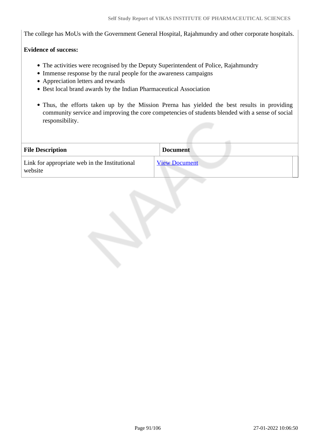The college has MoUs with the Government General Hospital, Rajahmundry and other corporate hospitals.

## **Evidence of success:**

- The activities were recognised by the Deputy Superintendent of Police, Rajahmundry
- Immense response by the rural people for the awareness campaigns
- Appreciation letters and rewards
- Best local brand awards by the Indian Pharmaceutical Association
- Thus, the efforts taken up by the Mission Prerna has yielded the best results in providing community service and improving the core competencies of students blended with a sense of social responsibility.

| <b>File Description</b>                                  | <b>Document</b>      |
|----------------------------------------------------------|----------------------|
| Link for appropriate web in the Institutional<br>website | <b>View Document</b> |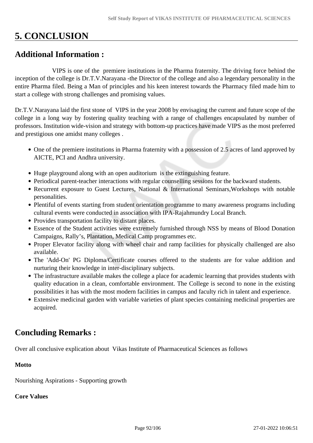# **5. CONCLUSION**

# **Additional Information :**

 VIPS is one of the premiere institutions in the Pharma fraternity. The driving force behind the inception of the college is Dr.T.V.Narayana -the Director of the college and also a legendary personality in the entire Pharma filed. Being a Man of principles and his keen interest towards the Pharmacy filed made him to start a college with strong challenges and promising values.

Dr.T.V.Narayana laid the first stone of VIPS in the year 2008 by envisaging the current and future scope of the college in a long way by fostering quality teaching with a range of challenges encapsulated by number of professors. Institution wide-vision and strategy with bottom-up practices have made VIPS as the most preferred and prestigious one amidst many colleges .

- One of the premiere institutions in Pharma fraternity with a possession of 2.5 acres of land approved by AICTE, PCI and Andhra university.
- Huge playground along with an open auditorium is the extinguishing feature.
- Periodical parent-teacher interactions with regular counselling sessions for the backward students.
- Recurrent exposure to Guest Lectures, National & International Seminars, Workshops with notable personalities.
- Plentiful of events starting from student orientation programme to many awareness programs including cultural events were conducted in association with IPA-Rajahmundry Local Branch.
- Provides transportation facility to distant places.
- Essence of the Student activities were extremely furnished through NSS by means of Blood Donation Campaigns, Rally's, Plantation, Medical Camp programmes etc.
- Proper Elevator facility along with wheel chair and ramp facilities for physically challenged are also available.
- The 'Add-On' PG Diploma/Certificate courses offered to the students are for value addition and nurturing their knowledge in inter-disciplinary subjects.
- The infrastructure available makes the college a place for academic learning that provides students with quality education in a clean, comfortable environment. The College is second to none in the existing possibilities it has with the most modern facilities in campus and faculty rich in talent and experience.
- Extensive medicinal garden with variable varieties of plant species containing medicinal properties are acquired.

# **Concluding Remarks :**

Over all conclusive explication about Vikas Institute of Pharmaceutical Sciences as follows

## **Motto**

Nourishing Aspirations - Supporting growth

## **Core Values**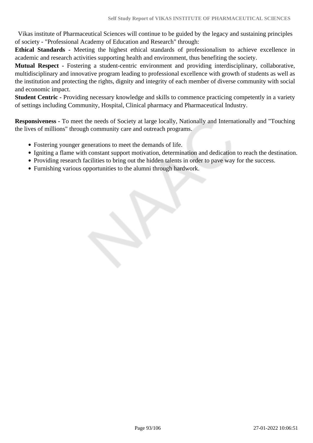Vikas institute of Pharmaceutical Sciences will continue to be guided by the legacy and sustaining principles of society - "Professional Academy of Education and Research" through:

**Ethical Standards -** Meeting the highest ethical standards of professionalism to achieve excellence in academic and research activities supporting health and environment, thus benefiting the society.

**Mutual Respect -** Fostering a student-centric environment and providing interdisciplinary, collaborative, multidisciplinary and innovative program leading to professional excellence with growth of students as well as the institution and protecting the rights, dignity and integrity of each member of diverse community with social and economic impact.

**Student Centric -** Providing necessary knowledge and skills to commence practicing competently in a variety of settings including Community, Hospital, Clinical pharmacy and Pharmaceutical Industry.

**Responsiveness -** To meet the needs of Society at large locally, Nationally and Internationally and "Touching the lives of millions" through community care and outreach programs.

- Fostering younger generations to meet the demands of life.
- Igniting a flame with constant support motivation, determination and dedication to reach the destination.
- Providing research facilities to bring out the hidden talents in order to pave way for the success.
- Furnishing various opportunities to the alumni through hardwork.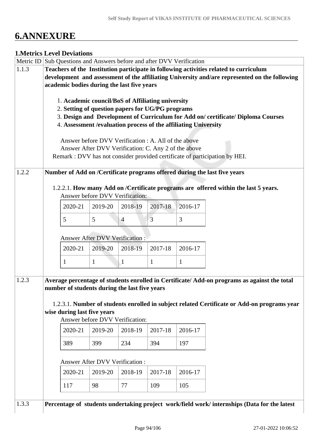# **6.ANNEXURE**

## **1.Metrics Level Deviations**

|       | Metric ID Sub Questions and Answers before and after DVV Verification                         |                             |                                                                 |                |         |         |                                                                                              |  |  |  |
|-------|-----------------------------------------------------------------------------------------------|-----------------------------|-----------------------------------------------------------------|----------------|---------|---------|----------------------------------------------------------------------------------------------|--|--|--|
| 1.1.3 | Teachers of the Institution participate in following activities related to curriculum         |                             |                                                                 |                |         |         |                                                                                              |  |  |  |
|       | development and assessment of the affiliating University and/are represented on the following |                             |                                                                 |                |         |         |                                                                                              |  |  |  |
|       | academic bodies during the last five years                                                    |                             |                                                                 |                |         |         |                                                                                              |  |  |  |
|       |                                                                                               |                             |                                                                 |                |         |         |                                                                                              |  |  |  |
|       |                                                                                               |                             | 1. Academic council/BoS of Affiliating university               |                |         |         |                                                                                              |  |  |  |
|       |                                                                                               |                             | 2. Setting of question papers for UG/PG programs                |                |         |         |                                                                                              |  |  |  |
|       |                                                                                               |                             |                                                                 |                |         |         | 3. Design and Development of Curriculum for Add on/certificate/Diploma Courses               |  |  |  |
|       |                                                                                               |                             | 4. Assessment /evaluation process of the affiliating University |                |         |         |                                                                                              |  |  |  |
|       |                                                                                               |                             |                                                                 |                |         |         |                                                                                              |  |  |  |
|       |                                                                                               |                             | Answer before DVV Verification : A. All of the above            |                |         |         |                                                                                              |  |  |  |
|       |                                                                                               |                             | Answer After DVV Verification: C. Any 2 of the above            |                |         |         |                                                                                              |  |  |  |
|       |                                                                                               |                             |                                                                 |                |         |         | Remark : DVV has not consider provided certificate of participation by HEI.                  |  |  |  |
|       |                                                                                               |                             |                                                                 |                |         |         |                                                                                              |  |  |  |
| 1.2.2 |                                                                                               |                             |                                                                 |                |         |         | Number of Add on /Certificate programs offered during the last five years                    |  |  |  |
|       |                                                                                               |                             |                                                                 |                |         |         |                                                                                              |  |  |  |
|       |                                                                                               |                             |                                                                 |                |         |         | 1.2.2.1. How many Add on /Certificate programs are offered within the last 5 years.          |  |  |  |
|       |                                                                                               |                             | Answer before DVV Verification:                                 |                |         |         |                                                                                              |  |  |  |
|       |                                                                                               | 2020-21                     | 2019-20                                                         | 2018-19        | 2017-18 | 2016-17 |                                                                                              |  |  |  |
|       |                                                                                               |                             |                                                                 |                |         |         |                                                                                              |  |  |  |
|       |                                                                                               | 5                           | 5                                                               | $\overline{4}$ | 3       | 3       |                                                                                              |  |  |  |
|       |                                                                                               |                             |                                                                 |                |         |         |                                                                                              |  |  |  |
|       |                                                                                               |                             | Answer After DVV Verification :                                 |                |         |         |                                                                                              |  |  |  |
|       |                                                                                               | 2020-21                     | 2019-20                                                         | 2018-19        | 2017-18 | 2016-17 |                                                                                              |  |  |  |
|       |                                                                                               |                             |                                                                 |                |         |         |                                                                                              |  |  |  |
|       |                                                                                               | 1                           | $\mathbf{1}$                                                    | $\mathbf{1}$   | 1       | 1       |                                                                                              |  |  |  |
|       |                                                                                               |                             |                                                                 |                |         |         |                                                                                              |  |  |  |
| 1.2.3 |                                                                                               |                             |                                                                 |                |         |         | Average percentage of students enrolled in Certificate/Add-on programs as against the total  |  |  |  |
|       |                                                                                               |                             | number of students during the last five years                   |                |         |         |                                                                                              |  |  |  |
|       |                                                                                               |                             |                                                                 |                |         |         |                                                                                              |  |  |  |
|       |                                                                                               |                             |                                                                 |                |         |         | 1.2.3.1. Number of students enrolled in subject related Certificate or Add-on programs year  |  |  |  |
|       |                                                                                               | wise during last five years |                                                                 |                |         |         |                                                                                              |  |  |  |
|       |                                                                                               |                             | Answer before DVV Verification:                                 |                |         |         |                                                                                              |  |  |  |
|       |                                                                                               | 2020-21                     | 2019-20                                                         | 2018-19        | 2017-18 | 2016-17 |                                                                                              |  |  |  |
|       |                                                                                               |                             |                                                                 |                |         |         |                                                                                              |  |  |  |
|       |                                                                                               | 389                         | 399                                                             | 234            | 394     | 197     |                                                                                              |  |  |  |
|       |                                                                                               |                             |                                                                 |                |         |         |                                                                                              |  |  |  |
|       |                                                                                               |                             | <b>Answer After DVV Verification:</b>                           |                |         |         |                                                                                              |  |  |  |
|       |                                                                                               |                             |                                                                 |                |         |         |                                                                                              |  |  |  |
|       |                                                                                               | 2020-21                     | 2019-20                                                         | 2018-19        | 2017-18 | 2016-17 |                                                                                              |  |  |  |
|       |                                                                                               | 117                         | 98                                                              | 77             | 109     | 105     |                                                                                              |  |  |  |
|       |                                                                                               |                             |                                                                 |                |         |         |                                                                                              |  |  |  |
| 1.3.3 |                                                                                               |                             |                                                                 |                |         |         | Percentage of students undertaking project work/field work/ internships (Data for the latest |  |  |  |
|       |                                                                                               |                             |                                                                 |                |         |         |                                                                                              |  |  |  |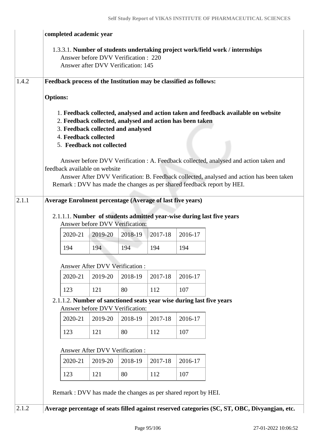|       | completed academic year                                                                                                                                                                |                                                                           |         |         |         |                                                                                                                                                                                                                                                                                                                                                    |  |  |  |
|-------|----------------------------------------------------------------------------------------------------------------------------------------------------------------------------------------|---------------------------------------------------------------------------|---------|---------|---------|----------------------------------------------------------------------------------------------------------------------------------------------------------------------------------------------------------------------------------------------------------------------------------------------------------------------------------------------------|--|--|--|
|       |                                                                                                                                                                                        | Answer before DVV Verification: 220<br>Answer after DVV Verification: 145 |         |         |         | 1.3.3.1. Number of students undertaking project work/field work / internships                                                                                                                                                                                                                                                                      |  |  |  |
| 1.4.2 | Feedback process of the Institution may be classified as follows:                                                                                                                      |                                                                           |         |         |         |                                                                                                                                                                                                                                                                                                                                                    |  |  |  |
|       | <b>Options:</b>                                                                                                                                                                        |                                                                           |         |         |         |                                                                                                                                                                                                                                                                                                                                                    |  |  |  |
|       | 2. Feedback collected, analysed and action has been taken<br>3. Feedback collected and analysed<br>4. Feedback collected<br>5. Feedback not collected<br>feedback available on website |                                                                           |         |         |         | 1. Feedback collected, analysed and action taken and feedback available on website<br>Answer before DVV Verification : A. Feedback collected, analysed and action taken and<br>Answer After DVV Verification: B. Feedback collected, analysed and action has been taken<br>Remark : DVV has made the changes as per shared feedback report by HEI. |  |  |  |
| 2.1.1 | <b>Average Enrolment percentage (Average of last five years)</b>                                                                                                                       |                                                                           |         |         |         |                                                                                                                                                                                                                                                                                                                                                    |  |  |  |
|       | 2.1.1.1. Number of students admitted year-wise during last five years                                                                                                                  | Answer before DVV Verification:                                           |         |         |         |                                                                                                                                                                                                                                                                                                                                                    |  |  |  |
|       | 2020-21                                                                                                                                                                                | 2019-20                                                                   | 2018-19 | 2017-18 | 2016-17 |                                                                                                                                                                                                                                                                                                                                                    |  |  |  |
|       | 194                                                                                                                                                                                    | 194                                                                       | 194     | 194     | 194     |                                                                                                                                                                                                                                                                                                                                                    |  |  |  |
|       |                                                                                                                                                                                        | Answer After DVV Verification :                                           |         |         |         |                                                                                                                                                                                                                                                                                                                                                    |  |  |  |
|       | 2020-21                                                                                                                                                                                | 2019-20                                                                   | 2018-19 | 2017-18 | 2016-17 |                                                                                                                                                                                                                                                                                                                                                    |  |  |  |
|       | 123                                                                                                                                                                                    | 121                                                                       | 80      | 112     | 107     |                                                                                                                                                                                                                                                                                                                                                    |  |  |  |
|       | 2.1.1.2. Number of sanctioned seats year wise during last five years                                                                                                                   | Answer before DVV Verification:                                           |         |         |         |                                                                                                                                                                                                                                                                                                                                                    |  |  |  |
|       | 2020-21                                                                                                                                                                                | 2019-20                                                                   | 2018-19 | 2017-18 | 2016-17 |                                                                                                                                                                                                                                                                                                                                                    |  |  |  |
|       | 123                                                                                                                                                                                    | 121                                                                       | 80      | 112     | 107     |                                                                                                                                                                                                                                                                                                                                                    |  |  |  |
|       | Answer After DVV Verification:                                                                                                                                                         |                                                                           |         |         |         |                                                                                                                                                                                                                                                                                                                                                    |  |  |  |
|       | 2020-21                                                                                                                                                                                | 2019-20                                                                   | 2018-19 | 2017-18 | 2016-17 |                                                                                                                                                                                                                                                                                                                                                    |  |  |  |
|       | 123                                                                                                                                                                                    | 121                                                                       | 80      | 112     | 107     |                                                                                                                                                                                                                                                                                                                                                    |  |  |  |
|       | Remark : DVV has made the changes as per shared report by HEI.                                                                                                                         |                                                                           |         |         |         |                                                                                                                                                                                                                                                                                                                                                    |  |  |  |
| 2.1.2 |                                                                                                                                                                                        |                                                                           |         |         |         | Average percentage of seats filled against reserved categories (SC, ST, OBC, Divyangjan, etc.                                                                                                                                                                                                                                                      |  |  |  |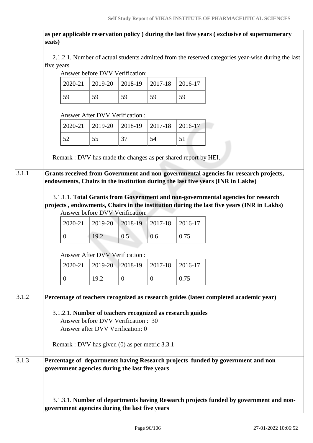**as per applicable reservation policy ) during the last five years ( exclusive of supernumerary seats)**

 2.1.2.1. Number of actual students admitted from the reserved categories year-wise during the last five years Answer before DVV Verification:

|       |                                                                | Answer before DVV Verification:     |                  |              |         |                                                                                           |                                                                                       |
|-------|----------------------------------------------------------------|-------------------------------------|------------------|--------------|---------|-------------------------------------------------------------------------------------------|---------------------------------------------------------------------------------------|
|       | 2020-21                                                        | 2019-20                             | 2018-19          | 2017-18      | 2016-17 |                                                                                           |                                                                                       |
|       | 59                                                             | 59                                  | 59               | 59           | 59      |                                                                                           |                                                                                       |
|       |                                                                | Answer After DVV Verification :     |                  |              |         |                                                                                           |                                                                                       |
|       | 2020-21                                                        | 2019-20                             | 2018-19          | 2017-18      | 2016-17 |                                                                                           |                                                                                       |
|       | 52                                                             | 55                                  | 37               | 54           | 51      |                                                                                           |                                                                                       |
|       | Remark : DVV has made the changes as per shared report by HEI. |                                     |                  |              |         |                                                                                           |                                                                                       |
| 3.1.1 |                                                                |                                     |                  |              |         | Grants received from Government and non-governmental agencies for research projects,      |                                                                                       |
|       |                                                                |                                     |                  |              |         | endowments, Chairs in the institution during the last five years (INR in Lakhs)           |                                                                                       |
|       |                                                                |                                     |                  |              |         | 3.1.1.1. Total Grants from Government and non-governmental agencies for research          |                                                                                       |
|       |                                                                |                                     |                  |              |         | projects, endowments, Chairs in the institution during the last five years (INR in Lakhs) |                                                                                       |
|       |                                                                | Answer before DVV Verification:     |                  |              |         |                                                                                           |                                                                                       |
|       | 2020-21                                                        | 2019-20                             | 2018-19          | 2017-18      | 2016-17 |                                                                                           |                                                                                       |
|       | $\overline{0}$                                                 | 19.2                                | 0.5              | 0.6          | 0.75    |                                                                                           |                                                                                       |
|       |                                                                | Answer After DVV Verification:      |                  |              |         |                                                                                           |                                                                                       |
|       | 2020-21                                                        | 2019-20                             | 2018-19          | 2017-18      | 2016-17 |                                                                                           |                                                                                       |
|       | $\overline{0}$                                                 | 19.2                                | $\boldsymbol{0}$ | $\mathbf{0}$ | 0.75    |                                                                                           |                                                                                       |
| 3.1.2 |                                                                |                                     |                  |              |         | Percentage of teachers recognized as research guides (latest completed academic year)     |                                                                                       |
|       | 3.1.2.1. Number of teachers recognized as research guides      |                                     |                  |              |         |                                                                                           |                                                                                       |
|       |                                                                | Answer before DVV Verification : 30 |                  |              |         |                                                                                           |                                                                                       |
|       |                                                                | Answer after DVV Verification: 0    |                  |              |         |                                                                                           |                                                                                       |
|       | Remark : DVV has given (0) as per metric 3.3.1                 |                                     |                  |              |         |                                                                                           |                                                                                       |
| 3.1.3 | government agencies during the last five years                 |                                     |                  |              |         | Percentage of departments having Research projects funded by government and non           |                                                                                       |
|       | government agencies during the last five years                 |                                     |                  |              |         |                                                                                           | 3.1.3.1. Number of departments having Research projects funded by government and non- |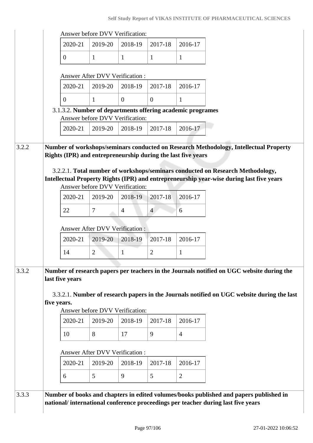## **Self Study Report of VIKAS INSTITUTE OF PHARMACEUTICAL SCIENCES**

|       |                                                              | Answer before DVV Verification:                  |                |                |                |                                                                                                                                                                                         |
|-------|--------------------------------------------------------------|--------------------------------------------------|----------------|----------------|----------------|-----------------------------------------------------------------------------------------------------------------------------------------------------------------------------------------|
|       | 2020-21                                                      | 2019-20                                          | 2018-19        | 2017-18        | 2016-17        |                                                                                                                                                                                         |
|       | $\overline{0}$                                               | $\mathbf{1}$                                     | $\mathbf{1}$   | $\mathbf{1}$   | $\mathbf{1}$   |                                                                                                                                                                                         |
|       |                                                              |                                                  |                |                |                |                                                                                                                                                                                         |
|       |                                                              | <b>Answer After DVV Verification:</b><br>2019-20 |                |                |                |                                                                                                                                                                                         |
|       | 2020-21                                                      |                                                  | 2018-19        | 2017-18        | 2016-17        |                                                                                                                                                                                         |
|       | $\overline{0}$                                               | $\mathbf{1}$                                     | $\overline{0}$ | $\overline{0}$ | 1              |                                                                                                                                                                                         |
|       | 3.1.3.2. Number of departments offering academic programes   | Answer before DVV Verification:                  |                |                |                |                                                                                                                                                                                         |
|       | 2020-21                                                      | 2019-20                                          | 2018-19        | 2017-18        | 2016-17        |                                                                                                                                                                                         |
| 3.2.2 | Rights (IPR) and entrepreneurship during the last five years |                                                  |                |                |                | Number of workshops/seminars conducted on Research Methodology, Intellectual Property<br>3.2.2.1. Total number of workshops/seminars conducted on Research Methodology,                 |
|       |                                                              | Answer before DVV Verification:                  |                |                |                | Intellectual Property Rights (IPR) and entrepreneurship year-wise during last five years                                                                                                |
|       | 2020-21                                                      | 2019-20                                          | 2018-19        | 2017-18        | 2016-17        |                                                                                                                                                                                         |
|       | 22                                                           | $\tau$                                           | $\overline{4}$ | $\overline{4}$ | 6              |                                                                                                                                                                                         |
|       |                                                              | <b>Answer After DVV Verification:</b>            |                |                |                |                                                                                                                                                                                         |
|       | 2020-21                                                      | 2019-20                                          | 2018-19        | 2017-18        | 2016-17        |                                                                                                                                                                                         |
|       | 14                                                           | $\overline{2}$                                   | $\mathbf{1}$   | $\overline{2}$ | $\mathbf{1}$   |                                                                                                                                                                                         |
|       |                                                              |                                                  |                |                |                |                                                                                                                                                                                         |
| 3.3.2 | last five years<br>five years.                               | Answer before DVV Verification:                  |                |                |                | Number of research papers per teachers in the Journals notified on UGC website during the<br>3.3.2.1. Number of research papers in the Journals notified on UGC website during the last |
|       | 2020-21                                                      | 2019-20                                          | 2018-19        | 2017-18        | 2016-17        |                                                                                                                                                                                         |
|       | 10                                                           | 8                                                | 17             | 9              | $\overline{4}$ |                                                                                                                                                                                         |
|       |                                                              |                                                  |                |                |                |                                                                                                                                                                                         |
|       |                                                              | Answer After DVV Verification:                   |                |                |                |                                                                                                                                                                                         |
|       | 2020-21                                                      | 2019-20                                          | 2018-19        | 2017-18        | 2016-17        |                                                                                                                                                                                         |
|       | 6                                                            | 5                                                | 9              | 5              | $\mathbf{2}$   |                                                                                                                                                                                         |
| 3.3.3 |                                                              |                                                  |                |                |                | Number of books and chapters in edited volumes/books published and papers published in                                                                                                  |
|       |                                                              |                                                  |                |                |                | national/international conference proceedings per teacher during last five years                                                                                                        |
|       |                                                              |                                                  |                |                |                |                                                                                                                                                                                         |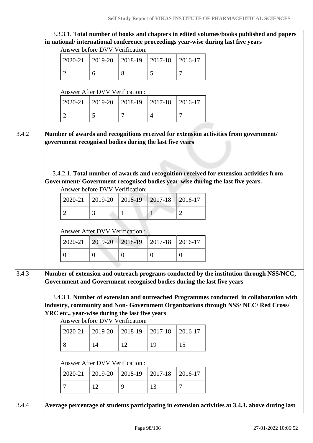|       |                                                         | Answer before DVV Verification:       |                  |                |                  | 3.3.3.1. Total number of books and chapters in edited volumes/books published and papers<br>in national/international conference proceedings year-wise during last five years                                                                                                                                                                   |
|-------|---------------------------------------------------------|---------------------------------------|------------------|----------------|------------------|-------------------------------------------------------------------------------------------------------------------------------------------------------------------------------------------------------------------------------------------------------------------------------------------------------------------------------------------------|
|       | 2020-21                                                 | 2019-20                               | 2018-19          | 2017-18        | 2016-17          |                                                                                                                                                                                                                                                                                                                                                 |
|       | $\overline{2}$                                          | 6                                     | 8                | 5              | $\overline{7}$   |                                                                                                                                                                                                                                                                                                                                                 |
|       |                                                         | <b>Answer After DVV Verification:</b> |                  |                |                  |                                                                                                                                                                                                                                                                                                                                                 |
|       | 2020-21                                                 | 2019-20                               | 2018-19          | 2017-18        | 2016-17          |                                                                                                                                                                                                                                                                                                                                                 |
|       | $\overline{2}$                                          | 5                                     | $\tau$           | $\overline{4}$ | $\overline{7}$   |                                                                                                                                                                                                                                                                                                                                                 |
| 3.4.2 | government recognised bodies during the last five years | Answer before DVV Verification:       |                  |                |                  | Number of awards and recognitions received for extension activities from government/<br>3.4.2.1. Total number of awards and recognition received for extension activities from<br>Government/ Government recognised bodies year-wise during the last five years.                                                                                |
|       | 2020-21                                                 | 2019-20                               | 2018-19          | 2017-18        | 2016-17          |                                                                                                                                                                                                                                                                                                                                                 |
|       | $\overline{2}$                                          | 3                                     | $\mathbf{1}$     | 1 <sup>1</sup> | $\overline{2}$   |                                                                                                                                                                                                                                                                                                                                                 |
|       |                                                         | Answer After DVV Verification:        |                  |                |                  |                                                                                                                                                                                                                                                                                                                                                 |
|       | 2020-21                                                 | 2019-20                               | 2018-19          | 2017-18        | 2016-17          |                                                                                                                                                                                                                                                                                                                                                 |
|       | $\overline{0}$                                          | $\boldsymbol{0}$                      | $\boldsymbol{0}$ | $\overline{0}$ | $\boldsymbol{0}$ |                                                                                                                                                                                                                                                                                                                                                 |
| 3.4.3 | YRC etc., year-wise during the last five years          | Answer before DVV Verification:       |                  |                |                  | Number of extension and outreach programs conducted by the institution through NSS/NCC,<br>Government and Government recognised bodies during the last five years<br>3.4.3.1. Number of extension and outreached Programmes conducted in collaboration with<br>industry, community and Non- Government Organizations through NSS/NCC/Red Cross/ |
|       | 2020-21                                                 | 2019-20                               | 2018-19          | 2017-18        | 2016-17          |                                                                                                                                                                                                                                                                                                                                                 |
|       | 8                                                       | 14                                    | 12               | 19             | 15               |                                                                                                                                                                                                                                                                                                                                                 |
|       |                                                         | <b>Answer After DVV Verification:</b> |                  |                |                  |                                                                                                                                                                                                                                                                                                                                                 |
|       | 2020-21                                                 | 2019-20                               | 2018-19          | 2017-18        | 2016-17          |                                                                                                                                                                                                                                                                                                                                                 |
|       | $\overline{7}$                                          | 12                                    | 9                | 13             | $\overline{7}$   |                                                                                                                                                                                                                                                                                                                                                 |
| 3.4.4 |                                                         |                                       |                  |                |                  | Average percentage of students participating in extension activities at 3.4.3. above during last                                                                                                                                                                                                                                                |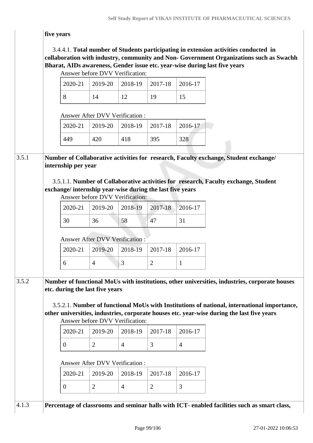## **five years**

## 3.4.4.1. **Total number of Students participating in extension activities conducted in collaboration with industry, community and Non- Government Organizations such as Swachh Bharat, AIDs awareness, Gender issue etc. year-wise during last five years**

|       |                                                                                  | Answer before DVV Verification:       |                |                |                |                                                                                                                                                                                                                                                                                            |  |
|-------|----------------------------------------------------------------------------------|---------------------------------------|----------------|----------------|----------------|--------------------------------------------------------------------------------------------------------------------------------------------------------------------------------------------------------------------------------------------------------------------------------------------|--|
|       | 2020-21                                                                          | 2019-20                               | 2018-19        | 2017-18        | 2016-17        |                                                                                                                                                                                                                                                                                            |  |
|       | 8                                                                                | 14                                    | 12             | 19             | 15             |                                                                                                                                                                                                                                                                                            |  |
|       |                                                                                  | <b>Answer After DVV Verification:</b> |                |                |                |                                                                                                                                                                                                                                                                                            |  |
|       | 2020-21                                                                          | 2019-20                               | 2018-19        | 2017-18        | 2016-17        |                                                                                                                                                                                                                                                                                            |  |
|       | 449                                                                              | 420                                   | 418            | 395            | 328            |                                                                                                                                                                                                                                                                                            |  |
| 3.5.1 | internship per year<br>exchange/ internship year-wise during the last five years |                                       |                |                |                | Number of Collaborative activities for research, Faculty exchange, Student exchange/<br>3.5.1.1. Number of Collaborative activities for research, Faculty exchange, Student                                                                                                                |  |
|       |                                                                                  | Answer before DVV Verification:       |                |                |                |                                                                                                                                                                                                                                                                                            |  |
|       | 2020-21                                                                          | 2019-20                               | 2018-19        | 2017-18        | 2016-17        |                                                                                                                                                                                                                                                                                            |  |
|       | 30                                                                               | 36                                    | 58             | 47             | 31             |                                                                                                                                                                                                                                                                                            |  |
|       |                                                                                  | <b>Answer After DVV Verification:</b> |                |                |                |                                                                                                                                                                                                                                                                                            |  |
|       | 2020-21                                                                          | 2019-20                               | 2018-19        | 2017-18        | 2016-17        |                                                                                                                                                                                                                                                                                            |  |
|       | 6                                                                                | $\overline{4}$                        | 3              | $\overline{2}$ | $\mathbf{1}$   |                                                                                                                                                                                                                                                                                            |  |
| 3.5.2 | etc. during the last five years                                                  | Answer before DVV Verification:       |                |                |                | Number of functional MoUs with institutions, other universities, industries, corporate houses<br>3.5.2.1. Number of functional MoUs with Institutions of national, international importance,<br>other universities, industries, corporate houses etc. year-wise during the last five years |  |
|       | 2020-21                                                                          | 2019-20                               | 2018-19        | 2017-18        | 2016-17        |                                                                                                                                                                                                                                                                                            |  |
|       | $\overline{0}$                                                                   | $\overline{2}$                        | $\overline{4}$ | 3              | $\overline{4}$ |                                                                                                                                                                                                                                                                                            |  |
|       |                                                                                  | Answer After DVV Verification:        |                |                |                |                                                                                                                                                                                                                                                                                            |  |
|       | 2020-21                                                                          | 2019-20                               | 2018-19        | 2017-18        | 2016-17        |                                                                                                                                                                                                                                                                                            |  |
|       | $\overline{0}$                                                                   | $\overline{2}$                        | $\overline{4}$ | $\overline{2}$ | 3              |                                                                                                                                                                                                                                                                                            |  |
|       |                                                                                  |                                       |                |                |                |                                                                                                                                                                                                                                                                                            |  |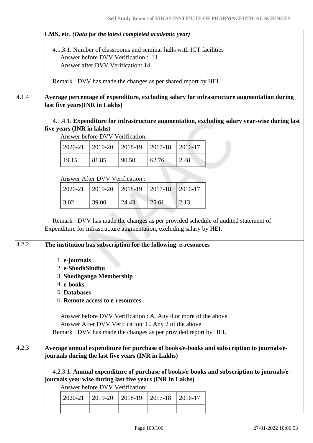|       | LMS, etc. (Data for the latest completed academic year)                                                                                                                                                                                                              |                                                                         |         |             |                                                                |                                                                                                                                                                                      |
|-------|----------------------------------------------------------------------------------------------------------------------------------------------------------------------------------------------------------------------------------------------------------------------|-------------------------------------------------------------------------|---------|-------------|----------------------------------------------------------------|--------------------------------------------------------------------------------------------------------------------------------------------------------------------------------------|
|       | 4.1.3.1. Number of classrooms and seminar halls with ICT facilities                                                                                                                                                                                                  | Answer before DVV Verification: 11<br>Answer after DVV Verification: 14 |         |             |                                                                |                                                                                                                                                                                      |
|       | Remark: DVV has made the changes as per shared report by HEI.                                                                                                                                                                                                        |                                                                         |         |             |                                                                |                                                                                                                                                                                      |
| 4.1.4 | last five years(INR in Lakhs)                                                                                                                                                                                                                                        |                                                                         |         |             |                                                                | Average percentage of expenditure, excluding salary for infrastructure augmentation during                                                                                           |
|       | five years (INR in lakhs)                                                                                                                                                                                                                                            | Answer before DVV Verification:                                         |         |             |                                                                | 4.1.4.1. Expenditure for infrastructure augmentation, excluding salary year-wise during last                                                                                         |
|       | 2020-21                                                                                                                                                                                                                                                              | 2019-20                                                                 | 2018-19 | 2017-18     | 2016-17                                                        |                                                                                                                                                                                      |
|       | 19.15                                                                                                                                                                                                                                                                | 81.85                                                                   | 90.50   | 62.76       | 2.48                                                           |                                                                                                                                                                                      |
|       |                                                                                                                                                                                                                                                                      | <b>Answer After DVV Verification:</b>                                   |         |             |                                                                |                                                                                                                                                                                      |
|       | 2020-21                                                                                                                                                                                                                                                              | 2019-20                                                                 | 2018-19 | $2017 - 18$ | 2016-17                                                        |                                                                                                                                                                                      |
|       | 3.02                                                                                                                                                                                                                                                                 | 39.00                                                                   | 24.43   | 25.61       | 2.13                                                           |                                                                                                                                                                                      |
|       | Expenditure for infrastructure augmentation, excluding salary by HEI.                                                                                                                                                                                                |                                                                         |         |             |                                                                | Remark : DVV has made the changes as per provided schedule of audited statement of                                                                                                   |
| 4.2.2 | The institution has subscription for the following e-resources<br>1. e-journals<br>2. e-ShodhSindhu<br>3. Shodhganga Membership<br>4. e-books<br>5. Databases<br>6. Remote access to e-resources<br>Remark : DVV has made the changes as per provided report by HEI. | Answer After DVV Verification: C. Any 2 of the above                    |         |             | Answer before DVV Verification : A. Any 4 or more of the above |                                                                                                                                                                                      |
| 4.2.3 | journals during the last five years (INR in Lakhs)<br>journals year wise during last five years (INR in Lakhs)                                                                                                                                                       | Answer before DVV Verification:                                         |         |             |                                                                | Average annual expenditure for purchase of books/e-books and subscription to journals/e-<br>4.2.3.1. Annual expenditure of purchase of books/e-books and subscription to journals/e- |
|       | 2020-21                                                                                                                                                                                                                                                              | 2019-20                                                                 | 2018-19 | 2017-18     | 2016-17                                                        |                                                                                                                                                                                      |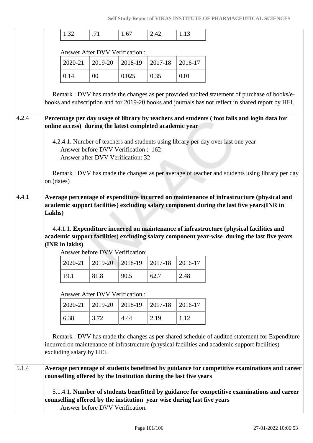|       |            | 1.32                                                     | .71                                                                       | 1.67    | 2.42    | 1.13                                                                    |                                                                                                                                                                                                   |
|-------|------------|----------------------------------------------------------|---------------------------------------------------------------------------|---------|---------|-------------------------------------------------------------------------|---------------------------------------------------------------------------------------------------------------------------------------------------------------------------------------------------|
|       |            |                                                          | <b>Answer After DVV Verification:</b>                                     |         |         |                                                                         |                                                                                                                                                                                                   |
|       |            | 2020-21                                                  | 2019-20                                                                   | 2018-19 | 2017-18 | 2016-17                                                                 |                                                                                                                                                                                                   |
|       |            | 0.14                                                     | 00                                                                        | 0.025   | 0.35    | 0.01                                                                    |                                                                                                                                                                                                   |
|       |            |                                                          |                                                                           |         |         |                                                                         | Remark : DVV has made the changes as per provided audited statement of purchase of books/e-<br>books and subscription and for 2019-20 books and journals has not reflect in shared report by HEI. |
| 4.2.4 |            | online access) during the latest completed academic year |                                                                           |         |         |                                                                         | Percentage per day usage of library by teachers and students (foot falls and login data for                                                                                                       |
|       | on (dates) |                                                          | Answer before DVV Verification : 162<br>Answer after DVV Verification: 32 |         |         |                                                                         | 4.2.4.1. Number of teachers and students using library per day over last one year<br>Remark : DVV has made the changes as per average of teacher and students using library per day               |
| 4.4.1 |            |                                                          |                                                                           |         |         |                                                                         | Average percentage of expenditure incurred on maintenance of infrastructure (physical and                                                                                                         |
|       | Lakhs)     | (INR in lakhs)                                           | Answer before DVV Verification:                                           |         |         |                                                                         | 4.4.1.1. Expenditure incurred on maintenance of infrastructure (physical facilities and<br>academic support facilities) excluding salary component year-wise during the last five years           |
|       |            | 2020-21                                                  | 2019-20                                                                   | 2018-19 | 2017-18 | 2016-17                                                                 |                                                                                                                                                                                                   |
|       |            | 19.1                                                     | 81.8                                                                      | 90.5    | 62.7    | 2.48                                                                    |                                                                                                                                                                                                   |
|       |            |                                                          | Answer After DVV Verification :                                           |         |         |                                                                         |                                                                                                                                                                                                   |
|       |            | 2020-21                                                  | 2019-20                                                                   | 2018-19 | 2017-18 | 2016-17                                                                 |                                                                                                                                                                                                   |
|       |            | 6.38                                                     | 3.72                                                                      | 4.44    | 2.19    | 1.12                                                                    |                                                                                                                                                                                                   |
|       |            | excluding salary by HEI.                                 |                                                                           |         |         |                                                                         | Remark : DVV has made the changes as per shared schedule of audited statement for Expenditure<br>incurred on maintenance of infrastructure (physical facilities and academic support facilities)  |
| 5.1.4 |            |                                                          |                                                                           |         |         | counselling offered by the Institution during the last five years       | Average percentage of students benefitted by guidance for competitive examinations and career                                                                                                     |
|       |            |                                                          | Answer before DVV Verification:                                           |         |         | counselling offered by the institution year wise during last five years | 5.1.4.1. Number of students benefitted by guidance for competitive examinations and career                                                                                                        |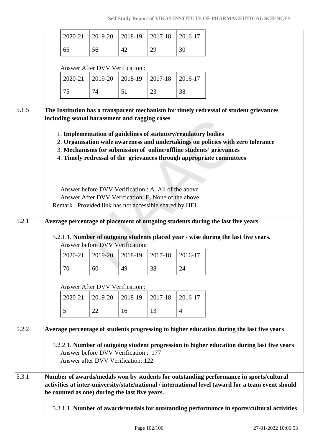|       | 2020-21                                                                                                                                                                                                                                                                                                                                                                                                                                                                                                                               | 2019-20                                                                   | 2018-19 | 2017-18                                                                                                     | 2016-17        |
|-------|---------------------------------------------------------------------------------------------------------------------------------------------------------------------------------------------------------------------------------------------------------------------------------------------------------------------------------------------------------------------------------------------------------------------------------------------------------------------------------------------------------------------------------------|---------------------------------------------------------------------------|---------|-------------------------------------------------------------------------------------------------------------|----------------|
|       | 65                                                                                                                                                                                                                                                                                                                                                                                                                                                                                                                                    | 56                                                                        | 42      | 29                                                                                                          | 30             |
|       |                                                                                                                                                                                                                                                                                                                                                                                                                                                                                                                                       | Answer After DVV Verification:                                            |         |                                                                                                             |                |
|       | 2020-21                                                                                                                                                                                                                                                                                                                                                                                                                                                                                                                               | 2019-20                                                                   | 2018-19 | 2017-18                                                                                                     | 2016-17        |
|       | 75                                                                                                                                                                                                                                                                                                                                                                                                                                                                                                                                    | 74                                                                        | 51      | 23                                                                                                          | 38             |
|       |                                                                                                                                                                                                                                                                                                                                                                                                                                                                                                                                       |                                                                           |         |                                                                                                             |                |
| 5.1.5 | The Institution has a transparent mechanism for timely redressal of student grievances<br>including sexual harassment and ragging cases                                                                                                                                                                                                                                                                                                                                                                                               |                                                                           |         |                                                                                                             |                |
| 5.2.1 | 1. Implementation of guidelines of statutory/regulatory bodies<br>2. Organisation wide awareness and undertakings on policies with zero tolerance<br>3. Mechanisms for submission of online/offline students' grievances<br>4. Timely redressal of the grievances through appropriate committees<br>Remark: Provided link has not accessible shared by HEI.<br>Average percentage of placement of outgoing students during the last five years<br>5.2.1.1. Number of outgoing students placed year - wise during the last five years. |                                                                           |         | Answer before DVV Verification : A. All of the above<br>Answer After DVV Verification: E. None of the above |                |
|       |                                                                                                                                                                                                                                                                                                                                                                                                                                                                                                                                       | Answer before DVV Verification:                                           |         |                                                                                                             |                |
|       | 2020-21                                                                                                                                                                                                                                                                                                                                                                                                                                                                                                                               | 2019-20                                                                   | 2018-19 | 2017-18                                                                                                     | 2016-17        |
|       | 70                                                                                                                                                                                                                                                                                                                                                                                                                                                                                                                                    | 60                                                                        | 49      | 38                                                                                                          | 24             |
|       |                                                                                                                                                                                                                                                                                                                                                                                                                                                                                                                                       | <b>Answer After DVV Verification:</b>                                     |         |                                                                                                             |                |
|       | 2020-21                                                                                                                                                                                                                                                                                                                                                                                                                                                                                                                               | 2019-20                                                                   | 2018-19 | 2017-18                                                                                                     | 2016-17        |
|       | 5                                                                                                                                                                                                                                                                                                                                                                                                                                                                                                                                     | 22                                                                        | 16      | 13                                                                                                          | $\overline{4}$ |
| 5.2.2 | Average percentage of students progressing to higher education during the last five years<br>5.2.2.1. Number of outgoing student progression to higher education during last five years                                                                                                                                                                                                                                                                                                                                               | Answer before DVV Verification: 177<br>Answer after DVV Verification: 122 |         |                                                                                                             |                |
| 5.3.1 | Number of awards/medals won by students for outstanding performance in sports/cultural<br>activities at inter-university/state/national / international level (award for a team event should<br>be counted as one) during the last five years.                                                                                                                                                                                                                                                                                        |                                                                           |         |                                                                                                             |                |
|       | 5.3.1.1. Number of awards/medals for outstanding performance in sports/cultural activities                                                                                                                                                                                                                                                                                                                                                                                                                                            |                                                                           |         |                                                                                                             |                |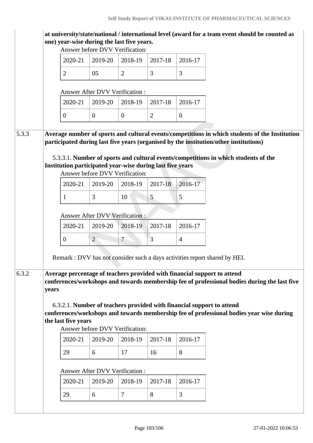|       |                                 |                     | one) year-wise during the last five years.                                                   |                |                |                | at university/state/national / international level (award for a team event should be counted as                                                                                                                                                                                                                                               |  |  |  |
|-------|---------------------------------|---------------------|----------------------------------------------------------------------------------------------|----------------|----------------|----------------|-----------------------------------------------------------------------------------------------------------------------------------------------------------------------------------------------------------------------------------------------------------------------------------------------------------------------------------------------|--|--|--|
|       |                                 |                     | Answer before DVV Verification:                                                              |                |                |                |                                                                                                                                                                                                                                                                                                                                               |  |  |  |
|       |                                 | 2020-21             | 2019-20                                                                                      | 2018-19        | 2017-18        | 2016-17        |                                                                                                                                                                                                                                                                                                                                               |  |  |  |
|       |                                 | $\overline{2}$      | 05                                                                                           | $\overline{2}$ | 3              | 3              |                                                                                                                                                                                                                                                                                                                                               |  |  |  |
|       |                                 |                     | Answer After DVV Verification:                                                               |                |                |                |                                                                                                                                                                                                                                                                                                                                               |  |  |  |
|       |                                 | 2020-21             | 2019-20                                                                                      | 2018-19        | 2017-18        | 2016-17        |                                                                                                                                                                                                                                                                                                                                               |  |  |  |
|       |                                 | $\theta$            | $\overline{0}$                                                                               | $\overline{0}$ | $\overline{2}$ | $\overline{0}$ |                                                                                                                                                                                                                                                                                                                                               |  |  |  |
| 5.3.3 |                                 |                     | Institution participated year-wise during last five years<br>Answer before DVV Verification: |                |                |                | Average number of sports and cultural events/competitions in which students of the Institution<br>participated during last five years (organised by the institution/other institutions)<br>5.3.3.1. Number of sports and cultural events/competitions in which students of the                                                                |  |  |  |
|       |                                 | 2020-21             | 2019-20                                                                                      | 2018-19        | 2017-18        | 2016-17        |                                                                                                                                                                                                                                                                                                                                               |  |  |  |
|       |                                 | 1                   | 3                                                                                            | 10             | 5              | 5              |                                                                                                                                                                                                                                                                                                                                               |  |  |  |
|       | Answer After DVV Verification : |                     |                                                                                              |                |                |                |                                                                                                                                                                                                                                                                                                                                               |  |  |  |
|       |                                 | 2020-21             | 2019-20                                                                                      | 2018-19        | 2017-18        | 2016-17        |                                                                                                                                                                                                                                                                                                                                               |  |  |  |
|       |                                 | $\overline{0}$      | $\overline{2}$                                                                               | $\tau$         | 3              | $\overline{4}$ |                                                                                                                                                                                                                                                                                                                                               |  |  |  |
|       |                                 |                     |                                                                                              |                |                |                | Remark : DVV has not consider such a days activities report shared by HEI.                                                                                                                                                                                                                                                                    |  |  |  |
| 6.3.2 | years                           | the last five years | Answer before DVV Verification:                                                              |                |                |                | Average percentage of teachers provided with financial support to attend<br>conferences/workshops and towards membership fee of professional bodies during the last five<br>6.3.2.1. Number of teachers provided with financial support to attend<br>conferences/workshops and towards membership fee of professional bodies year wise during |  |  |  |
|       |                                 | 2020-21             | 2019-20                                                                                      | 2018-19        | 2017-18        | 2016-17        |                                                                                                                                                                                                                                                                                                                                               |  |  |  |
|       |                                 | 29                  | 6                                                                                            | 17             | 16             | 8              |                                                                                                                                                                                                                                                                                                                                               |  |  |  |
|       |                                 |                     | Answer After DVV Verification :                                                              |                |                |                |                                                                                                                                                                                                                                                                                                                                               |  |  |  |
|       |                                 | 2020-21             | 2019-20                                                                                      | 2018-19        | 2017-18        | 2016-17        |                                                                                                                                                                                                                                                                                                                                               |  |  |  |
|       |                                 | 29                  | 6                                                                                            | $\tau$         | 8              | 3              |                                                                                                                                                                                                                                                                                                                                               |  |  |  |
|       |                                 |                     |                                                                                              |                |                |                |                                                                                                                                                                                                                                                                                                                                               |  |  |  |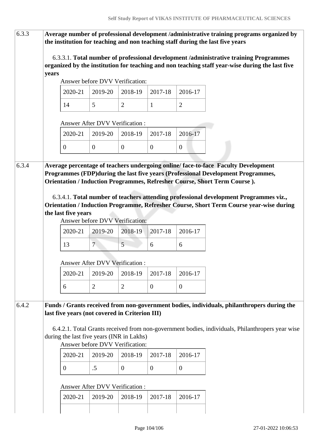| 6.3.3 |                     |                                                                                                                                                                                  |                                       |                  |                |                  | Average number of professional development /administrative training programs organized by<br>the institution for teaching and non teaching staff during the last five years                                                                         |
|-------|---------------------|----------------------------------------------------------------------------------------------------------------------------------------------------------------------------------|---------------------------------------|------------------|----------------|------------------|-----------------------------------------------------------------------------------------------------------------------------------------------------------------------------------------------------------------------------------------------------|
|       | years               |                                                                                                                                                                                  |                                       |                  |                |                  | 6.3.3.1. Total number of professional development /administrative training Programmes<br>organized by the institution for teaching and non teaching staff year-wise during the last five                                                            |
|       |                     |                                                                                                                                                                                  | Answer before DVV Verification:       |                  |                |                  |                                                                                                                                                                                                                                                     |
|       |                     | 2020-21                                                                                                                                                                          | 2019-20                               | 2018-19          | 2017-18        | 2016-17          |                                                                                                                                                                                                                                                     |
|       |                     | 14                                                                                                                                                                               | 5                                     | $\overline{2}$   | $\mathbf{1}$   | $\overline{2}$   |                                                                                                                                                                                                                                                     |
|       |                     |                                                                                                                                                                                  | <b>Answer After DVV Verification:</b> |                  |                |                  |                                                                                                                                                                                                                                                     |
|       |                     | 2020-21                                                                                                                                                                          | 2019-20                               | 2018-19          | 2017-18        | 2016-17          |                                                                                                                                                                                                                                                     |
|       |                     | $\boldsymbol{0}$                                                                                                                                                                 | $\theta$                              | $\boldsymbol{0}$ | $\theta$       | $\boldsymbol{0}$ |                                                                                                                                                                                                                                                     |
| 6.3.4 |                     |                                                                                                                                                                                  |                                       |                  |                |                  | Average percentage of teachers undergoing online/face-to-face Faculty Development<br>Programmes (FDP) during the last five years (Professional Development Programmes,<br>Orientation / Induction Programmes, Refresher Course, Short Term Course). |
|       | the last five years | 6.3.4.1. Total number of teachers attending professional development Programmes viz.,<br>Orientation / Induction Programme, Refresher Course, Short Term Course year-wise during |                                       |                  |                |                  |                                                                                                                                                                                                                                                     |
|       |                     | 2020-21                                                                                                                                                                          | 2019-20                               | 2018-19          | 2017-18        | 2016-17          |                                                                                                                                                                                                                                                     |
|       |                     | 13                                                                                                                                                                               | $7^{\circ}$                           | 5                | 6              | 6                |                                                                                                                                                                                                                                                     |
|       |                     |                                                                                                                                                                                  | <b>Answer After DVV Verification:</b> |                  |                |                  |                                                                                                                                                                                                                                                     |
|       |                     | 2020-21                                                                                                                                                                          | 2019-20                               | 2018-19          | 2017-18        | 2016-17          |                                                                                                                                                                                                                                                     |
|       |                     | 6                                                                                                                                                                                | $\overline{2}$                        | $\overline{2}$   | $\overline{0}$ | $\overline{0}$   |                                                                                                                                                                                                                                                     |
| 6.4.2 |                     | last five years (not covered in Criterion III)<br>during the last five years (INR in Lakhs)                                                                                      |                                       |                  |                |                  | Funds / Grants received from non-government bodies, individuals, philanthropers during the<br>6.4.2.1. Total Grants received from non-government bodies, individuals, Philanthropers year wise                                                      |
|       |                     |                                                                                                                                                                                  | Answer before DVV Verification:       |                  |                |                  |                                                                                                                                                                                                                                                     |
|       |                     | 2020-21                                                                                                                                                                          | 2019-20                               | 2018-19          | 2017-18        | 2016-17          |                                                                                                                                                                                                                                                     |
|       |                     | $\overline{0}$                                                                                                                                                                   | .5                                    | $\boldsymbol{0}$ | $\overline{0}$ | $\overline{0}$   |                                                                                                                                                                                                                                                     |
|       |                     |                                                                                                                                                                                  | Answer After DVV Verification :       |                  |                |                  |                                                                                                                                                                                                                                                     |
|       |                     | 2020-21                                                                                                                                                                          | 2019-20                               | 2018-19          | 2017-18        | 2016-17          |                                                                                                                                                                                                                                                     |
|       |                     |                                                                                                                                                                                  |                                       |                  |                |                  |                                                                                                                                                                                                                                                     |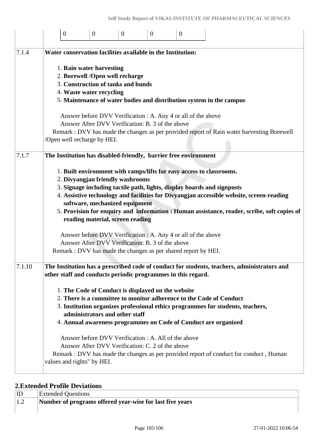|        | $\mathbf{0}$                                                                                                                                                | $\mathbf{0}$ | $\mathbf{0}$                                                                                                      | $\overline{0}$ | $\overline{0}$ |                                                                                          |                                                                                             |
|--------|-------------------------------------------------------------------------------------------------------------------------------------------------------------|--------------|-------------------------------------------------------------------------------------------------------------------|----------------|----------------|------------------------------------------------------------------------------------------|---------------------------------------------------------------------------------------------|
| 7.1.4  | Water conservation facilities available in the Institution:                                                                                                 |              |                                                                                                                   |                |                |                                                                                          |                                                                                             |
|        | 1. Rain water harvesting                                                                                                                                    |              | 2. Borewell /Open well recharge                                                                                   |                |                |                                                                                          |                                                                                             |
|        |                                                                                                                                                             |              | 3. Construction of tanks and bunds                                                                                |                |                |                                                                                          |                                                                                             |
|        | 4. Waste water recycling                                                                                                                                    |              |                                                                                                                   |                |                |                                                                                          |                                                                                             |
|        |                                                                                                                                                             |              |                                                                                                                   |                |                | 5. Maintenance of water bodies and distribution system in the campus                     |                                                                                             |
|        |                                                                                                                                                             |              | Answer before DVV Verification : A. Any 4 or all of the above<br>Answer After DVV Verification: B. 3 of the above |                |                |                                                                                          |                                                                                             |
|        | /Open well recharge by HEI.                                                                                                                                 |              |                                                                                                                   |                |                |                                                                                          | Remark : DVV has made the changes as per provided report of Rain water harvesting Borewell  |
| 7.1.7  | The Institution has disabled-friendly, barrier free environment                                                                                             |              |                                                                                                                   |                |                |                                                                                          |                                                                                             |
|        |                                                                                                                                                             |              | 2. Divyangjan friendly washrooms                                                                                  |                |                | 1. Built environment with ramps/lifts for easy access to classrooms.                     |                                                                                             |
|        |                                                                                                                                                             |              |                                                                                                                   |                |                | 3. Signage including tactile path, lights, display boards and signposts                  |                                                                                             |
|        |                                                                                                                                                             |              | software, mechanized equipment                                                                                    |                |                | 4. Assistive technology and facilities for Divyangjan accessible website, screen-reading |                                                                                             |
|        |                                                                                                                                                             |              |                                                                                                                   |                |                |                                                                                          | 5. Provision for enquiry and information : Human assistance, reader, scribe, soft copies of |
|        |                                                                                                                                                             |              | reading material, screen reading                                                                                  |                |                |                                                                                          |                                                                                             |
|        |                                                                                                                                                             |              | Answer before DVV Verification : A. Any 4 or all of the above                                                     |                |                |                                                                                          |                                                                                             |
|        |                                                                                                                                                             |              | Answer After DVV Verification: B. 3 of the above                                                                  |                |                |                                                                                          |                                                                                             |
|        | Remark : DVV has made the changes as per shared report by HEI.                                                                                              |              |                                                                                                                   |                |                |                                                                                          |                                                                                             |
| 7.1.10 | The Institution has a prescribed code of conduct for students, teachers, administrators and<br>other staff and conducts periodic programmes in this regard. |              |                                                                                                                   |                |                |                                                                                          |                                                                                             |
|        |                                                                                                                                                             |              | 1. The Code of Conduct is displayed on the website                                                                |                |                |                                                                                          |                                                                                             |
|        |                                                                                                                                                             |              |                                                                                                                   |                |                | 2. There is a committee to monitor adherence to the Code of Conduct                      |                                                                                             |
|        |                                                                                                                                                             |              | administrators and other staff                                                                                    |                |                | 3. Institution organizes professional ethics programmes for students, teachers,          |                                                                                             |
|        |                                                                                                                                                             |              |                                                                                                                   |                |                | 4. Annual awareness programmes on Code of Conduct are organized                          |                                                                                             |
|        |                                                                                                                                                             |              | Answer before DVV Verification : A. All of the above                                                              |                |                |                                                                                          |                                                                                             |
|        |                                                                                                                                                             |              | Answer After DVV Verification: C. 2 of the above                                                                  |                |                |                                                                                          |                                                                                             |
|        | values and rights" by HEI.                                                                                                                                  |              |                                                                                                                   |                |                | Remark : DVV has made the changes as per provided report of conduct for conduct, Human   |                                                                                             |

## **2.Extended Profile Deviations**

|                                 | <b>Extended Questions</b>                                |
|---------------------------------|----------------------------------------------------------|
| $\overline{1}$ . $\overline{2}$ | Number of programs offered year-wise for last five years |
|                                 |                                                          |